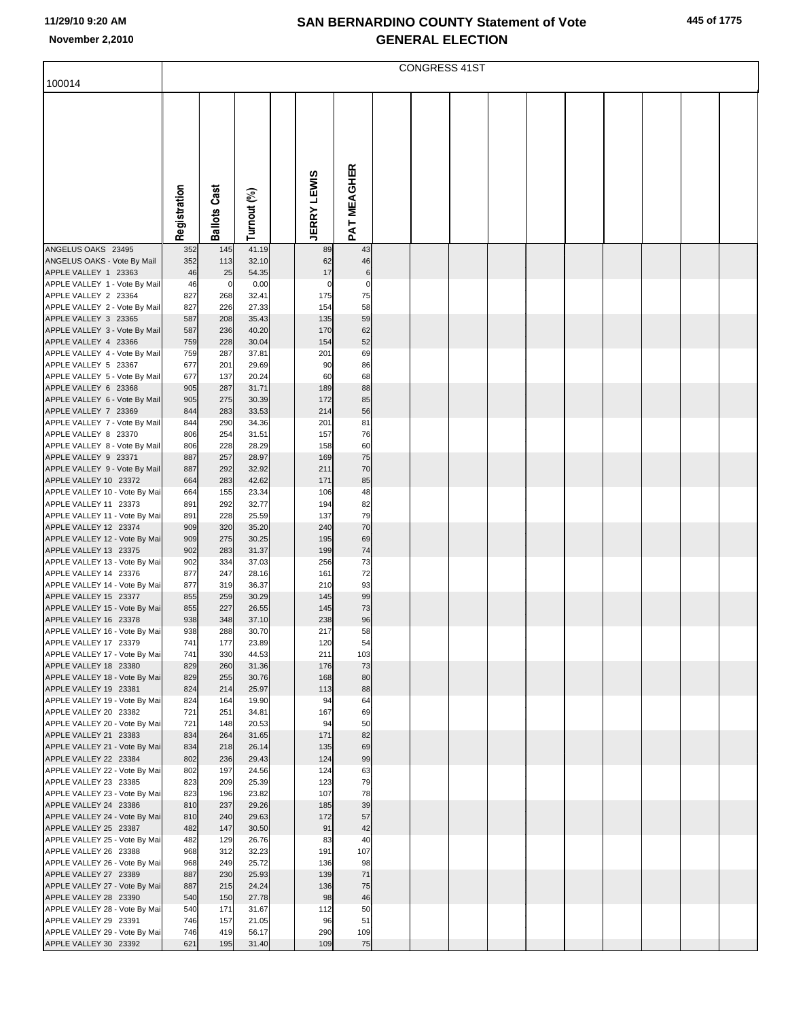| 445 of 1775 |  |
|-------------|--|
|-------------|--|

|                                                        |              | CONGRESS 41ST       |                |  |                    |                    |  |  |  |  |  |  |  |  |
|--------------------------------------------------------|--------------|---------------------|----------------|--|--------------------|--------------------|--|--|--|--|--|--|--|--|
| 100014                                                 |              |                     |                |  |                    |                    |  |  |  |  |  |  |  |  |
|                                                        |              |                     |                |  |                    |                    |  |  |  |  |  |  |  |  |
|                                                        |              |                     |                |  |                    |                    |  |  |  |  |  |  |  |  |
|                                                        |              |                     |                |  |                    |                    |  |  |  |  |  |  |  |  |
|                                                        |              |                     |                |  |                    |                    |  |  |  |  |  |  |  |  |
|                                                        |              |                     |                |  |                    |                    |  |  |  |  |  |  |  |  |
|                                                        |              |                     |                |  |                    |                    |  |  |  |  |  |  |  |  |
|                                                        |              |                     |                |  |                    |                    |  |  |  |  |  |  |  |  |
|                                                        |              |                     |                |  |                    |                    |  |  |  |  |  |  |  |  |
|                                                        |              |                     |                |  |                    |                    |  |  |  |  |  |  |  |  |
|                                                        |              |                     |                |  |                    |                    |  |  |  |  |  |  |  |  |
|                                                        | Registration | <b>Ballots Cast</b> | Turnout (%)    |  | <b>JERRY LEWIS</b> | <b>PAT MEAGHER</b> |  |  |  |  |  |  |  |  |
|                                                        |              |                     |                |  |                    |                    |  |  |  |  |  |  |  |  |
| ANGELUS OAKS 23495                                     | 352          | 145                 | 41.19          |  | 89                 | 43                 |  |  |  |  |  |  |  |  |
| ANGELUS OAKS - Vote By Mail<br>APPLE VALLEY 1 23363    | 352<br>46    | 113<br>25           | 32.10<br>54.35 |  | 62<br>17           | 46<br>6            |  |  |  |  |  |  |  |  |
| APPLE VALLEY 1 - Vote By Mail                          | 46           | 0                   | 0.00           |  | $\pmb{0}$          | $\pmb{0}$          |  |  |  |  |  |  |  |  |
| APPLE VALLEY 2 23364                                   | 827          | 268                 | 32.41          |  | 175                | 75                 |  |  |  |  |  |  |  |  |
| APPLE VALLEY 2 - Vote By Mail                          | 827          | 226                 | 27.33          |  | 154                | 58                 |  |  |  |  |  |  |  |  |
| APPLE VALLEY 3 23365                                   | 587          | 208                 | 35.43          |  | 135                | 59                 |  |  |  |  |  |  |  |  |
| APPLE VALLEY 3 - Vote By Mail                          | 587          | 236                 | 40.20          |  | 170                | 62                 |  |  |  |  |  |  |  |  |
| APPLE VALLEY 4 23366                                   | 759          | 228                 | 30.04          |  | 154                | 52                 |  |  |  |  |  |  |  |  |
| APPLE VALLEY 4 - Vote By Mail<br>APPLE VALLEY 5 23367  | 759<br>677   | 287<br>201          | 37.81<br>29.69 |  | 201<br>90          | 69<br>86           |  |  |  |  |  |  |  |  |
| APPLE VALLEY 5 - Vote By Mail                          | 677          | 137                 | 20.24          |  | 60                 | 68                 |  |  |  |  |  |  |  |  |
| APPLE VALLEY 6 23368                                   | 905          | 287                 | 31.71          |  | 189                | 88                 |  |  |  |  |  |  |  |  |
| APPLE VALLEY 6 - Vote By Mail                          | 905          | 275                 | 30.39          |  | 172                | 85                 |  |  |  |  |  |  |  |  |
| APPLE VALLEY 7 23369                                   | 844          | 283                 | 33.53          |  | 214                | 56                 |  |  |  |  |  |  |  |  |
| APPLE VALLEY 7 - Vote By Mail                          | 844          | 290                 | 34.36          |  | 201                | 81                 |  |  |  |  |  |  |  |  |
| APPLE VALLEY 8 23370                                   | 806          | 254                 | 31.51          |  | 157                | 76                 |  |  |  |  |  |  |  |  |
| APPLE VALLEY 8 - Vote By Mail<br>APPLE VALLEY 9 23371  | 806<br>887   | 228<br>257          | 28.29<br>28.97 |  | 158<br>169         | 60<br>75           |  |  |  |  |  |  |  |  |
| APPLE VALLEY 9 - Vote By Mail                          | 887          | 292                 | 32.92          |  | 211                | 70                 |  |  |  |  |  |  |  |  |
| APPLE VALLEY 10 23372                                  | 664          | 283                 | 42.62          |  | 171                | 85                 |  |  |  |  |  |  |  |  |
| APPLE VALLEY 10 - Vote By Mai                          | 664          | 155                 | 23.34          |  | 106                | 48                 |  |  |  |  |  |  |  |  |
| APPLE VALLEY 11 23373                                  | 891          | 292                 | 32.77          |  | 194                | 82                 |  |  |  |  |  |  |  |  |
| APPLE VALLEY 11 - Vote By Mai<br>APPLE VALLEY 12 23374 | 891<br>909   | 228<br>320          | 25.59<br>35.20 |  | 137<br>240         | 79<br>70           |  |  |  |  |  |  |  |  |
| APPLE VALLEY 12 - Vote By Mai                          | 909          | 275                 | 30.25          |  | 195                | 69                 |  |  |  |  |  |  |  |  |
| APPLE VALLEY 13 23375                                  | 902          | 283                 | 31.37          |  | 199                | 74                 |  |  |  |  |  |  |  |  |
| APPLE VALLEY 13 - Vote By Mai                          | 902          | 334                 | 37.03          |  | 256                | 73                 |  |  |  |  |  |  |  |  |
| APPLE VALLEY 14 23376                                  | 877          | 247                 | 28.16          |  | 161                | 72                 |  |  |  |  |  |  |  |  |
| APPLE VALLEY 14 - Vote By Mai                          | 877          | 319                 | 36.37          |  | 210                | 93                 |  |  |  |  |  |  |  |  |
| APPLE VALLEY 15 23377<br>APPLE VALLEY 15 - Vote By Mai | 855<br>855   | 259<br>227          | 30.29<br>26.55 |  | 145<br>145         | 99<br>73           |  |  |  |  |  |  |  |  |
| APPLE VALLEY 16 23378                                  | 938          | 348                 | 37.10          |  | 238                | 96                 |  |  |  |  |  |  |  |  |
| APPLE VALLEY 16 - Vote By Mai                          | 938          | 288                 | 30.70          |  | 217                | 58                 |  |  |  |  |  |  |  |  |
| APPLE VALLEY 17 23379                                  | 741          | 177                 | 23.89          |  | 120                | 54                 |  |  |  |  |  |  |  |  |
| APPLE VALLEY 17 - Vote By Mai                          | 741          | 330                 | 44.53          |  | 211                | 103                |  |  |  |  |  |  |  |  |
| APPLE VALLEY 18 23380                                  | 829          | 260                 | 31.36          |  | 176                | 73                 |  |  |  |  |  |  |  |  |
| APPLE VALLEY 18 - Vote By Mai<br>APPLE VALLEY 19 23381 | 829<br>824   | 255<br>214          | 30.76<br>25.97 |  | 168<br>113         | 80<br>88           |  |  |  |  |  |  |  |  |
| APPLE VALLEY 19 - Vote By Mai                          | 824          | 164                 | 19.90          |  | 94                 | 64                 |  |  |  |  |  |  |  |  |
| APPLE VALLEY 20 23382                                  | 721          | 251                 | 34.81          |  | 167                | 69                 |  |  |  |  |  |  |  |  |
| APPLE VALLEY 20 - Vote By Mai                          | 721          | 148                 | 20.53          |  | 94                 | 50                 |  |  |  |  |  |  |  |  |
| APPLE VALLEY 21 23383                                  | 834          | 264                 | 31.65          |  | 171                | 82                 |  |  |  |  |  |  |  |  |
| APPLE VALLEY 21 - Vote By Mai<br>APPLE VALLEY 22 23384 | 834<br>802   | 218<br>236          | 26.14<br>29.43 |  | 135<br>124         | 69<br>99           |  |  |  |  |  |  |  |  |
| APPLE VALLEY 22 - Vote By Mai                          | 802          | 197                 | 24.56          |  | 124                | 63                 |  |  |  |  |  |  |  |  |
| APPLE VALLEY 23 23385                                  | 823          | 209                 | 25.39          |  | 123                | 79                 |  |  |  |  |  |  |  |  |
| APPLE VALLEY 23 - Vote By Mai                          | 823          | 196                 | 23.82          |  | 107                | 78                 |  |  |  |  |  |  |  |  |
| APPLE VALLEY 24 23386                                  | 810          | 237                 | 29.26          |  | 185                | 39                 |  |  |  |  |  |  |  |  |
| APPLE VALLEY 24 - Vote By Mai                          | 810          | 240                 | 29.63          |  | 172                | 57                 |  |  |  |  |  |  |  |  |
| APPLE VALLEY 25 23387<br>APPLE VALLEY 25 - Vote By Mai | 482<br>482   | 147<br>129          | 30.50<br>26.76 |  | 91<br>83           | 42<br>40           |  |  |  |  |  |  |  |  |
| APPLE VALLEY 26 23388                                  | 968          | 312                 | 32.23          |  | 191                | 107                |  |  |  |  |  |  |  |  |
| APPLE VALLEY 26 - Vote By Mai                          | 968          | 249                 | 25.72          |  | 136                | 98                 |  |  |  |  |  |  |  |  |
| APPLE VALLEY 27 23389                                  | 887          | 230                 | 25.93          |  | 139                | 71                 |  |  |  |  |  |  |  |  |
| APPLE VALLEY 27 - Vote By Mai                          | 887          | 215                 | 24.24          |  | 136                | 75                 |  |  |  |  |  |  |  |  |
| APPLE VALLEY 28 23390<br>APPLE VALLEY 28 - Vote By Mai | 540<br>540   | 150<br>171          | 27.78<br>31.67 |  | 98<br>112          | 46<br>50           |  |  |  |  |  |  |  |  |
| APPLE VALLEY 29 23391                                  | 746          | 157                 | 21.05          |  | 96                 | 51                 |  |  |  |  |  |  |  |  |
| APPLE VALLEY 29 - Vote By Mai                          | 746          | 419                 | 56.17          |  | 290                | 109                |  |  |  |  |  |  |  |  |
| APPLE VALLEY 30 23392                                  | 621          | 195                 | 31.40          |  | 109                | 75                 |  |  |  |  |  |  |  |  |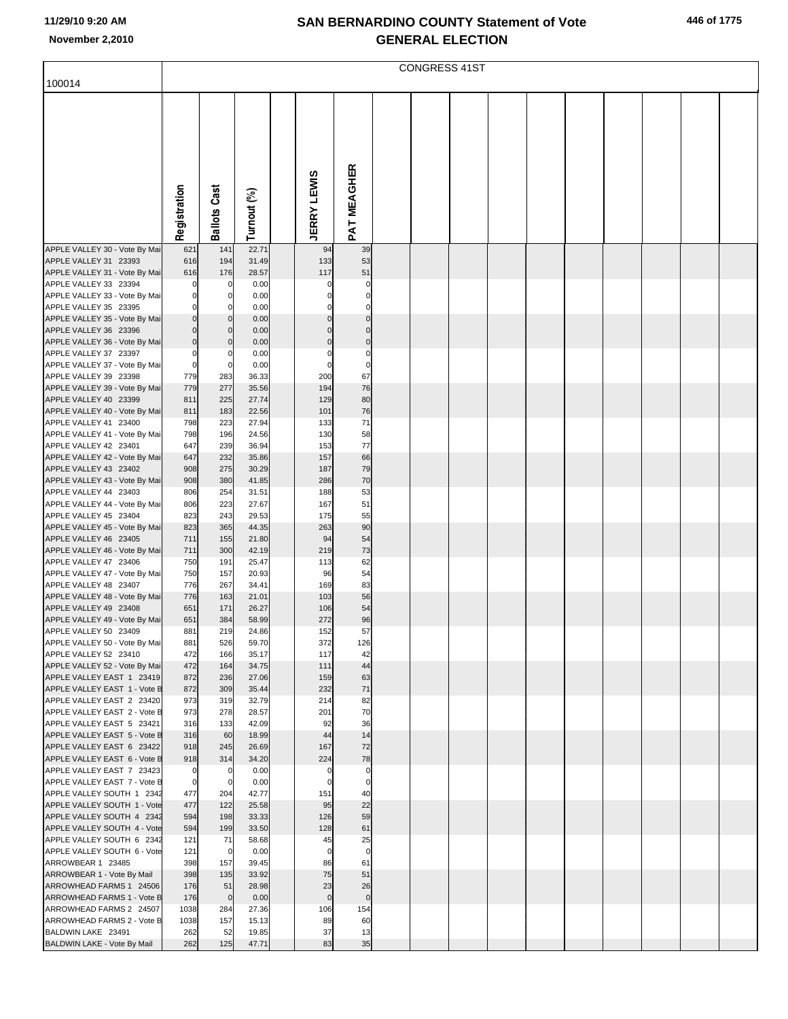|  |  | 446 of 1775 |
|--|--|-------------|
|--|--|-------------|

|                                                           |                            | CONGRESS 41ST              |                |  |                    |                            |  |  |  |  |  |  |  |  |
|-----------------------------------------------------------|----------------------------|----------------------------|----------------|--|--------------------|----------------------------|--|--|--|--|--|--|--|--|
| 100014                                                    |                            |                            |                |  |                    |                            |  |  |  |  |  |  |  |  |
|                                                           |                            |                            |                |  |                    |                            |  |  |  |  |  |  |  |  |
|                                                           |                            |                            |                |  |                    |                            |  |  |  |  |  |  |  |  |
|                                                           |                            |                            |                |  |                    |                            |  |  |  |  |  |  |  |  |
|                                                           |                            |                            |                |  |                    |                            |  |  |  |  |  |  |  |  |
|                                                           |                            |                            |                |  |                    |                            |  |  |  |  |  |  |  |  |
|                                                           |                            |                            |                |  |                    |                            |  |  |  |  |  |  |  |  |
|                                                           |                            |                            |                |  |                    |                            |  |  |  |  |  |  |  |  |
|                                                           |                            |                            |                |  |                    |                            |  |  |  |  |  |  |  |  |
|                                                           |                            |                            |                |  |                    |                            |  |  |  |  |  |  |  |  |
|                                                           | Registration               | <b>Ballots Cast</b>        | Turnout (%)    |  | <b>JERRY LEWIS</b> | PAT MEAGHER                |  |  |  |  |  |  |  |  |
|                                                           |                            |                            |                |  |                    |                            |  |  |  |  |  |  |  |  |
| APPLE VALLEY 30 - Vote By Mai<br>APPLE VALLEY 31 23393    | 621<br>616                 | 141<br>194                 | 22.71<br>31.49 |  | 94<br>133          | 39<br>53                   |  |  |  |  |  |  |  |  |
| APPLE VALLEY 31 - Vote By Mai                             | 616                        | 176                        | 28.57          |  | 117                | 51                         |  |  |  |  |  |  |  |  |
| APPLE VALLEY 33 23394                                     | 0                          | 0                          | 0.00           |  | 0                  | $\pmb{0}$                  |  |  |  |  |  |  |  |  |
| APPLE VALLEY 33 - Vote By Mai                             | $\pmb{0}$                  | 0                          | 0.00           |  | $\Omega$           | 0                          |  |  |  |  |  |  |  |  |
| APPLE VALLEY 35 23395                                     | $\mathbf 0$                | $\Omega$                   | 0.00           |  | $\Omega$           | $\mathbf 0$                |  |  |  |  |  |  |  |  |
| APPLE VALLEY 35 - Vote By Mai<br>APPLE VALLEY 36 23396    | $\mathbf 0$<br>$\mathbf 0$ | $\mathbf 0$<br>$\mathbf 0$ | 0.00<br>0.00   |  | $\Omega$           | $\mathbf 0$<br>$\mathbf 0$ |  |  |  |  |  |  |  |  |
| APPLE VALLEY 36 - Vote By Mai                             | $\mathbf 0$                | $\mathbf 0$                | 0.00           |  | $\Omega$           | $\pmb{0}$                  |  |  |  |  |  |  |  |  |
| APPLE VALLEY 37 23397                                     | $\pmb{0}$                  | 0                          | 0.00           |  | 0                  | $\pmb{0}$                  |  |  |  |  |  |  |  |  |
| APPLE VALLEY 37 - Vote By Mai                             | $\mathbf 0$                | 0                          | 0.00           |  | $\Omega$           | $\pmb{0}$                  |  |  |  |  |  |  |  |  |
| APPLE VALLEY 39 23398                                     | 779                        | 283                        | 36.33          |  | 200                | 67                         |  |  |  |  |  |  |  |  |
| APPLE VALLEY 39 - Vote By Mai<br>APPLE VALLEY 40 23399    | 779<br>811                 | 277<br>225                 | 35.56<br>27.74 |  | 194<br>129         | 76<br>80                   |  |  |  |  |  |  |  |  |
| APPLE VALLEY 40 - Vote By Mai                             | 811                        | 183                        | 22.56          |  | 101                | 76                         |  |  |  |  |  |  |  |  |
| APPLE VALLEY 41 23400                                     | 798                        | 223                        | 27.94          |  | 133                | 71                         |  |  |  |  |  |  |  |  |
| APPLE VALLEY 41 - Vote By Mai                             | 798                        | 196                        | 24.56          |  | 130                | 58                         |  |  |  |  |  |  |  |  |
| APPLE VALLEY 42 23401                                     | 647<br>647                 | 239<br>232                 | 36.94<br>35.86 |  | 153<br>157         | 77<br>66                   |  |  |  |  |  |  |  |  |
| APPLE VALLEY 42 - Vote By Mai<br>APPLE VALLEY 43 23402    | 908                        | 275                        | 30.29          |  | 187                | 79                         |  |  |  |  |  |  |  |  |
| APPLE VALLEY 43 - Vote By Mai                             | 908                        | 380                        | 41.85          |  | 286                | 70                         |  |  |  |  |  |  |  |  |
| APPLE VALLEY 44 23403                                     | 806                        | 254                        | 31.51          |  | 188                | 53                         |  |  |  |  |  |  |  |  |
| APPLE VALLEY 44 - Vote By Mai                             | 806                        | 223                        | 27.67          |  | 167                | 51                         |  |  |  |  |  |  |  |  |
| APPLE VALLEY 45 23404<br>APPLE VALLEY 45 - Vote By Mai    | 823<br>823                 | 243<br>365                 | 29.53<br>44.35 |  | 175<br>263         | 55<br>90                   |  |  |  |  |  |  |  |  |
| APPLE VALLEY 46 23405                                     | 711                        | 155                        | 21.80          |  | 94                 | 54                         |  |  |  |  |  |  |  |  |
| APPLE VALLEY 46 - Vote By Mai                             | 711                        | 300                        | 42.19          |  | 219                | 73                         |  |  |  |  |  |  |  |  |
| APPLE VALLEY 47 23406                                     | 750                        | 191                        | 25.47          |  | 113                | 62                         |  |  |  |  |  |  |  |  |
| APPLE VALLEY 47 - Vote By Mai<br>APPLE VALLEY 48 23407    | 750<br>776                 | 157<br>267                 | 20.93<br>34.41 |  | 96<br>169          | 54<br>83                   |  |  |  |  |  |  |  |  |
| APPLE VALLEY 48 - Vote By Mai                             | 776                        | 163                        | 21.01          |  | 103                | 56                         |  |  |  |  |  |  |  |  |
| APPLE VALLEY 49 23408                                     | 651                        | 171                        | 26.27          |  | 106                | 54                         |  |  |  |  |  |  |  |  |
| APPLE VALLEY 49 - Vote By Mai                             | 651                        | 384                        | 58.99          |  | 272                | 96                         |  |  |  |  |  |  |  |  |
| APPLE VALLEY 50 23409                                     | 881                        | 219                        | 24.86          |  | 152                | 57                         |  |  |  |  |  |  |  |  |
| APPLE VALLEY 50 - Vote By Mai<br>APPLE VALLEY 52 23410    | 881<br>472                 | 526<br>166                 | 59.70<br>35.17 |  | 372<br>117         | 126<br>42                  |  |  |  |  |  |  |  |  |
| APPLE VALLEY 52 - Vote By Mai                             | 472                        | 164                        | 34.75          |  | 111                | 44                         |  |  |  |  |  |  |  |  |
| APPLE VALLEY EAST 1 23419                                 | 872                        | 236                        | 27.06          |  | 159                | 63                         |  |  |  |  |  |  |  |  |
| APPLE VALLEY EAST 1 - Vote B                              | 872                        | 309                        | 35.44          |  | 232                | 71                         |  |  |  |  |  |  |  |  |
| APPLE VALLEY EAST 2 23420<br>APPLE VALLEY EAST 2 - Vote B | 973<br>973                 | 319<br>278                 | 32.79<br>28.57 |  | 214<br>201         | 82<br>70                   |  |  |  |  |  |  |  |  |
| APPLE VALLEY EAST 5 23421                                 | 316                        | 133                        | 42.09          |  | 92                 | 36                         |  |  |  |  |  |  |  |  |
| APPLE VALLEY EAST 5 - Vote B                              | 316                        | 60                         | 18.99          |  | 44                 | 14                         |  |  |  |  |  |  |  |  |
| APPLE VALLEY EAST 6 23422                                 | 918                        | 245                        | 26.69          |  | 167                | 72                         |  |  |  |  |  |  |  |  |
| APPLE VALLEY EAST 6 - Vote B<br>APPLE VALLEY EAST 7 23423 | 918                        | 314<br>$\mathbf 0$         | 34.20          |  | 224                | 78                         |  |  |  |  |  |  |  |  |
| APPLE VALLEY EAST 7 - Vote B                              | 0<br>$\pmb{0}$             | $\mathbf 0$                | 0.00<br>0.00   |  | 0<br>$\Omega$      | $\pmb{0}$<br>$\mathbf 0$   |  |  |  |  |  |  |  |  |
| APPLE VALLEY SOUTH 1 2342                                 | 477                        | 204                        | 42.77          |  | 151                | 40                         |  |  |  |  |  |  |  |  |
| APPLE VALLEY SOUTH 1 - Vote                               | 477                        | 122                        | 25.58          |  | 95                 | 22                         |  |  |  |  |  |  |  |  |
| APPLE VALLEY SOUTH 4 2342                                 | 594                        | 198                        | 33.33          |  | 126                | 59                         |  |  |  |  |  |  |  |  |
| APPLE VALLEY SOUTH 4 - Vote<br>APPLE VALLEY SOUTH 6 2342  | 594<br>121                 | 199<br>71                  | 33.50<br>58.68 |  | 128<br>45          | 61<br>25                   |  |  |  |  |  |  |  |  |
| APPLE VALLEY SOUTH 6 - Vote                               | 121                        | $\overline{0}$             | 0.00           |  | $\mathbf 0$        | $\pmb{0}$                  |  |  |  |  |  |  |  |  |
| ARROWBEAR 1 23485                                         | 398                        | 157                        | 39.45          |  | 86                 | 61                         |  |  |  |  |  |  |  |  |
| ARROWBEAR 1 - Vote By Mail                                | 398                        | 135                        | 33.92          |  | 75                 | 51                         |  |  |  |  |  |  |  |  |
| ARROWHEAD FARMS 1 24506                                   | 176                        | 51                         | 28.98          |  | 23                 | 26                         |  |  |  |  |  |  |  |  |
| ARROWHEAD FARMS 1 - Vote B<br>ARROWHEAD FARMS 2 24507     | 176<br>1038                | $\overline{0}$<br>284      | 0.00<br>27.36  |  | $\pmb{0}$<br>106   | $\pmb{0}$<br>154           |  |  |  |  |  |  |  |  |
| ARROWHEAD FARMS 2 - Vote B                                | 1038                       | 157                        | 15.13          |  | 89                 | 60                         |  |  |  |  |  |  |  |  |
| BALDWIN LAKE 23491                                        | 262                        | 52                         | 19.85          |  | 37                 | 13                         |  |  |  |  |  |  |  |  |
| BALDWIN LAKE - Vote By Mail                               | 262                        | 125                        | 47.71          |  | 83                 | 35                         |  |  |  |  |  |  |  |  |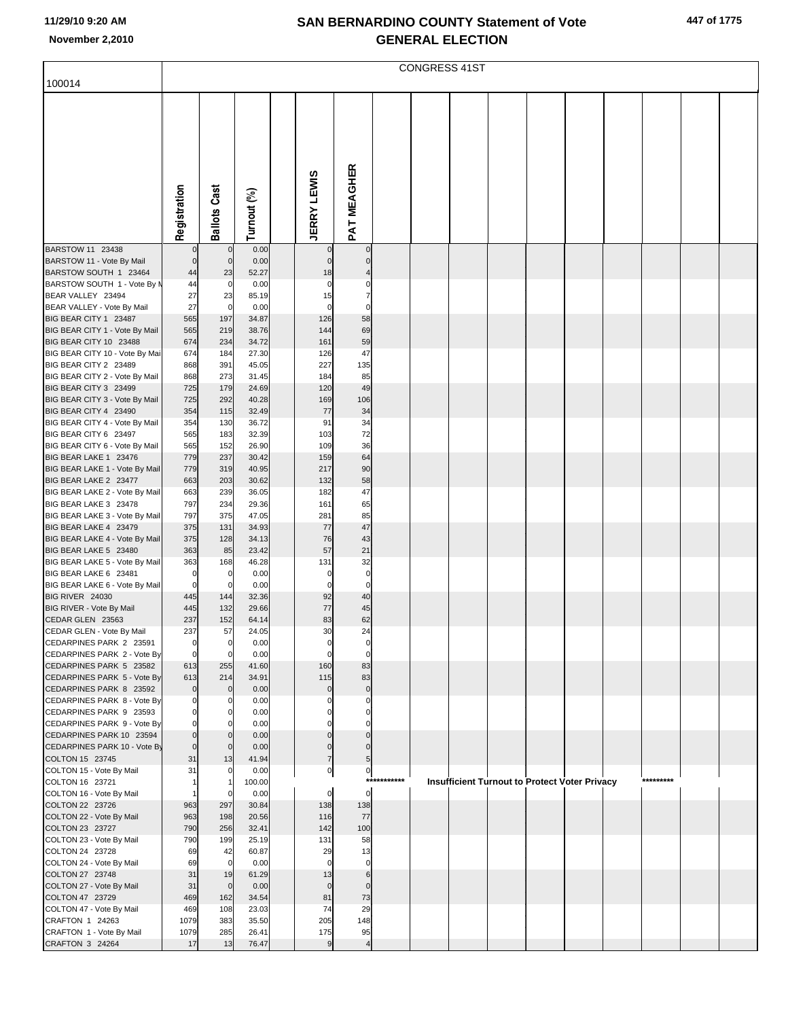|  | 447 of 1775 |
|--|-------------|
|  |             |

|                                                         |                    | <b>CONGRESS 41ST</b> |                |  |                               |                               |             |  |  |  |                                               |  |           |  |
|---------------------------------------------------------|--------------------|----------------------|----------------|--|-------------------------------|-------------------------------|-------------|--|--|--|-----------------------------------------------|--|-----------|--|
| 100014                                                  |                    |                      |                |  |                               |                               |             |  |  |  |                                               |  |           |  |
|                                                         | Registration       | <b>Ballots Cast</b>  | Turnout (%)    |  | <b>JERRY LEWIS</b>            | PAT MEAGHER                   |             |  |  |  |                                               |  |           |  |
| BARSTOW 11 23438                                        |                    | $\mathbf 0$          | 0.00           |  |                               | $\pmb{0}$                     |             |  |  |  |                                               |  |           |  |
| BARSTOW 11 - Vote By Mail                               | $\mathbf 0$        | $\mathbf 0$          | 0.00           |  | 0<br>$\pmb{0}$                | $\pmb{0}$                     |             |  |  |  |                                               |  |           |  |
| BARSTOW SOUTH 1 23464                                   | 44                 | 23                   | 52.27          |  | 18                            | $\overline{\mathbf{4}}$       |             |  |  |  |                                               |  |           |  |
| BARSTOW SOUTH 1 - Vote By M                             | 44                 | $\mathbf 0$          | 0.00           |  | $\mathbf 0$                   | $\mathbf 0$                   |             |  |  |  |                                               |  |           |  |
| BEAR VALLEY 23494<br>BEAR VALLEY - Vote By Mail         | 27<br>27           | 23<br>$\mathbf 0$    | 85.19<br>0.00  |  | 15<br>$\mathbf 0$             | $\overline{7}$<br>$\mathbf 0$ |             |  |  |  |                                               |  |           |  |
| BIG BEAR CITY 1 23487                                   | 565                | 197                  | 34.87          |  | 126                           | 58                            |             |  |  |  |                                               |  |           |  |
| BIG BEAR CITY 1 - Vote By Mail                          | 565                | 219                  | 38.76          |  | 144                           | 69                            |             |  |  |  |                                               |  |           |  |
| BIG BEAR CITY 10 23488                                  | 674                | 234                  | 34.72          |  | 161                           | 59                            |             |  |  |  |                                               |  |           |  |
| BIG BEAR CITY 10 - Vote By Mai<br>BIG BEAR CITY 2 23489 | 674<br>868         | 184<br>391           | 27.30<br>45.05 |  | 126<br>227                    | 47<br>135                     |             |  |  |  |                                               |  |           |  |
| BIG BEAR CITY 2 - Vote By Mail                          | 868                | 273                  | 31.45          |  | 184                           | 85                            |             |  |  |  |                                               |  |           |  |
| BIG BEAR CITY 3 23499                                   | 725                | 179                  | 24.69          |  | 120                           | 49                            |             |  |  |  |                                               |  |           |  |
| BIG BEAR CITY 3 - Vote By Mail                          | 725                | 292                  | 40.28          |  | 169                           | 106                           |             |  |  |  |                                               |  |           |  |
| BIG BEAR CITY 4 23490                                   | 354                | 115                  | 32.49          |  | 77                            | 34                            |             |  |  |  |                                               |  |           |  |
| BIG BEAR CITY 4 - Vote By Mail<br>BIG BEAR CITY 6 23497 | 354<br>565         | 130<br>183           | 36.72<br>32.39 |  | 91<br>103                     | 34<br>72                      |             |  |  |  |                                               |  |           |  |
| BIG BEAR CITY 6 - Vote By Mail                          | 565                | 152                  | 26.90          |  | 109                           | 36                            |             |  |  |  |                                               |  |           |  |
| BIG BEAR LAKE 1 23476                                   | 779                | 237                  | 30.42          |  | 159                           | 64                            |             |  |  |  |                                               |  |           |  |
| BIG BEAR LAKE 1 - Vote By Mail                          | 779                | 319                  | 40.95          |  | 217                           | 90                            |             |  |  |  |                                               |  |           |  |
| BIG BEAR LAKE 2 23477                                   | 663                | 203                  | 30.62          |  | 132                           | 58                            |             |  |  |  |                                               |  |           |  |
| BIG BEAR LAKE 2 - Vote By Mail<br>BIG BEAR LAKE 3 23478 | 663<br>797         | 239<br>234           | 36.05<br>29.36 |  | 182<br>161                    | 47<br>65                      |             |  |  |  |                                               |  |           |  |
| BIG BEAR LAKE 3 - Vote By Mail                          | 797                | 375                  | 47.05          |  | 281                           | 85                            |             |  |  |  |                                               |  |           |  |
| BIG BEAR LAKE 4 23479                                   | 375                | 131                  | 34.93          |  | 77                            | 47                            |             |  |  |  |                                               |  |           |  |
| BIG BEAR LAKE 4 - Vote By Mail                          | 375                | 128                  | 34.13          |  | 76                            | 43                            |             |  |  |  |                                               |  |           |  |
| BIG BEAR LAKE 5 23480                                   | 363                | 85                   | 23.42<br>46.28 |  | 57<br>131                     | 21<br>32                      |             |  |  |  |                                               |  |           |  |
| BIG BEAR LAKE 5 - Vote By Mail<br>BIG BEAR LAKE 6 23481 | 363<br>$\mathbf 0$ | 168<br>0             | 0.00           |  | $\pmb{0}$                     | $\mathbf 0$                   |             |  |  |  |                                               |  |           |  |
| BIG BEAR LAKE 6 - Vote By Mail                          | $\mathbf 0$        | $\mathbf 0$          | 0.00           |  | $\mathbf 0$                   | $\mathbf 0$                   |             |  |  |  |                                               |  |           |  |
| BIG RIVER 24030                                         | 445                | 144                  | 32.36          |  | 92                            | 40                            |             |  |  |  |                                               |  |           |  |
| BIG RIVER - Vote By Mail                                | 445                | 132                  | 29.66          |  | 77                            | 45                            |             |  |  |  |                                               |  |           |  |
| CEDAR GLEN 23563<br>CEDAR GLEN - Vote By Mail           | 237<br>237         | 152<br>57            | 64.14<br>24.05 |  | 83<br>30                      | 62<br>24                      |             |  |  |  |                                               |  |           |  |
| CEDARPINES PARK 2 23591                                 | $\mathbf 0$        | 0                    | 0.00           |  |                               | 0                             |             |  |  |  |                                               |  |           |  |
| CEDARPINES PARK 2 - Vote By                             | $\mathbf 0$        | C.                   | 0.00           |  | 0                             | $\mathbf 0$                   |             |  |  |  |                                               |  |           |  |
| CEDARPINES PARK 5 23582                                 | 613                | 255                  | 41.60          |  | 160                           | 83                            |             |  |  |  |                                               |  |           |  |
| CEDARPINES PARK 5 - Vote By                             | 613                | 214                  | 34.91          |  | 115                           | 83                            |             |  |  |  |                                               |  |           |  |
| CEDARPINES PARK 8 23592<br>CEDARPINES PARK 8 - Vote By  | $\mathbf 0$        | $\mathbf 0$<br>0     | 0.00<br>0.00   |  | $\mathbf 0$                   | $\mathbf 0$<br>$\mathbf 0$    |             |  |  |  |                                               |  |           |  |
| CEDARPINES PARK 9 23593                                 | 0                  | 0                    | 0.00           |  |                               | $\mathbf 0$                   |             |  |  |  |                                               |  |           |  |
| CEDARPINES PARK 9 - Vote By                             | $\Omega$           |                      | 0.00           |  |                               | $\mathbf 0$                   |             |  |  |  |                                               |  |           |  |
| CEDARPINES PARK 10 23594                                | $\overline{0}$     | $\mathbf 0$          | 0.00           |  | $\mathbf 0$                   | $\overline{0}$                |             |  |  |  |                                               |  |           |  |
| CEDARPINES PARK 10 - Vote By<br>COLTON 15 23745         | $\mathbf 0$<br>31  | $\mathbf 0$<br>13    | 0.00<br>41.94  |  | $\mathbf 0$<br>$\overline{7}$ | $\mathbf 0$<br>5              |             |  |  |  |                                               |  |           |  |
| COLTON 15 - Vote By Mail                                | 31                 | $\Omega$             | 0.00           |  | 0                             | $\mathbf{0}$                  |             |  |  |  |                                               |  |           |  |
| COLTON 16 23721                                         |                    |                      | 100.00         |  |                               |                               | *********** |  |  |  | Insufficient Turnout to Protect Voter Privacy |  | ********* |  |
| COLTON 16 - Vote By Mail                                |                    | C.                   | 0.00           |  | $\mathbf 0$                   | $\overline{0}$                |             |  |  |  |                                               |  |           |  |
| COLTON 22 23726                                         | 963                | 297                  | 30.84          |  | 138                           | 138                           |             |  |  |  |                                               |  |           |  |
| COLTON 22 - Vote By Mail<br>COLTON 23 23727             | 963<br>790         | 198<br>256           | 20.56<br>32.41 |  | 116<br>142                    | 77<br>100                     |             |  |  |  |                                               |  |           |  |
| COLTON 23 - Vote By Mail                                | 790                | 199                  | 25.19          |  | 131                           | 58                            |             |  |  |  |                                               |  |           |  |
| COLTON 24 23728                                         | 69                 | 42                   | 60.87          |  | 29                            | 13                            |             |  |  |  |                                               |  |           |  |
| COLTON 24 - Vote By Mail                                | 69                 | $\mathbf 0$          | 0.00           |  | $\Omega$                      | $\mathbf 0$                   |             |  |  |  |                                               |  |           |  |
| COLTON 27 23748<br>COLTON 27 - Vote By Mail             | 31<br>31           | 19<br>$\mathbf 0$    | 61.29<br>0.00  |  | 13<br>$\mathbf 0$             | 6<br>$\pmb{0}$                |             |  |  |  |                                               |  |           |  |
| COLTON 47 23729                                         | 469                | 162                  | 34.54          |  | 81                            | 73                            |             |  |  |  |                                               |  |           |  |
| COLTON 47 - Vote By Mail                                | 469                | 108                  | 23.03          |  | 74                            | 29                            |             |  |  |  |                                               |  |           |  |
| CRAFTON 1 24263                                         | 1079               | 383                  | 35.50          |  | 205                           | 148                           |             |  |  |  |                                               |  |           |  |
| CRAFTON 1 - Vote By Mail                                | 1079               | 285                  | 26.41          |  | 175                           | 95                            |             |  |  |  |                                               |  |           |  |
| CRAFTON 3 24264                                         | 17                 | 13                   | 76.47          |  | 9                             | 4                             |             |  |  |  |                                               |  |           |  |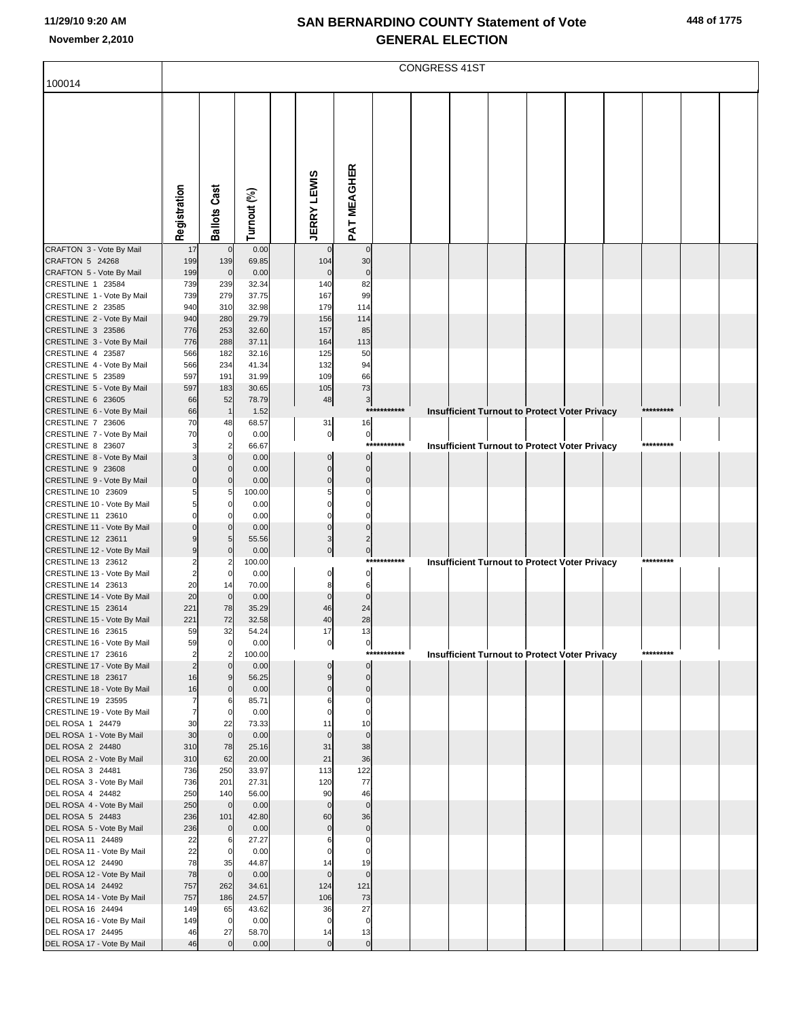|                                                   |                         | <b>CONGRESS 41ST</b> |                |  |                    |                            |             |  |  |  |                                                      |  |           |  |
|---------------------------------------------------|-------------------------|----------------------|----------------|--|--------------------|----------------------------|-------------|--|--|--|------------------------------------------------------|--|-----------|--|
| 100014                                            |                         |                      |                |  |                    |                            |             |  |  |  |                                                      |  |           |  |
|                                                   | Registration            | <b>Ballots Cast</b>  | Turnout (%)    |  | <b>JERRY LEWIS</b> | PAT MEAGHER                |             |  |  |  |                                                      |  |           |  |
| CRAFTON 3 - Vote By Mail                          | 17                      | $\overline{0}$       | 0.00           |  |                    | $\mathbf 0$                |             |  |  |  |                                                      |  |           |  |
| CRAFTON 5 24268                                   | 199                     | 139                  | 69.85          |  | 104                | 30                         |             |  |  |  |                                                      |  |           |  |
| CRAFTON 5 - Vote By Mail                          | 199                     | $\mathbf 0$          | 0.00           |  | $\Omega$           | $\mathbf 0$                |             |  |  |  |                                                      |  |           |  |
| CRESTLINE 1 23584                                 | 739                     | 239                  | 32.34          |  | 140                | 82                         |             |  |  |  |                                                      |  |           |  |
| CRESTLINE 1 - Vote By Mail<br>CRESTLINE 2 23585   | 739<br>940              | 279<br>310           | 37.75<br>32.98 |  | 167<br>179         | 99<br>114                  |             |  |  |  |                                                      |  |           |  |
| CRESTLINE 2 - Vote By Mail                        | 940                     | 280                  | 29.79          |  | 156                | 114                        |             |  |  |  |                                                      |  |           |  |
| CRESTLINE 3 23586                                 | 776                     | 253                  | 32.60          |  | 157                | 85                         |             |  |  |  |                                                      |  |           |  |
| CRESTLINE 3 - Vote By Mail                        | 776                     | 288                  | 37.11          |  | 164                | 113                        |             |  |  |  |                                                      |  |           |  |
| CRESTLINE 4 23587                                 | 566                     | 182                  | 32.16          |  | 125                | 50                         |             |  |  |  |                                                      |  |           |  |
| CRESTLINE 4 - Vote By Mail<br>CRESTLINE 5 23589   | 566<br>597              | 234<br>191           | 41.34<br>31.99 |  | 132<br>109         | 94<br>66                   |             |  |  |  |                                                      |  |           |  |
| CRESTLINE 5 - Vote By Mail                        | 597                     | 183                  | 30.65          |  | 105                | 73                         |             |  |  |  |                                                      |  |           |  |
| CRESTLINE 6 23605                                 | 66                      | 52                   | 78.79          |  | 48                 | $\mathbf{3}$               |             |  |  |  |                                                      |  |           |  |
| CRESTLINE 6 - Vote By Mail                        | 66                      | $\overline{1}$       | 1.52           |  |                    |                            | *********** |  |  |  | <b>Insufficient Turnout to Protect Voter Privacy</b> |  | ********* |  |
| CRESTLINE 7 23606                                 | 70                      | 48                   | 68.57          |  | 31                 | 16                         |             |  |  |  |                                                      |  |           |  |
| CRESTLINE 7 - Vote By Mail<br>CRESTLINE 8 23607   | 70<br>3                 | $\mathbf 0$          | 0.00<br>66.67  |  | $\overline{0}$     | $\overline{0}$<br>****     |             |  |  |  | <b>Insufficient Turnout to Protect Voter Privacy</b> |  | ********* |  |
| CRESTLINE 8 - Vote By Mail                        | 3                       | $\mathbf{0}$         | 0.00           |  | $\mathbf 0$        | $\overline{0}$             |             |  |  |  |                                                      |  |           |  |
| CRESTLINE 9 23608                                 | $\mathbf 0$             | $\Omega$             | 0.00           |  | $\mathbf 0$        | $\mathbf 0$                |             |  |  |  |                                                      |  |           |  |
| CRESTLINE 9 - Vote By Mail                        | $\mathsf{O}\xspace$     | $\Omega$             | 0.00           |  | $\mathbf{0}$       | $\mathbf 0$                |             |  |  |  |                                                      |  |           |  |
| CRESTLINE 10 23609                                | 5                       | 5                    | 100.00         |  |                    | $\Omega$                   |             |  |  |  |                                                      |  |           |  |
| CRESTLINE 10 - Vote By Mail<br>CRESTLINE 11 23610 | 5<br>0                  | $\Omega$<br>0        | 0.00<br>0.00   |  | $\Omega$<br>0      | $\Omega$<br>$\Omega$       |             |  |  |  |                                                      |  |           |  |
| CRESTLINE 11 - Vote By Mail                       | $\mathbf 0$             | $\Omega$             | 0.00           |  | $\Omega$           | $\Omega$                   |             |  |  |  |                                                      |  |           |  |
| CRESTLINE 12 23611                                | 9                       | 5                    | 55.56          |  | 3                  | 2                          |             |  |  |  |                                                      |  |           |  |
| CRESTLINE 12 - Vote By Mail                       | 9                       | $\mathbf 0$          | 0.00           |  | $\mathbf 0$        | $\overline{0}$             |             |  |  |  |                                                      |  |           |  |
| CRESTLINE 13 23612                                | 2                       |                      | 100.00         |  |                    |                            | *********** |  |  |  | <b>Insufficient Turnout to Protect Voter Privacy</b> |  | ********* |  |
| CRESTLINE 13 - Vote By Mail<br>CRESTLINE 14 23613 | $\overline{2}$<br>20    | $\mathbf 0$<br>14    | 0.00<br>70.00  |  | 0<br>8             | $\overline{0}$<br>6        |             |  |  |  |                                                      |  |           |  |
| CRESTLINE 14 - Vote By Mail                       | 20                      | $\overline{0}$       | 0.00           |  | $\mathbf 0$        | $\mathbf 0$                |             |  |  |  |                                                      |  |           |  |
| CRESTLINE 15 23614                                | 221                     | 78                   | 35.29          |  | 46                 | 24                         |             |  |  |  |                                                      |  |           |  |
| CRESTLINE 15 - Vote By Mail                       | 221                     | 72                   | 32.58          |  | 40                 | 28                         |             |  |  |  |                                                      |  |           |  |
| CRESTLINE 16 23615<br>CRESTLINE 16 - Vote By Mail | 59<br>59                | 32<br>$\mathbf 0$    | 54.24<br>0.00  |  | 17                 | 13                         |             |  |  |  |                                                      |  |           |  |
| CRESTLINE 17 23616                                | $\overline{\mathbf{c}}$ | $\overline{2}$       | 100.00         |  | 이                  | $\overline{0}$             | *********** |  |  |  | <b>Insufficient Turnout to Protect Voter Privacy</b> |  | ********  |  |
| CRESTLINE 17 - Vote By Mail                       | $\overline{2}$          | $\Omega$             | 0.00           |  |                    | $\mathbf 0$                |             |  |  |  |                                                      |  |           |  |
| CRESTLINE 18 23617                                | 16                      | 9                    | 56.25          |  | 9                  | $\mathbf 0$                |             |  |  |  |                                                      |  |           |  |
| CRESTLINE 18 - Vote By Mail<br>CRESTLINE 19 23595 | 16                      | $\mathbf{0}$         | 0.00<br>85.71  |  | $\mathbf{0}$       | $\mathbf 0$<br>$\mathbf 0$ |             |  |  |  |                                                      |  |           |  |
| CRESTLINE 19 - Vote By Mail                       | 7<br>$\overline{7}$     | 6<br>$\mathbf 0$     | 0.00           |  | 6<br>$\Omega$      | $\mathbf 0$                |             |  |  |  |                                                      |  |           |  |
| DEL ROSA 1 24479                                  | 30                      | 22                   | 73.33          |  | 11                 | 10                         |             |  |  |  |                                                      |  |           |  |
| DEL ROSA 1 - Vote By Mail                         | 30                      | $\overline{0}$       | 0.00           |  | $\mathbf{0}$       | $\mathbf 0$                |             |  |  |  |                                                      |  |           |  |
| DEL ROSA 2 24480                                  | 310                     | 78                   | 25.16          |  | 31                 | 38                         |             |  |  |  |                                                      |  |           |  |
| DEL ROSA 2 - Vote By Mail<br>DEL ROSA 3 24481     | 310<br>736              | 62<br>250            | 20.00<br>33.97 |  | 21<br>113          | 36<br>122                  |             |  |  |  |                                                      |  |           |  |
| DEL ROSA 3 - Vote By Mail                         | 736                     | 201                  | 27.31          |  | 120                | 77                         |             |  |  |  |                                                      |  |           |  |
| DEL ROSA 4 24482                                  | 250                     | 140                  | 56.00          |  | 90                 | 46                         |             |  |  |  |                                                      |  |           |  |
| DEL ROSA 4 - Vote By Mail                         | 250                     | $\overline{0}$       | 0.00           |  | $\mathbf{0}$       | $\mathbf 0$                |             |  |  |  |                                                      |  |           |  |
| DEL ROSA 5 24483                                  | 236                     | 101                  | 42.80          |  | 60                 | 36                         |             |  |  |  |                                                      |  |           |  |
| DEL ROSA 5 - Vote By Mail<br>DEL ROSA 11 24489    | 236<br>22               | $\overline{0}$<br>6  | 0.00<br>27.27  |  | $\mathbf{0}$<br>6  | $\mathbf 0$<br>0           |             |  |  |  |                                                      |  |           |  |
| DEL ROSA 11 - Vote By Mail                        | 22                      | $\overline{0}$       | 0.00           |  |                    | $\mathbf 0$                |             |  |  |  |                                                      |  |           |  |
| DEL ROSA 12 24490                                 | 78                      | 35                   | 44.87          |  | 14                 | 19                         |             |  |  |  |                                                      |  |           |  |
| DEL ROSA 12 - Vote By Mail                        | 78                      | $\overline{0}$       | 0.00           |  | $\mathbf{0}$       | $\mathbf 0$                |             |  |  |  |                                                      |  |           |  |
| DEL ROSA 14 24492                                 | 757                     | 262                  | 34.61          |  | 124                | 121                        |             |  |  |  |                                                      |  |           |  |
| DEL ROSA 14 - Vote By Mail<br>DEL ROSA 16 24494   | 757<br>149              | 186<br>65            | 24.57<br>43.62 |  | 106<br>36          | 73<br>27                   |             |  |  |  |                                                      |  |           |  |
| DEL ROSA 16 - Vote By Mail                        | 149                     | $\overline{0}$       | 0.00           |  | $\Omega$           | $\mathbf 0$                |             |  |  |  |                                                      |  |           |  |
| DEL ROSA 17 24495                                 | 46                      | 27                   | 58.70          |  | 14                 | 13                         |             |  |  |  |                                                      |  |           |  |
| DEL ROSA 17 - Vote By Mail                        | 46                      | $\Omega$             | 0.00           |  | $\Omega$           | $\overline{0}$             |             |  |  |  |                                                      |  |           |  |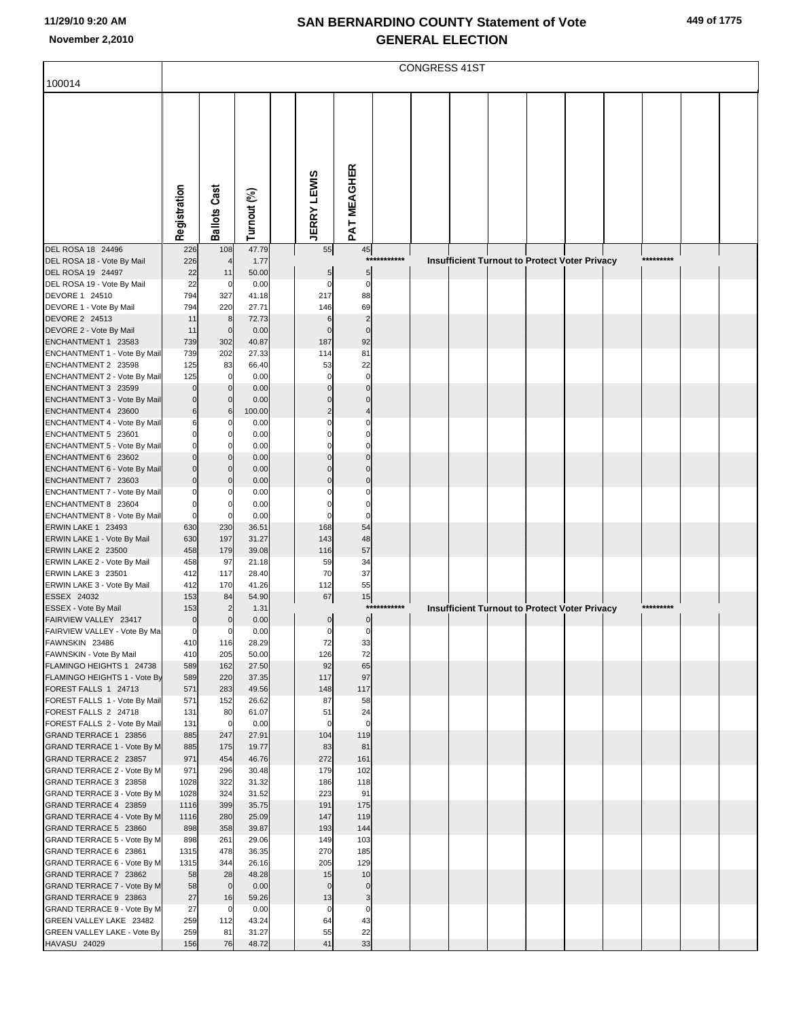|  | 449 of 1775 |
|--|-------------|
|  |             |

|                                                          |                            | CONGRESS 41ST         |                |  |                         |                            |             |  |  |  |                                                      |           |  |
|----------------------------------------------------------|----------------------------|-----------------------|----------------|--|-------------------------|----------------------------|-------------|--|--|--|------------------------------------------------------|-----------|--|
| 100014                                                   |                            |                       |                |  |                         |                            |             |  |  |  |                                                      |           |  |
|                                                          |                            |                       |                |  |                         |                            |             |  |  |  |                                                      |           |  |
|                                                          |                            |                       |                |  |                         |                            |             |  |  |  |                                                      |           |  |
|                                                          |                            |                       |                |  |                         |                            |             |  |  |  |                                                      |           |  |
|                                                          |                            |                       |                |  |                         |                            |             |  |  |  |                                                      |           |  |
|                                                          |                            |                       |                |  |                         |                            |             |  |  |  |                                                      |           |  |
|                                                          |                            |                       |                |  |                         |                            |             |  |  |  |                                                      |           |  |
|                                                          |                            |                       |                |  |                         |                            |             |  |  |  |                                                      |           |  |
|                                                          |                            |                       |                |  |                         |                            |             |  |  |  |                                                      |           |  |
|                                                          | Registration               | <b>Ballots Cast</b>   | Turnout (%)    |  | <b>JERRY LEWIS</b>      | PAT MEAGHER                |             |  |  |  |                                                      |           |  |
|                                                          |                            |                       |                |  |                         |                            |             |  |  |  |                                                      |           |  |
| DEL ROSA 18 24496<br>DEL ROSA 18 - Vote By Mail          | 226<br>226                 | 108<br>$\overline{4}$ | 47.79<br>1.77  |  | 55                      | 45                         | *********** |  |  |  | Insufficient Turnout to Protect Voter Privacy        | ********* |  |
| DEL ROSA 19 24497                                        | 22                         | 11                    | 50.00          |  | 5                       | 5                          |             |  |  |  |                                                      |           |  |
| DEL ROSA 19 - Vote By Mail                               | 22                         | $\mathbf 0$           | 0.00           |  | $\mathbf 0$             | $\mathbf 0$                |             |  |  |  |                                                      |           |  |
| DEVORE 1 24510<br>DEVORE 1 - Vote By Mail                | 794<br>794                 | 327<br>220            | 41.18<br>27.71 |  | 217<br>146              | 88<br>69                   |             |  |  |  |                                                      |           |  |
| DEVORE 2 24513                                           | 11                         | 8                     | 72.73          |  | 6                       | $\overline{c}$             |             |  |  |  |                                                      |           |  |
| DEVORE 2 - Vote By Mail                                  | 11                         | $\mathbf 0$           | 0.00           |  | $\mathbf 0$             | $\mathbf 0$                |             |  |  |  |                                                      |           |  |
| ENCHANTMENT 1 23583<br>ENCHANTMENT 1 - Vote By Mail      | 739<br>739                 | 302<br>202            | 40.87<br>27.33 |  | 187<br>114              | 92<br>81                   |             |  |  |  |                                                      |           |  |
| ENCHANTMENT 2 23598                                      | 125                        | 83                    | 66.40          |  | 53                      | 22                         |             |  |  |  |                                                      |           |  |
| ENCHANTMENT 2 - Vote By Mail                             | 125                        | $\mathbf 0$           | 0.00           |  | $\Omega$                | $\mathbf 0$                |             |  |  |  |                                                      |           |  |
| ENCHANTMENT 3 23599                                      | $\mathbf 0$<br>$\mathbf 0$ | $\mathbf 0$           | 0.00           |  | $\Omega$<br>$\mathbf 0$ | $\mathbf 0$<br>$\mathbf 0$ |             |  |  |  |                                                      |           |  |
| ENCHANTMENT 3 - Vote By Mail<br>ENCHANTMENT 4 23600      | 6                          | C<br>6                | 0.00<br>100.00 |  | $\overline{2}$          | $\overline{4}$             |             |  |  |  |                                                      |           |  |
| ENCHANTMENT 4 - Vote By Mail                             | 6                          |                       | 0.00           |  |                         | $\Omega$                   |             |  |  |  |                                                      |           |  |
| ENCHANTMENT 5 23601                                      | $\Omega$                   | C                     | 0.00           |  |                         | $\mathbf 0$                |             |  |  |  |                                                      |           |  |
| ENCHANTMENT 5 - Vote By Mail<br>ENCHANTMENT 6 23602      | $\Omega$<br>$\overline{0}$ | $\mathbf 0$           | 0.00<br>0.00   |  | $\mathbf 0$             | $\Omega$<br>$\mathbf 0$    |             |  |  |  |                                                      |           |  |
| <b>ENCHANTMENT 6 - Vote By Mail</b>                      | $\Omega$                   | $\mathcal{C}$         | 0.00           |  | $\Omega$                | $\mathbf 0$                |             |  |  |  |                                                      |           |  |
| ENCHANTMENT 7 23603                                      | $\Omega$                   | $\mathcal{C}$         | 0.00           |  | $\Omega$                | $\mathbf 0$                |             |  |  |  |                                                      |           |  |
| ENCHANTMENT 7 - Vote By Mail<br>ENCHANTMENT 8 23604      | $\Omega$<br>$\mathbf 0$    | C.                    | 0.00<br>0.00   |  |                         | $\mathbf 0$<br>$\mathbf 0$ |             |  |  |  |                                                      |           |  |
| ENCHANTMENT 8 - Vote By Mail                             | $\mathbf 0$                | C.                    | 0.00           |  |                         | $\mathbf 0$                |             |  |  |  |                                                      |           |  |
| ERWIN LAKE 1 23493                                       | 630                        | 230                   | 36.51          |  | 168                     | 54                         |             |  |  |  |                                                      |           |  |
| ERWIN LAKE 1 - Vote By Mail<br><b>ERWIN LAKE 2 23500</b> | 630<br>458                 | 197<br>179            | 31.27<br>39.08 |  | 143<br>116              | 48<br>57                   |             |  |  |  |                                                      |           |  |
| ERWIN LAKE 2 - Vote By Mail                              | 458                        | 97                    | 21.18          |  | 59                      | 34                         |             |  |  |  |                                                      |           |  |
| ERWIN LAKE 3 23501                                       | 412                        | 117                   | 28.40          |  | 70                      | 37                         |             |  |  |  |                                                      |           |  |
| ERWIN LAKE 3 - Vote By Mail<br>ESSEX 24032               | 412<br>153                 | 170<br>84             | 41.26<br>54.90 |  | 112<br>67               | 55<br>15                   |             |  |  |  |                                                      |           |  |
| ESSEX - Vote By Mail                                     | 153                        | $\overline{2}$        | 1.31           |  |                         |                            | *********** |  |  |  | <b>Insufficient Turnout to Protect Voter Privacy</b> | ********* |  |
| FAIRVIEW VALLEY 23417                                    | $\mathbf 0$                | $\mathbf 0$           | 0.00           |  | $\overline{0}$          | $\overline{0}$             |             |  |  |  |                                                      |           |  |
| FAIRVIEW VALLEY - Vote By Ma<br>FAWNSKIN 23486           | $\Omega$<br>410            | C<br>116              | 0.00<br>28.29  |  | $\mathbf 0$<br>72       | $\mathbf{0}$<br>33         |             |  |  |  |                                                      |           |  |
| FAWNSKIN - Vote By Mail                                  | 410                        | 205                   | 50.00          |  | 126                     | 72                         |             |  |  |  |                                                      |           |  |
| FLAMINGO HEIGHTS 1 24738                                 | 589                        | 162                   | 27.50          |  | 92                      | 65                         |             |  |  |  |                                                      |           |  |
| FLAMINGO HEIGHTS 1 - Vote By<br>FOREST FALLS 1 24713     | 589<br>571                 | 220<br>283            | 37.35<br>49.56 |  | 117<br>148              | 97<br>117                  |             |  |  |  |                                                      |           |  |
| FOREST FALLS 1 - Vote By Mail                            | 571                        | 152                   | 26.62          |  | 87                      | 58                         |             |  |  |  |                                                      |           |  |
| FOREST FALLS 2 24718                                     | 131                        | 80                    | 61.07          |  | 51                      | 24                         |             |  |  |  |                                                      |           |  |
| FOREST FALLS 2 - Vote By Mail<br>GRAND TERRACE 1 23856   | 131<br>885                 | $\mathbf 0$<br>247    | 0.00<br>27.91  |  | $\Omega$<br>104         | $\mathbf 0$<br>119         |             |  |  |  |                                                      |           |  |
| GRAND TERRACE 1 - Vote By M                              | 885                        | 175                   | 19.77          |  | 83                      | 81                         |             |  |  |  |                                                      |           |  |
| GRAND TERRACE 2 23857                                    | 971                        | 454                   | 46.76          |  | 272                     | 161                        |             |  |  |  |                                                      |           |  |
| GRAND TERRACE 2 - Vote By M<br>GRAND TERRACE 3 23858     | 971<br>1028                | 296<br>322            | 30.48<br>31.32 |  | 179<br>186              | 102<br>118                 |             |  |  |  |                                                      |           |  |
| GRAND TERRACE 3 - Vote By M                              | 1028                       | 324                   | 31.52          |  | 223                     | 91                         |             |  |  |  |                                                      |           |  |
| GRAND TERRACE 4 23859                                    | 1116                       | 399                   | 35.75          |  | 191                     | 175                        |             |  |  |  |                                                      |           |  |
| GRAND TERRACE 4 - Vote By M<br>GRAND TERRACE 5 23860     | 1116<br>898                | 280<br>358            | 25.09<br>39.87 |  | 147<br>193              | 119<br>144                 |             |  |  |  |                                                      |           |  |
| GRAND TERRACE 5 - Vote By M                              | 898                        | 261                   | 29.06          |  | 149                     | 103                        |             |  |  |  |                                                      |           |  |
| GRAND TERRACE 6 23861                                    | 1315                       | 478                   | 36.35          |  | 270                     | 185                        |             |  |  |  |                                                      |           |  |
| GRAND TERRACE 6 - Vote By M<br>GRAND TERRACE 7 23862     | 1315<br>58                 | 344<br>28             | 26.16<br>48.28 |  | 205<br>15               | 129<br>10                  |             |  |  |  |                                                      |           |  |
| GRAND TERRACE 7 - Vote By M                              | 58                         | $\mathbf 0$           | 0.00           |  | $\mathbf 0$             | $\mathbf 0$                |             |  |  |  |                                                      |           |  |
| GRAND TERRACE 9 23863                                    | 27                         | 16                    | 59.26          |  | 13                      | 3                          |             |  |  |  |                                                      |           |  |
| GRAND TERRACE 9 - Vote By M<br>GREEN VALLEY LAKE 23482   | 27<br>259                  | $\mathbf 0$<br>112    | 0.00<br>43.24  |  | $\mathbf 0$<br>64       | $\mathbf 0$<br>43          |             |  |  |  |                                                      |           |  |
| GREEN VALLEY LAKE - Vote By                              | 259                        | 81                    | 31.27          |  | 55                      | 22                         |             |  |  |  |                                                      |           |  |
| HAVASU 24029                                             | 156                        | 76                    | 48.72          |  | 41                      | 33                         |             |  |  |  |                                                      |           |  |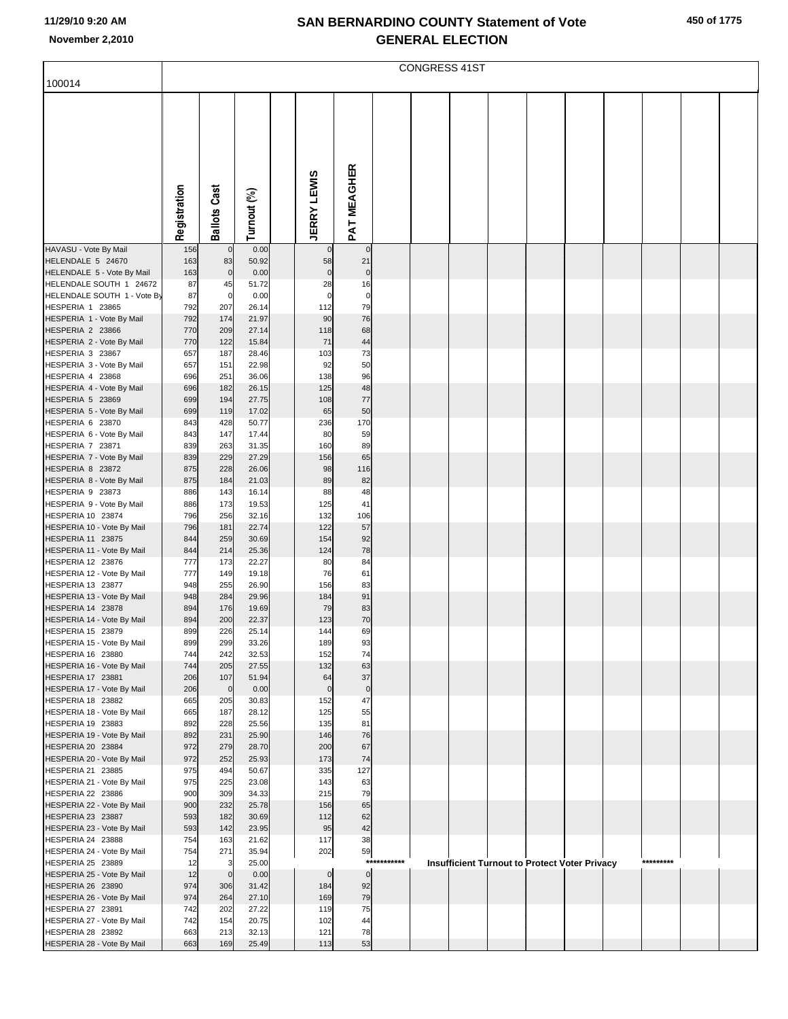| 450 of 1775 |  |  |
|-------------|--|--|
|-------------|--|--|

|                                                        |              | <b>CONGRESS 41ST</b> |                |  |                    |                 |             |  |  |  |  |                                               |           |  |
|--------------------------------------------------------|--------------|----------------------|----------------|--|--------------------|-----------------|-------------|--|--|--|--|-----------------------------------------------|-----------|--|
| 100014                                                 |              |                      |                |  |                    |                 |             |  |  |  |  |                                               |           |  |
|                                                        |              |                      |                |  |                    |                 |             |  |  |  |  |                                               |           |  |
|                                                        | Registration | <b>Ballots Cast</b>  | Turnout (%)    |  | <b>JERRY LEWIS</b> | PAT MEAGHER     |             |  |  |  |  |                                               |           |  |
| HAVASU - Vote By Mail                                  | 156          | $\mathbf 0$          | 0.00           |  |                    | $\mathbf{0}$    |             |  |  |  |  |                                               |           |  |
| HELENDALE 5 24670                                      | 163          | 83                   | 50.92          |  | 58                 | 21              |             |  |  |  |  |                                               |           |  |
| HELENDALE 5 - Vote By Mail                             | 163          | $\overline{0}$       | 0.00           |  | $\pmb{0}$          | $\pmb{0}$       |             |  |  |  |  |                                               |           |  |
| HELENDALE SOUTH 1 24672<br>HELENDALE SOUTH 1 - Vote By | 87<br>87     | 45<br>$\mathbf 0$    | 51.72<br>0.00  |  | 28<br>$\Omega$     | 16<br>$\pmb{0}$ |             |  |  |  |  |                                               |           |  |
| HESPERIA 1 23865                                       | 792          | 207                  | 26.14          |  | 112                | 79              |             |  |  |  |  |                                               |           |  |
| HESPERIA 1 - Vote By Mail                              | 792          | 174                  | 21.97          |  | 90                 | 76              |             |  |  |  |  |                                               |           |  |
| HESPERIA 2 23866<br>HESPERIA 2 - Vote By Mail          | 770<br>770   | 209<br>122           | 27.14<br>15.84 |  | 118<br>71          | 68<br>44        |             |  |  |  |  |                                               |           |  |
| HESPERIA 3 23867                                       | 657          | 187                  | 28.46          |  | 103                | 73              |             |  |  |  |  |                                               |           |  |
| HESPERIA 3 - Vote By Mail<br>HESPERIA 4 23868          | 657          | 151<br>251           | 22.98<br>36.06 |  | 92<br>138          | 50<br>96        |             |  |  |  |  |                                               |           |  |
| HESPERIA 4 - Vote By Mail                              | 696<br>696   | 182                  | 26.15          |  | 125                | 48              |             |  |  |  |  |                                               |           |  |
| HESPERIA 5 23869                                       | 699          | 194                  | 27.75          |  | 108                | 77              |             |  |  |  |  |                                               |           |  |
| HESPERIA 5 - Vote By Mail<br>HESPERIA 6 23870          | 699<br>843   | 119<br>428           | 17.02<br>50.77 |  | 65<br>236          | 50<br>170       |             |  |  |  |  |                                               |           |  |
| HESPERIA 6 - Vote By Mail                              | 843          | 147                  | 17.44          |  | 80                 | 59              |             |  |  |  |  |                                               |           |  |
| HESPERIA 7 23871                                       | 839          | 263                  | 31.35          |  | 160                | 89              |             |  |  |  |  |                                               |           |  |
| HESPERIA 7 - Vote By Mail<br>HESPERIA 8 23872          | 839<br>875   | 229<br>228           | 27.29<br>26.06 |  | 156<br>98          | 65<br>116       |             |  |  |  |  |                                               |           |  |
| HESPERIA 8 - Vote By Mail                              | 875          | 184                  | 21.03          |  | 89                 | 82              |             |  |  |  |  |                                               |           |  |
| HESPERIA 9 23873                                       | 886          | 143                  | 16.14          |  | 88                 | 48              |             |  |  |  |  |                                               |           |  |
| HESPERIA 9 - Vote By Mail<br>HESPERIA 10 23874         | 886<br>796   | 173<br>256           | 19.53<br>32.16 |  | 125<br>132         | 41<br>106       |             |  |  |  |  |                                               |           |  |
| HESPERIA 10 - Vote By Mail                             | 796          | 181                  | 22.74          |  | 122                | 57              |             |  |  |  |  |                                               |           |  |
| HESPERIA 11 23875<br>HESPERIA 11 - Vote By Mail        | 844<br>844   | 259<br>214           | 30.69<br>25.36 |  | 154<br>124         | 92<br>78        |             |  |  |  |  |                                               |           |  |
| HESPERIA 12 23876                                      | 777          | 173                  | 22.27          |  | 80                 | 84              |             |  |  |  |  |                                               |           |  |
| HESPERIA 12 - Vote By Mail                             | 777          | 149                  | 19.18          |  | 76                 | 61              |             |  |  |  |  |                                               |           |  |
| HESPERIA 13 23877<br>HESPERIA 13 - Vote By Mail        | 948<br>948   | 255<br>284           | 26.90<br>29.96 |  | 156<br>184         | 83<br>91        |             |  |  |  |  |                                               |           |  |
| HESPERIA 14 23878                                      | 894          | 176                  | 19.69          |  | 79                 | 83              |             |  |  |  |  |                                               |           |  |
| HESPERIA 14 - Vote By Mail<br>HESPERIA 15 23879        | 894<br>899   | 200<br>226           | 22.37<br>25.14 |  | 123<br>144         | 70<br>69        |             |  |  |  |  |                                               |           |  |
| HESPERIA 15 - Vote By Mail                             | 899          | 299                  | 33.26          |  | 189                | 93              |             |  |  |  |  |                                               |           |  |
| HESPERIA 16 23880                                      | 744          | 242                  | 32.53          |  | 152                | 74              |             |  |  |  |  |                                               |           |  |
| HESPERIA 16 - Vote By Mail<br>HESPERIA 17 23881        | 744<br>206   | 205<br>107           | 27.55<br>51.94 |  | 132<br>64          | 63<br>37        |             |  |  |  |  |                                               |           |  |
| HESPERIA 17 - Vote By Mail                             | 206          | $\overline{0}$       | 0.00           |  | $\pmb{0}$          | $\pmb{0}$       |             |  |  |  |  |                                               |           |  |
| HESPERIA 18 23882                                      | 665          | 205                  | 30.83          |  | 152                | 47              |             |  |  |  |  |                                               |           |  |
| HESPERIA 18 - Vote By Mail<br>HESPERIA 19 23883        | 665<br>892   | 187<br>228           | 28.12<br>25.56 |  | 125<br>135         | 55<br>81        |             |  |  |  |  |                                               |           |  |
| HESPERIA 19 - Vote By Mail                             | 892          | 231                  | 25.90          |  | 146                | 76              |             |  |  |  |  |                                               |           |  |
| HESPERIA 20 23884<br>HESPERIA 20 - Vote By Mail        | 972<br>972   | 279<br>252           | 28.70<br>25.93 |  | 200<br>173         | 67<br>74        |             |  |  |  |  |                                               |           |  |
| HESPERIA 21 23885                                      | 975          | 494                  | 50.67          |  | 335                | 127             |             |  |  |  |  |                                               |           |  |
| HESPERIA 21 - Vote By Mail                             | 975          | 225                  | 23.08          |  | 143                | 63              |             |  |  |  |  |                                               |           |  |
| HESPERIA 22 23886<br>HESPERIA 22 - Vote By Mail        | 900<br>900   | 309<br>232           | 34.33<br>25.78 |  | 215<br>156         | 79<br>65        |             |  |  |  |  |                                               |           |  |
| HESPERIA 23 23887                                      | 593          | 182                  | 30.69          |  | 112                | 62              |             |  |  |  |  |                                               |           |  |
| HESPERIA 23 - Vote By Mail<br>HESPERIA 24 23888        | 593<br>754   | 142<br>163           | 23.95<br>21.62 |  | 95<br>117          | 42<br>38        |             |  |  |  |  |                                               |           |  |
| HESPERIA 24 - Vote By Mail                             | 754          | 271                  | 35.94          |  | 202                | 59              |             |  |  |  |  |                                               |           |  |
| HESPERIA 25 23889                                      | 12           | 3                    | 25.00          |  |                    |                 | *********** |  |  |  |  | Insufficient Turnout to Protect Voter Privacy | ********* |  |
| HESPERIA 25 - Vote By Mail<br>HESPERIA 26 23890        | 12<br>974    | $\mathbf{0}$<br>306  | 0.00<br>31.42  |  | $\mathbf 0$<br>184 | $\pmb{0}$<br>92 |             |  |  |  |  |                                               |           |  |
| HESPERIA 26 - Vote By Mail                             | 974          | 264                  | 27.10          |  | 169                | 79              |             |  |  |  |  |                                               |           |  |
| HESPERIA 27 23891                                      | 742          | 202                  | 27.22          |  | 119                | 75              |             |  |  |  |  |                                               |           |  |
| HESPERIA 27 - Vote By Mail<br>HESPERIA 28 23892        | 742<br>663   | 154<br>213           | 20.75<br>32.13 |  | 102<br>121         | 44<br>78        |             |  |  |  |  |                                               |           |  |
| HESPERIA 28 - Vote By Mail                             | 663          | 169                  | 25.49          |  | 113                | 53              |             |  |  |  |  |                                               |           |  |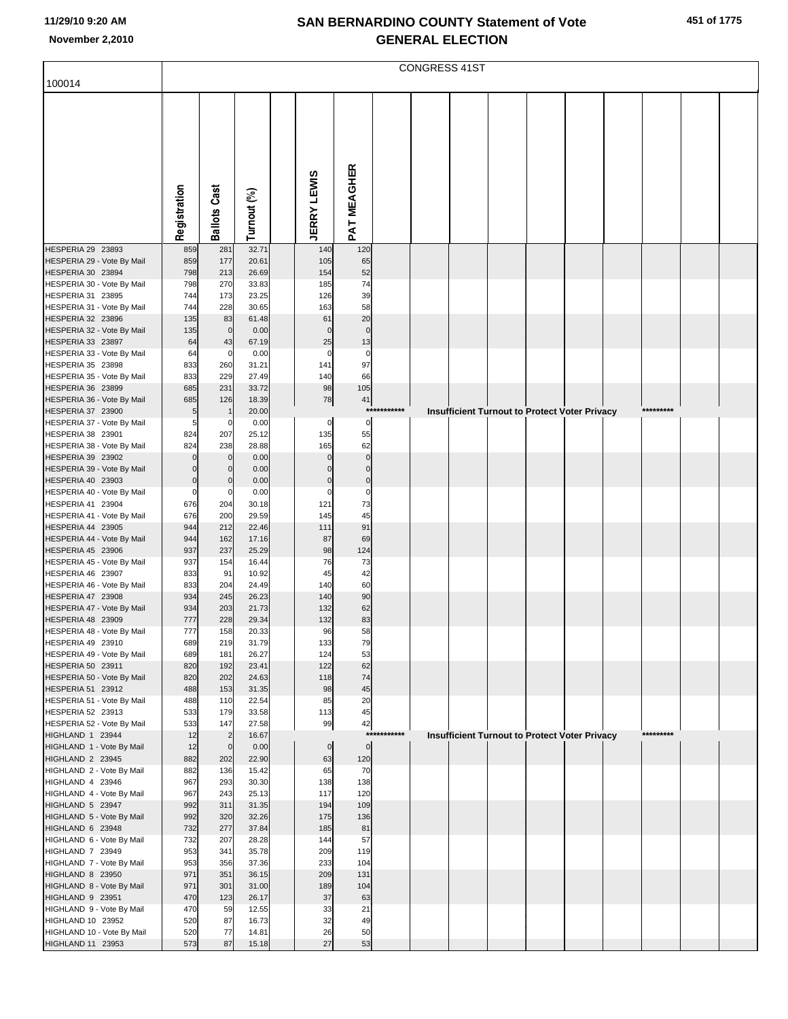|  | 451 of 1775 |
|--|-------------|
|  |             |

|                                                 |                            | CONGRESS 41ST              |                |  |                         |                         |             |  |  |  |  |                                                      |           |  |
|-------------------------------------------------|----------------------------|----------------------------|----------------|--|-------------------------|-------------------------|-------------|--|--|--|--|------------------------------------------------------|-----------|--|
| 100014                                          |                            |                            |                |  |                         |                         |             |  |  |  |  |                                                      |           |  |
|                                                 |                            |                            |                |  |                         |                         |             |  |  |  |  |                                                      |           |  |
|                                                 |                            |                            |                |  |                         |                         |             |  |  |  |  |                                                      |           |  |
|                                                 |                            |                            |                |  |                         |                         |             |  |  |  |  |                                                      |           |  |
|                                                 |                            |                            |                |  |                         |                         |             |  |  |  |  |                                                      |           |  |
|                                                 |                            |                            |                |  |                         |                         |             |  |  |  |  |                                                      |           |  |
|                                                 |                            |                            |                |  |                         |                         |             |  |  |  |  |                                                      |           |  |
|                                                 |                            |                            |                |  |                         |                         |             |  |  |  |  |                                                      |           |  |
|                                                 | Registration               | <b>Ballots Cast</b>        | Turnout (%)    |  | <b>JERRY LEWIS</b>      | PAT MEAGHER             |             |  |  |  |  |                                                      |           |  |
|                                                 |                            |                            |                |  |                         |                         |             |  |  |  |  |                                                      |           |  |
| HESPERIA 29 23893                               | 859                        | 281                        | 32.71          |  | 140                     | 120                     |             |  |  |  |  |                                                      |           |  |
| HESPERIA 29 - Vote By Mail<br>HESPERIA 30 23894 | 859<br>798                 | 177<br>213                 | 20.61<br>26.69 |  | 105<br>154              | 65<br>52                |             |  |  |  |  |                                                      |           |  |
| HESPERIA 30 - Vote By Mail                      | 798                        | 270                        | 33.83          |  | 185                     | 74                      |             |  |  |  |  |                                                      |           |  |
| HESPERIA 31 23895                               | 744                        | 173                        | 23.25          |  | 126                     | 39                      |             |  |  |  |  |                                                      |           |  |
| HESPERIA 31 - Vote By Mail<br>HESPERIA 32 23896 | 744<br>135                 | 228<br>83                  | 30.65<br>61.48 |  | 163<br>61               | 58<br>20                |             |  |  |  |  |                                                      |           |  |
| HESPERIA 32 - Vote By Mail                      | 135                        | $\overline{0}$             | 0.00           |  | $\mathbf 0$             | $\mathbf 0$             |             |  |  |  |  |                                                      |           |  |
| HESPERIA 33 23897                               | 64                         | 43                         | 67.19          |  | 25<br>$\mathbf 0$       | 13<br>$\mathbf 0$       |             |  |  |  |  |                                                      |           |  |
| HESPERIA 33 - Vote By Mail<br>HESPERIA 35 23898 | 64<br>833                  | $\mathbf 0$<br>260         | 0.00<br>31.21  |  | 141                     | 97                      |             |  |  |  |  |                                                      |           |  |
| HESPERIA 35 - Vote By Mail                      | 833                        | 229                        | 27.49          |  | 140                     | 66                      |             |  |  |  |  |                                                      |           |  |
| HESPERIA 36 23899<br>HESPERIA 36 - Vote By Mail | 685<br>685                 | 231<br>126                 | 33.72<br>18.39 |  | 98<br>78                | 105<br>41               |             |  |  |  |  |                                                      |           |  |
| HESPERIA 37 23900                               | 5                          | $\overline{\phantom{a}}$   | 20.00          |  |                         |                         | *********** |  |  |  |  | <b>Insufficient Turnout to Protect Voter Privacy</b> | ********* |  |
| HESPERIA 37 - Vote By Mail                      | 5<br>824                   | $\mathbf 0$<br>207         | 0.00<br>25.12  |  | 0<br>135                | $\mathbf 0$<br>55       |             |  |  |  |  |                                                      |           |  |
| HESPERIA 38 23901<br>HESPERIA 38 - Vote By Mail | 824                        | 238                        | 28.88          |  | 165                     | 62                      |             |  |  |  |  |                                                      |           |  |
| HESPERIA 39 23902                               | $\Omega$                   | $\mathbf 0$                | 0.00           |  |                         | $\mathbf 0$             |             |  |  |  |  |                                                      |           |  |
| HESPERIA 39 - Vote By Mail<br>HESPERIA 40 23903 | $\mathbf 0$<br>$\mathbf 0$ | $\mathbf 0$<br>$\mathbf 0$ | 0.00<br>0.00   |  | $\Omega$<br>$\mathbf 0$ | $\Omega$<br>$\mathbf 0$ |             |  |  |  |  |                                                      |           |  |
| HESPERIA 40 - Vote By Mail                      | $\mathbf 0$                | $\mathbf 0$                | 0.00           |  | $\mathbf 0$             | $\mathbf 0$             |             |  |  |  |  |                                                      |           |  |
| HESPERIA 41 23904                               | 676                        | 204                        | 30.18          |  | 121<br>145              | 73<br>45                |             |  |  |  |  |                                                      |           |  |
| HESPERIA 41 - Vote By Mail<br>HESPERIA 44 23905 | 676<br>944                 | 200<br>212                 | 29.59<br>22.46 |  | 111                     | 91                      |             |  |  |  |  |                                                      |           |  |
| HESPERIA 44 - Vote By Mail                      | 944                        | 162                        | 17.16          |  | 87                      | 69                      |             |  |  |  |  |                                                      |           |  |
| HESPERIA 45 23906<br>HESPERIA 45 - Vote By Mail | 937<br>937                 | 237<br>154                 | 25.29<br>16.44 |  | 98<br>76                | 124<br>73               |             |  |  |  |  |                                                      |           |  |
| HESPERIA 46 23907                               | 833                        | 91                         | 10.92          |  | 45                      | 42                      |             |  |  |  |  |                                                      |           |  |
| HESPERIA 46 - Vote By Mail<br>HESPERIA 47 23908 | 833                        | 204                        | 24.49          |  | 140                     | 60<br>90                |             |  |  |  |  |                                                      |           |  |
| HESPERIA 47 - Vote By Mail                      | 934<br>934                 | 245<br>203                 | 26.23<br>21.73 |  | 140<br>132              | 62                      |             |  |  |  |  |                                                      |           |  |
| HESPERIA 48 23909                               | 777                        | 228                        | 29.34          |  | 132                     | 83                      |             |  |  |  |  |                                                      |           |  |
| HESPERIA 48 - Vote By Mail<br>HESPERIA 49 23910 | 777<br>689                 | 158<br>219                 | 20.33<br>31.79 |  | 96<br>133               | 58<br>79                |             |  |  |  |  |                                                      |           |  |
| HESPERIA 49 - Vote By Mail                      | 689                        | 181                        | 26.27          |  | 124                     | 53                      |             |  |  |  |  |                                                      |           |  |
| HESPERIA 50 23911                               | 820                        | 192<br>202                 | 23.41<br>24.63 |  | 122<br>118              | 62<br>74                |             |  |  |  |  |                                                      |           |  |
| HESPERIA 50 - Vote By Mail<br>HESPERIA 51 23912 | 820<br>488                 | 153                        | 31.35          |  | 98                      | 45                      |             |  |  |  |  |                                                      |           |  |
| HESPERIA 51 - Vote By Mail                      | 488                        | 110                        | 22.54          |  | 85                      | 20                      |             |  |  |  |  |                                                      |           |  |
| HESPERIA 52 23913<br>HESPERIA 52 - Vote By Mail | 533<br>533                 | 179<br>147                 | 33.58<br>27.58 |  | 113<br>99               | 45<br>42                |             |  |  |  |  |                                                      |           |  |
| HIGHLAND 1 23944                                | 12                         | $\overline{2}$             | 16.67          |  |                         |                         | *********** |  |  |  |  | Insufficient Turnout to Protect Voter Privacy        | ********* |  |
| HIGHLAND 1 - Vote By Mail<br>HIGHLAND 2 23945   | 12<br>882                  | $\overline{0}$<br>202      | 0.00<br>22.90  |  | $\mathbf 0$<br>63       | $\pmb{0}$<br>120        |             |  |  |  |  |                                                      |           |  |
| HIGHLAND 2 - Vote By Mail                       | 882                        | 136                        | 15.42          |  | 65                      | 70                      |             |  |  |  |  |                                                      |           |  |
| HIGHLAND 4 23946                                | 967                        | 293                        | 30.30          |  | 138                     | 138                     |             |  |  |  |  |                                                      |           |  |
| HIGHLAND 4 - Vote By Mail<br>HIGHLAND 5 23947   | 967<br>992                 | 243<br>311                 | 25.13<br>31.35 |  | 117<br>194              | 120<br>109              |             |  |  |  |  |                                                      |           |  |
| HIGHLAND 5 - Vote By Mail                       | 992                        | 320                        | 32.26          |  | 175                     | 136                     |             |  |  |  |  |                                                      |           |  |
| HIGHLAND 6 23948<br>HIGHLAND 6 - Vote By Mail   | 732<br>732                 | 277<br>207                 | 37.84<br>28.28 |  | 185<br>144              | 81<br>57                |             |  |  |  |  |                                                      |           |  |
| HIGHLAND 7 23949                                | 953                        | 341                        | 35.78          |  | 209                     | 119                     |             |  |  |  |  |                                                      |           |  |
| HIGHLAND 7 - Vote By Mail                       | 953                        | 356                        | 37.36          |  | 233                     | 104                     |             |  |  |  |  |                                                      |           |  |
| HIGHLAND 8 23950<br>HIGHLAND 8 - Vote By Mail   | 971<br>971                 | 351<br>301                 | 36.15<br>31.00 |  | 209<br>189              | 131<br>104              |             |  |  |  |  |                                                      |           |  |
| HIGHLAND 9 23951                                | 470                        | 123                        | 26.17          |  | 37                      | 63                      |             |  |  |  |  |                                                      |           |  |
| HIGHLAND 9 - Vote By Mail<br>HIGHLAND 10 23952  | 470<br>520                 | 59<br>87                   | 12.55<br>16.73 |  | 33<br>32                | 21<br>49                |             |  |  |  |  |                                                      |           |  |
| HIGHLAND 10 - Vote By Mail                      | 520                        | 77                         | 14.81          |  | 26                      | 50                      |             |  |  |  |  |                                                      |           |  |
| HIGHLAND 11 23953                               | 573                        | 87                         | 15.18          |  | 27                      | 53                      |             |  |  |  |  |                                                      |           |  |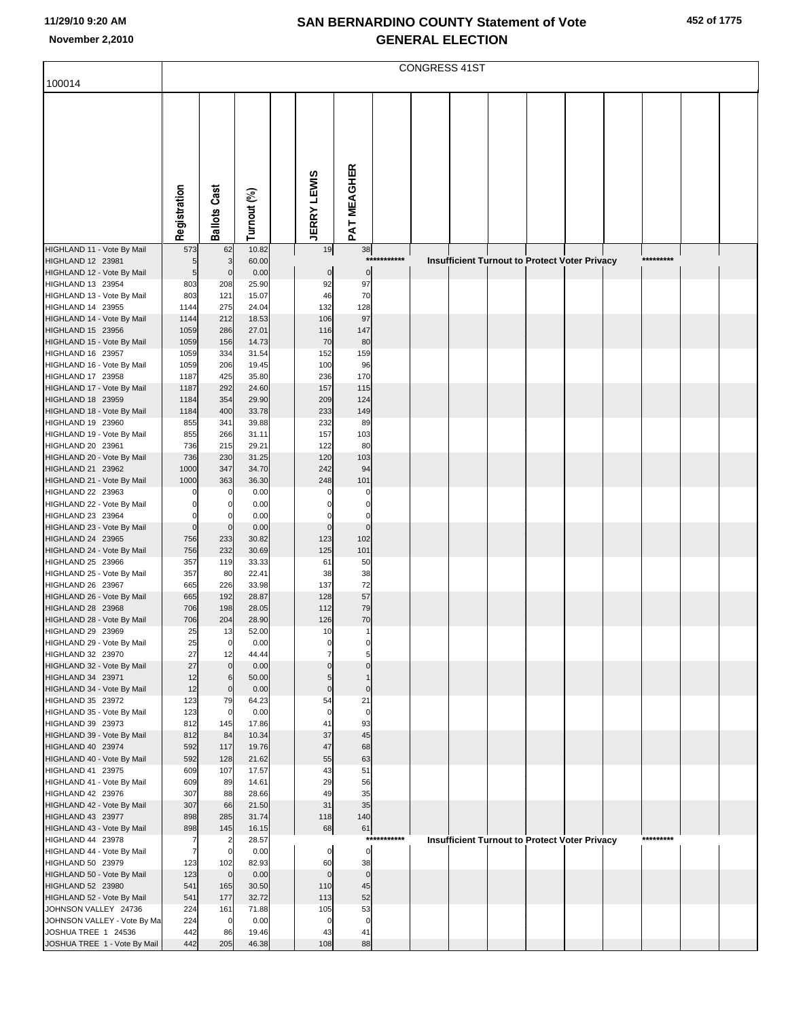|  | 452 of 1775 |
|--|-------------|
|  |             |

|                                                                                                                                                       |                                      | CONGRESS 41ST                                |                                                   |  |                                     |                                           |         |  |  |  |  |                                                      |           |  |
|-------------------------------------------------------------------------------------------------------------------------------------------------------|--------------------------------------|----------------------------------------------|---------------------------------------------------|--|-------------------------------------|-------------------------------------------|---------|--|--|--|--|------------------------------------------------------|-----------|--|
| 100014                                                                                                                                                |                                      |                                              |                                                   |  |                                     |                                           |         |  |  |  |  |                                                      |           |  |
|                                                                                                                                                       | Registration                         | <b>Ballots Cast</b>                          | Turnout (%)                                       |  | <b>JERRY LEWIS</b>                  | PAT MEAGHER                               |         |  |  |  |  |                                                      |           |  |
| HIGHLAND 11 - Vote By Mail                                                                                                                            | 573                                  | 62                                           | 10.82                                             |  | 19                                  | 38                                        |         |  |  |  |  |                                                      |           |  |
| HIGHLAND 12 23981<br>HIGHLAND 12 - Vote By Mail<br>HIGHLAND 13 23954<br>HIGHLAND 13 - Vote By Mail<br>HIGHLAND 14 23955<br>HIGHLAND 14 - Vote By Mail | 5<br>5<br>803<br>803<br>1144<br>1144 | 3<br>$\mathbf 0$<br>208<br>121<br>275<br>212 | 60.00<br>0.00<br>25.90<br>15.07<br>24.04<br>18.53 |  | $\pmb{0}$<br>92<br>46<br>132<br>106 | ***<br>$\pmb{0}$<br>97<br>70<br>128<br>97 | ******  |  |  |  |  | <b>Insufficient Turnout to Protect Voter Privacy</b> | ********* |  |
| HIGHLAND 15 23956                                                                                                                                     | 1059                                 | 286                                          | 27.01                                             |  | 116                                 | 147                                       |         |  |  |  |  |                                                      |           |  |
| HIGHLAND 15 - Vote By Mail                                                                                                                            | 1059                                 | 156                                          | 14.73                                             |  | 70                                  | 80                                        |         |  |  |  |  |                                                      |           |  |
| HIGHLAND 16 23957<br>HIGHLAND 16 - Vote By Mail<br>HIGHLAND 17 23958<br>HIGHLAND 17 - Vote By Mail                                                    | 1059<br>1059<br>1187<br>1187         | 334<br>206<br>425<br>292                     | 31.54<br>19.45<br>35.80<br>24.60                  |  | 152<br>100<br>236<br>157            | 159<br>96<br>170<br>115                   |         |  |  |  |  |                                                      |           |  |
| HIGHLAND 18 23959<br>HIGHLAND 18 - Vote By Mail                                                                                                       | 1184<br>1184                         | 354<br>400                                   | 29.90<br>33.78                                    |  | 209<br>233                          | 124<br>149                                |         |  |  |  |  |                                                      |           |  |
| HIGHLAND 19 23960<br>HIGHLAND 19 - Vote By Mail<br>HIGHLAND 20 23961                                                                                  | 855<br>855<br>736                    | 341<br>266<br>215                            | 39.88<br>31.11<br>29.21                           |  | 232<br>157<br>122                   | 89<br>103<br>80                           |         |  |  |  |  |                                                      |           |  |
| HIGHLAND 20 - Vote By Mail                                                                                                                            | 736                                  | 230                                          | 31.25                                             |  | 120                                 | 103                                       |         |  |  |  |  |                                                      |           |  |
| HIGHLAND 21 23962                                                                                                                                     | 1000<br>1000                         | 347                                          | 34.70<br>36.30                                    |  | 242<br>248                          | 94                                        |         |  |  |  |  |                                                      |           |  |
| HIGHLAND 21 - Vote By Mail<br>HIGHLAND 22 23963                                                                                                       | 0                                    | 363<br>$\Omega$                              | 0.00                                              |  | 0                                   | 101<br>0                                  |         |  |  |  |  |                                                      |           |  |
| HIGHLAND 22 - Vote By Mail                                                                                                                            | 0                                    | 0                                            | 0.00                                              |  | $\Omega$                            | 0                                         |         |  |  |  |  |                                                      |           |  |
| HIGHLAND 23 23964<br>HIGHLAND 23 - Vote By Mail<br>HIGHLAND 24 23965                                                                                  | 0<br>$\mathbf 0$<br>756              | 0<br>$\mathbf 0$<br>233                      | 0.00<br>0.00<br>30.82                             |  | $\Omega$<br>$\mathbf 0$<br>123      | $\mathbf 0$<br>$\mathbf 0$<br>102         |         |  |  |  |  |                                                      |           |  |
| HIGHLAND 24 - Vote By Mail                                                                                                                            | 756                                  | 232                                          | 30.69                                             |  | 125                                 | 101                                       |         |  |  |  |  |                                                      |           |  |
| HIGHLAND 25 23966                                                                                                                                     | 357                                  | 119                                          | 33.33<br>22.41                                    |  | 61                                  | 50<br>38                                  |         |  |  |  |  |                                                      |           |  |
| HIGHLAND 25 - Vote By Mail<br>HIGHLAND 26 23967                                                                                                       | 357<br>665                           | 80<br>226                                    | 33.98                                             |  | 38<br>137                           | 72                                        |         |  |  |  |  |                                                      |           |  |
| HIGHLAND 26 - Vote By Mail                                                                                                                            | 665                                  | 192                                          | 28.87                                             |  | 128                                 | 57                                        |         |  |  |  |  |                                                      |           |  |
| HIGHLAND 28 23968<br>HIGHLAND 28 - Vote By Mail                                                                                                       | 706<br>706                           | 198<br>204                                   | 28.05<br>28.90                                    |  | 112<br>126                          | 79<br>70                                  |         |  |  |  |  |                                                      |           |  |
| HIGHLAND 29 23969                                                                                                                                     | 25                                   | 13                                           | 52.00                                             |  | 10                                  | $\mathbf{1}$                              |         |  |  |  |  |                                                      |           |  |
| HIGHLAND 29 - Vote By Mail<br>HIGHLAND 32 23970                                                                                                       | 25<br>27                             | $\overline{0}$<br>12                         | 0.00<br>44.44                                     |  | 0<br>7                              | 0<br>5                                    |         |  |  |  |  |                                                      |           |  |
| HIGHLAND 32 - Vote By Mail                                                                                                                            | 27                                   | $\overline{0}$                               | 0.00                                              |  | $\mathbf 0$                         | $\mathbf 0$                               |         |  |  |  |  |                                                      |           |  |
| HIGHLAND 34 23971<br>HIGHLAND 34 - Vote By Mail                                                                                                       | 12<br>12                             | 6<br>$\mathbf 0$                             | 50.00<br>0.00                                     |  | 5<br>$\mathbf 0$                    | $\mathbf{1}$<br>$\mathbf 0$               |         |  |  |  |  |                                                      |           |  |
| HIGHLAND 35 23972                                                                                                                                     | 123                                  | 79                                           | 64.23                                             |  | 54                                  | 21                                        |         |  |  |  |  |                                                      |           |  |
| HIGHLAND 35 - Vote By Mail<br>HIGHLAND 39 23973                                                                                                       | 123<br>812                           | $\mathbf 0$<br>145                           | 0.00<br>17.86                                     |  | $\mathbf 0$<br>41                   | $\mathbf 0$<br>93                         |         |  |  |  |  |                                                      |           |  |
| HIGHLAND 39 - Vote By Mail                                                                                                                            | 812                                  | 84                                           | 10.34                                             |  | 37                                  | 45                                        |         |  |  |  |  |                                                      |           |  |
| HIGHLAND 40 23974<br>HIGHLAND 40 - Vote By Mail                                                                                                       | 592<br>592                           | 117<br>128                                   | 19.76<br>21.62                                    |  | 47<br>55                            | 68<br>63                                  |         |  |  |  |  |                                                      |           |  |
| HIGHLAND 41 23975                                                                                                                                     | 609                                  | 107                                          | 17.57                                             |  | 43                                  | 51                                        |         |  |  |  |  |                                                      |           |  |
| HIGHLAND 41 - Vote By Mail<br>HIGHLAND 42 23976                                                                                                       | 609<br>307                           | 89<br>88                                     | 14.61<br>28.66                                    |  | 29<br>49                            | 56<br>35                                  |         |  |  |  |  |                                                      |           |  |
| HIGHLAND 42 - Vote By Mail                                                                                                                            | 307                                  | 66                                           | 21.50                                             |  | 31                                  | 35                                        |         |  |  |  |  |                                                      |           |  |
| HIGHLAND 43 23977<br>HIGHLAND 43 - Vote By Mail                                                                                                       | 898<br>898                           | 285<br>145                                   | 31.74<br>16.15                                    |  | 118<br>68                           | 140<br>61                                 |         |  |  |  |  |                                                      |           |  |
| HIGHLAND 44 23978                                                                                                                                     | 7                                    | $\overline{2}$                               | 28.57                                             |  |                                     | ***                                       | ******* |  |  |  |  | <b>Insufficient Turnout to Protect Voter Privacy</b> | ********* |  |
| HIGHLAND 44 - Vote By Mail<br>HIGHLAND 50 23979                                                                                                       | 7<br>123                             | $\mathbf 0$<br>102                           | 0.00<br>82.93                                     |  | $\pmb{0}$<br>60                     | $\pmb{0}$<br>38                           |         |  |  |  |  |                                                      |           |  |
| HIGHLAND 50 - Vote By Mail                                                                                                                            | 123                                  | $\overline{0}$                               | 0.00                                              |  | $\mathbf 0$                         | $\pmb{0}$                                 |         |  |  |  |  |                                                      |           |  |
| HIGHLAND 52 23980<br>HIGHLAND 52 - Vote By Mail                                                                                                       | 541<br>541                           | 165<br>177                                   | 30.50<br>32.72                                    |  | 110<br>113                          | 45<br>52                                  |         |  |  |  |  |                                                      |           |  |
| JOHNSON VALLEY 24736                                                                                                                                  | 224                                  | 161                                          | 71.88                                             |  | 105                                 | 53                                        |         |  |  |  |  |                                                      |           |  |
| JOHNSON VALLEY - Vote By Ma<br>JOSHUA TREE 1 24536                                                                                                    | 224<br>442                           | $\mathbf 0$<br>86                            | 0.00<br>19.46                                     |  | $\mathbf 0$<br>43                   | $\mathbf 0$<br>41                         |         |  |  |  |  |                                                      |           |  |
| JOSHUA TREE 1 - Vote By Mail                                                                                                                          | 442                                  | 205                                          | 46.38                                             |  | 108                                 | 88                                        |         |  |  |  |  |                                                      |           |  |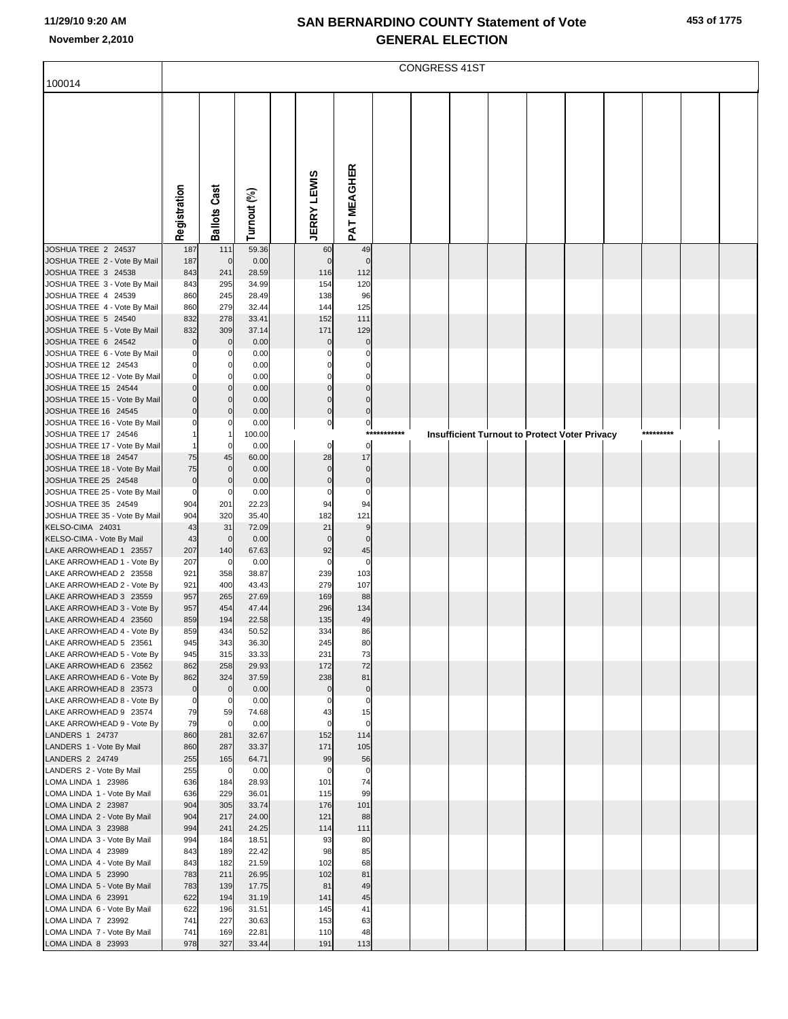|                                                       |                         | <b>CONGRESS 41ST</b> |                |  |                         |                                |          |  |  |  |                                                      |  |           |  |
|-------------------------------------------------------|-------------------------|----------------------|----------------|--|-------------------------|--------------------------------|----------|--|--|--|------------------------------------------------------|--|-----------|--|
| 100014                                                |                         |                      |                |  |                         |                                |          |  |  |  |                                                      |  |           |  |
|                                                       |                         |                      |                |  |                         |                                |          |  |  |  |                                                      |  |           |  |
|                                                       |                         |                      |                |  |                         |                                |          |  |  |  |                                                      |  |           |  |
|                                                       |                         |                      |                |  |                         |                                |          |  |  |  |                                                      |  |           |  |
|                                                       |                         |                      |                |  |                         |                                |          |  |  |  |                                                      |  |           |  |
|                                                       |                         |                      |                |  |                         |                                |          |  |  |  |                                                      |  |           |  |
|                                                       |                         |                      |                |  |                         |                                |          |  |  |  |                                                      |  |           |  |
|                                                       |                         |                      |                |  |                         |                                |          |  |  |  |                                                      |  |           |  |
|                                                       |                         |                      |                |  |                         |                                |          |  |  |  |                                                      |  |           |  |
|                                                       |                         |                      |                |  |                         |                                |          |  |  |  |                                                      |  |           |  |
|                                                       | Registration            | <b>Ballots Cast</b>  | Turnout (%)    |  | <b>JERRY LEWIS</b>      | PAT MEAGHER                    |          |  |  |  |                                                      |  |           |  |
| JOSHUA TREE 2 24537                                   | 187                     | 111                  | 59.36          |  | 60                      | 49                             |          |  |  |  |                                                      |  |           |  |
| JOSHUA TREE 2 - Vote By Mail                          | 187                     | $\overline{0}$       | 0.00           |  | $\mathbf 0$             | $\mathbf 0$                    |          |  |  |  |                                                      |  |           |  |
| JOSHUA TREE 3 24538                                   | 843                     | 241                  | 28.59          |  | 116                     | 112                            |          |  |  |  |                                                      |  |           |  |
| JOSHUA TREE 3 - Vote By Mail<br>JOSHUA TREE 4 24539   | 843<br>860              | 295<br>245           | 34.99<br>28.49 |  | 154<br>138              | 120<br>96                      |          |  |  |  |                                                      |  |           |  |
| JOSHUA TREE 4 - Vote By Mail                          | 860                     | 279                  | 32.44          |  | 144                     | 125                            |          |  |  |  |                                                      |  |           |  |
| JOSHUA TREE 5 24540                                   | 832                     | 278                  | 33.41          |  | 152                     | 111                            |          |  |  |  |                                                      |  |           |  |
| JOSHUA TREE 5 - Vote By Mail                          | 832                     | 309                  | 37.14          |  | 171                     | 129                            |          |  |  |  |                                                      |  |           |  |
| JOSHUA TREE 6 24542<br>JOSHUA TREE 6 - Vote By Mail   | $\mathbf 0$<br>0        | $\mathbf 0$<br>0     | 0.00<br>0.00   |  | $\Omega$                | $\mathsf{C}$<br>C              |          |  |  |  |                                                      |  |           |  |
| JOSHUA TREE 12 24543                                  | $\Omega$                | 0                    | 0.00           |  |                         | $\mathsf{C}$                   |          |  |  |  |                                                      |  |           |  |
| JOSHUA TREE 12 - Vote By Mail                         | $\mathbf 0$             | 0                    | 0.00           |  |                         | C                              |          |  |  |  |                                                      |  |           |  |
| JOSHUA TREE 15 24544                                  | $\mathbf 0$<br>$\Omega$ | $\Omega$<br>$\Omega$ | 0.00<br>0.00   |  | $\Omega$<br>$\Omega$    | $\mathcal{C}$<br>$\mathcal{C}$ |          |  |  |  |                                                      |  |           |  |
| JOSHUA TREE 15 - Vote By Mail<br>JOSHUA TREE 16 24545 | $\mathbf 0$             |                      | 0.00           |  | $\overline{0}$          | $\Omega$                       |          |  |  |  |                                                      |  |           |  |
| JOSHUA TREE 16 - Vote By Mail                         | 0                       |                      | 0.00           |  | $\pmb{0}$               | $\mathbf 0$                    |          |  |  |  |                                                      |  |           |  |
| JOSHUA TREE 17 24546                                  |                         |                      | 100.00         |  |                         | ***                            | ******** |  |  |  | <b>Insufficient Turnout to Protect Voter Privacy</b> |  | ********* |  |
| JOSHUA TREE 17 - Vote By Mail<br>JOSHUA TREE 18 24547 | 75                      | $\Omega$<br>45       | 0.00<br>60.00  |  | $\overline{0}$<br>28    | $\mathbf 0$<br>17              |          |  |  |  |                                                      |  |           |  |
| JOSHUA TREE 18 - Vote By Mail                         | 75                      | $\mathbf 0$          | 0.00           |  | $\mathbf 0$             | $\mathbf 0$                    |          |  |  |  |                                                      |  |           |  |
| JOSHUA TREE 25 24548                                  | $\mathbf 0$             |                      | 0.00           |  | $\mathbf 0$             | $\mathbf 0$                    |          |  |  |  |                                                      |  |           |  |
| JOSHUA TREE 25 - Vote By Mail                         | $\mathbf 0$<br>904      | 201                  | 0.00<br>22.23  |  | $\Omega$<br>94          | C<br>94                        |          |  |  |  |                                                      |  |           |  |
| JOSHUA TREE 35 24549<br>JOSHUA TREE 35 - Vote By Mail | 904                     | 320                  | 35.40          |  | 182                     | 121                            |          |  |  |  |                                                      |  |           |  |
| KELSO-CIMA 24031                                      | 43                      | 31                   | 72.09          |  | 21                      | 9                              |          |  |  |  |                                                      |  |           |  |
| KELSO-CIMA - Vote By Mail                             | 43<br>207               | $\mathbf 0$          | 0.00           |  | $\mathbf 0$<br>92       | $\Omega$                       |          |  |  |  |                                                      |  |           |  |
| LAKE ARROWHEAD 1 23557<br>LAKE ARROWHEAD 1 - Vote By  | 207                     | 140<br>$\mathbf 0$   | 67.63<br>0.00  |  | $\Omega$                | 45<br>$\mathsf{C}$             |          |  |  |  |                                                      |  |           |  |
| LAKE ARROWHEAD 2 23558                                | 921                     | 358                  | 38.87          |  | 239                     | 103                            |          |  |  |  |                                                      |  |           |  |
| LAKE ARROWHEAD 2 - Vote By                            | 921                     | 400                  | 43.43          |  | 279                     | 107                            |          |  |  |  |                                                      |  |           |  |
| LAKE ARROWHEAD 3 23559<br>LAKE ARROWHEAD 3 - Vote By  | 957<br>957              | 265<br>454           | 27.69<br>47.44 |  | 169<br>296              | 88<br>134                      |          |  |  |  |                                                      |  |           |  |
| LAKE ARROWHEAD 4 23560                                | 859                     | 194                  | 22.58          |  | 135                     | 49                             |          |  |  |  |                                                      |  |           |  |
| LAKE ARROWHEAD 4 - Vote By                            | 859                     | 434                  | 50.52          |  | 334                     | 86                             |          |  |  |  |                                                      |  |           |  |
| LAKE ARROWHEAD 5 23561<br>LAKE ARROWHEAD 5 - Vote By  | 945<br>945              | 343<br>315           | 36.30<br>33.33 |  | 245<br>231              | 80<br>73                       |          |  |  |  |                                                      |  |           |  |
| LAKE ARROWHEAD 6 23562                                | 862                     | 258                  | 29.93          |  | 172                     | 72                             |          |  |  |  |                                                      |  |           |  |
| LAKE ARROWHEAD 6 - Vote By                            | 862                     | 324                  | 37.59          |  | 238                     | 81                             |          |  |  |  |                                                      |  |           |  |
| LAKE ARROWHEAD 8 23573                                | $\pmb{0}$               | $\overline{0}$       | 0.00           |  | $\mathbf 0$<br>$\Omega$ | $\pmb{0}$<br>$\mathbf 0$       |          |  |  |  |                                                      |  |           |  |
| LAKE ARROWHEAD 8 - Vote By<br>LAKE ARROWHEAD 9 23574  | $\mathbf 0$<br>79       | $\mathbf 0$<br>59    | 0.00<br>74.68  |  | 43                      | 15                             |          |  |  |  |                                                      |  |           |  |
| LAKE ARROWHEAD 9 - Vote By                            | 79                      | $\mathbf 0$          | 0.00           |  | $\mathbf 0$             | $\mathbf 0$                    |          |  |  |  |                                                      |  |           |  |
| LANDERS 1 24737                                       | 860                     | 281                  | 32.67          |  | 152                     | 114                            |          |  |  |  |                                                      |  |           |  |
| LANDERS 1 - Vote By Mail<br>LANDERS 2 24749           | 860<br>255              | 287<br>165           | 33.37<br>64.71 |  | 171<br>99               | 105<br>56                      |          |  |  |  |                                                      |  |           |  |
| LANDERS 2 - Vote By Mail                              | 255                     | $\mathbf 0$          | 0.00           |  | $\Omega$                | $\mathbf 0$                    |          |  |  |  |                                                      |  |           |  |
| LOMA LINDA 1 23986                                    | 636                     | 184                  | 28.93          |  | 101                     | 74                             |          |  |  |  |                                                      |  |           |  |
| LOMA LINDA 1 - Vote By Mail<br>LOMA LINDA 2 23987     | 636<br>904              | 229<br>305           | 36.01<br>33.74 |  | 115<br>176              | 99<br>101                      |          |  |  |  |                                                      |  |           |  |
| LOMA LINDA 2 - Vote By Mail                           | 904                     | 217                  | 24.00          |  | 121                     | 88                             |          |  |  |  |                                                      |  |           |  |
| LOMA LINDA 3 23988                                    | 994                     | 241                  | 24.25          |  | 114                     | 111                            |          |  |  |  |                                                      |  |           |  |
| LOMA LINDA 3 - Vote By Mail<br>LOMA LINDA 4 23989     | 994<br>843              | 184<br>189           | 18.51<br>22.42 |  | 93<br>98                | 80<br>85                       |          |  |  |  |                                                      |  |           |  |
| LOMA LINDA 4 - Vote By Mail                           | 843                     | 182                  | 21.59          |  | 102                     | 68                             |          |  |  |  |                                                      |  |           |  |
| LOMA LINDA 5 23990                                    | 783                     | 211                  | 26.95          |  | 102                     | 81                             |          |  |  |  |                                                      |  |           |  |
| LOMA LINDA 5 - Vote By Mail                           | 783                     | 139                  | 17.75          |  | 81                      | 49                             |          |  |  |  |                                                      |  |           |  |
| LOMA LINDA 6 23991<br>LOMA LINDA 6 - Vote By Mail     | 622<br>622              | 194<br>196           | 31.19<br>31.51 |  | 141<br>145              | 45<br>41                       |          |  |  |  |                                                      |  |           |  |
| LOMA LINDA 7 23992                                    | 741                     | 227                  | 30.63          |  | 153                     | 63                             |          |  |  |  |                                                      |  |           |  |
| LOMA LINDA 7 - Vote By Mail                           | 741                     | 169                  | 22.81          |  | 110                     | 48                             |          |  |  |  |                                                      |  |           |  |
| LOMA LINDA 8 23993                                    | 978                     | 327                  | 33.44          |  | 191                     | 113                            |          |  |  |  |                                                      |  |           |  |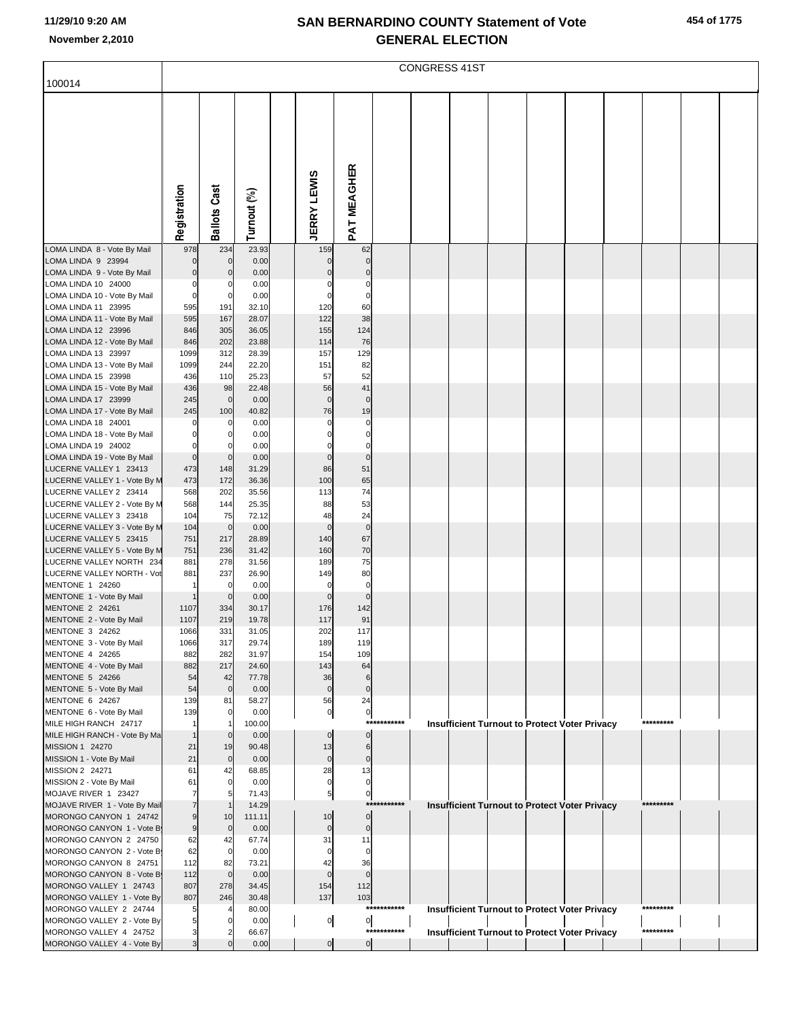| 454 of 1775 |
|-------------|
|-------------|

|                                                          |                            |                            |                 |                    |                            |                            |             | <b>CONGRESS 41ST</b> |  |                                                      |           |  |
|----------------------------------------------------------|----------------------------|----------------------------|-----------------|--------------------|----------------------------|----------------------------|-------------|----------------------|--|------------------------------------------------------|-----------|--|
| 100014                                                   |                            |                            |                 |                    |                            |                            |             |                      |  |                                                      |           |  |
|                                                          |                            |                            |                 |                    |                            |                            |             |                      |  |                                                      |           |  |
|                                                          |                            |                            |                 |                    |                            |                            |             |                      |  |                                                      |           |  |
|                                                          |                            |                            |                 |                    |                            |                            |             |                      |  |                                                      |           |  |
|                                                          |                            |                            |                 |                    |                            |                            |             |                      |  |                                                      |           |  |
|                                                          |                            |                            |                 |                    |                            |                            |             |                      |  |                                                      |           |  |
|                                                          |                            |                            |                 |                    |                            |                            |             |                      |  |                                                      |           |  |
|                                                          |                            |                            |                 |                    |                            |                            |             |                      |  |                                                      |           |  |
|                                                          | Registration               | <b>Ballots Cast</b>        | Turnout (%)     | <b>JERRY LEWIS</b> |                            | PAT MEAGHER                |             |                      |  |                                                      |           |  |
| LOMA LINDA 8 - Vote By Mail                              | 978                        | 234                        | 23.93           |                    | 159                        | 62                         |             |                      |  |                                                      |           |  |
| LOMA LINDA 9 23994<br>LOMA LINDA 9 - Vote By Mail        | $\mathbf 0$<br>$\mathbf 0$ | $\mathbf 0$<br>$\mathbf 0$ | 0.00<br>0.00    |                    | $\pmb{0}$<br>$\mathbf 0$   | $\mathbf 0$<br>$\pmb{0}$   |             |                      |  |                                                      |           |  |
| LOMA LINDA 10 24000                                      | 0                          | 0                          | 0.00            |                    | $\Omega$                   | 0                          |             |                      |  |                                                      |           |  |
| LOMA LINDA 10 - Vote By Mail<br>LOMA LINDA 11 23995      | $\mathbf 0$<br>595         | 0<br>191                   | 0.00<br>32.10   |                    | 0<br>120                   | $\mathbf 0$<br>60          |             |                      |  |                                                      |           |  |
| LOMA LINDA 11 - Vote By Mail                             | 595                        | 167                        | 28.07           |                    | 122                        | 38                         |             |                      |  |                                                      |           |  |
| LOMA LINDA 12 23996<br>LOMA LINDA 12 - Vote By Mail      | 846<br>846                 | 305<br>202                 | 36.05<br>23.88  |                    | 155<br>114                 | 124<br>76                  |             |                      |  |                                                      |           |  |
| LOMA LINDA 13 23997                                      | 1099                       | 312                        | 28.39           |                    | 157                        | 129                        |             |                      |  |                                                      |           |  |
| LOMA LINDA 13 - Vote By Mail<br>LOMA LINDA 15 23998      | 1099                       | 244<br>110                 | 22.20<br>25.23  |                    | 151<br>57                  | 82<br>52                   |             |                      |  |                                                      |           |  |
| LOMA LINDA 15 - Vote By Mail                             | 436<br>436                 | 98                         | 22.48           |                    | 56                         | 41                         |             |                      |  |                                                      |           |  |
| LOMA LINDA 17 23999                                      | 245                        | $\mathbf 0$                | 0.00            |                    | $\pmb{0}$                  | $\pmb{0}$                  |             |                      |  |                                                      |           |  |
| LOMA LINDA 17 - Vote By Mail<br>LOMA LINDA 18 24001      | 245<br>0                   | 100<br>$\Omega$            | 40.82<br>0.00   |                    | 76<br>$\Omega$             | 19<br>$\pmb{0}$            |             |                      |  |                                                      |           |  |
| LOMA LINDA 18 - Vote By Mail                             | $\mathbf 0$                | $\Omega$                   | 0.00            |                    |                            | 0                          |             |                      |  |                                                      |           |  |
| LOMA LINDA 19 24002<br>LOMA LINDA 19 - Vote By Mail      | $\mathbf 0$<br>$\mathbf 0$ | $\Omega$<br>$\mathbf 0$    | 0.00<br>0.00    |                    | $\mathbf 0$<br>$\mathbf 0$ | $\mathbf 0$<br>$\mathbf 0$ |             |                      |  |                                                      |           |  |
| LUCERNE VALLEY 1 23413                                   | 473                        | 148                        | 31.29           |                    | 86                         | 51                         |             |                      |  |                                                      |           |  |
| LUCERNE VALLEY 1 - Vote By M<br>LUCERNE VALLEY 2 23414   | 473<br>568                 | 172<br>202                 | 36.36<br>35.56  |                    | 100<br>113                 | 65<br>74                   |             |                      |  |                                                      |           |  |
| LUCERNE VALLEY 2 - Vote By M                             | 568                        | 144                        | 25.35           |                    | 88                         | 53                         |             |                      |  |                                                      |           |  |
| LUCERNE VALLEY 3 23418<br>LUCERNE VALLEY 3 - Vote By M   | 104<br>104                 | 75<br>$\mathbf 0$          | 72.12<br>0.00   |                    | 48<br>$\mathbf 0$          | 24<br>$\pmb{0}$            |             |                      |  |                                                      |           |  |
| LUCERNE VALLEY 5 23415                                   | 751                        | 217                        | 28.89           |                    | 140                        | 67                         |             |                      |  |                                                      |           |  |
| LUCERNE VALLEY 5 - Vote By M<br>LUCERNE VALLEY NORTH 234 | 751<br>881                 | 236<br>278                 | 31.42<br>31.56  |                    | 160<br>189                 | 70<br>75                   |             |                      |  |                                                      |           |  |
| LUCERNE VALLEY NORTH - Vot                               | 881                        | 237                        | 26.90           |                    | 149                        | 80                         |             |                      |  |                                                      |           |  |
| MENTONE 1 24260<br>MENTONE 1 - Vote By Mail              |                            | $\mathbf 0$<br>$\mathbf 0$ | 0.00<br>0.00    |                    | $\mathbf 0$<br>$\pmb{0}$   | $\pmb{0}$<br>$\mathbf 0$   |             |                      |  |                                                      |           |  |
| MENTONE 2 24261                                          | 1107                       | 334                        | 30.17           |                    | 176                        | 142                        |             |                      |  |                                                      |           |  |
| MENTONE 2 - Vote By Mail<br>MENTONE 3 24262              | 1107<br>1066               | 219<br>331                 | 19.78<br>31.05  |                    | 117<br>202                 | 91<br>117                  |             |                      |  |                                                      |           |  |
| MENTONE 3 - Vote By Mail                                 | 1066                       | 317                        | 29.74           |                    | 189                        | 119                        |             |                      |  |                                                      |           |  |
| MENTONE 4 24265<br>MENTONE 4 - Vote By Mail              | 882<br>882                 | 282<br>217                 | 31.97<br>24.60  |                    | 154<br>143                 | 109<br>64                  |             |                      |  |                                                      |           |  |
| MENTONE 5 24266                                          | 54                         | 42                         | 77.78           |                    | 36                         | 6                          |             |                      |  |                                                      |           |  |
| MENTONE 5 - Vote By Mail<br>MENTONE 6 24267              | 54<br>139                  | $\mathbf 0$<br>81          | 0.00<br>58.27   |                    | $\pmb{0}$<br>56            | $\overline{0}$<br>24       |             |                      |  |                                                      |           |  |
| MENTONE 6 - Vote By Mail                                 | 139                        | $\Omega$                   | 0.00            |                    | $\overline{0}$             | $\overline{0}$             |             |                      |  |                                                      |           |  |
| MILE HIGH RANCH 24717                                    |                            | $\Omega$                   | 100.00          |                    | $\mathbf 0$                |                            | *********** |                      |  | <b>Insufficient Turnout to Protect Voter Privacy</b> | ********* |  |
| MILE HIGH RANCH - Vote By Ma<br>MISSION 1 24270          | 21                         | 19                         | 0.00<br>90.48   |                    | 13                         | $\pmb{0}$<br>6             |             |                      |  |                                                      |           |  |
| MISSION 1 - Vote By Mail                                 | 21                         | $\overline{0}$<br>42       | 0.00            |                    | $\pmb{0}$                  | $\pmb{0}$                  |             |                      |  |                                                      |           |  |
| MISSION 2 24271<br>MISSION 2 - Vote By Mail              | 61<br>61                   | $\Omega$                   | 68.85<br>0.00   |                    | 28<br>$\pmb{0}$            | 13<br>$\pmb{0}$            |             |                      |  |                                                      |           |  |
| MOJAVE RIVER 1 23427                                     | 7                          | 5                          | 71.43           |                    | 5                          | $\overline{0}$             | *********** |                      |  |                                                      | ********* |  |
| MOJAVE RIVER 1 - Vote By Mail<br>MORONGO CANYON 1 24742  | $\overline{7}$<br>9        | 10                         | 14.29<br>111.11 |                    | 10                         | $\overline{0}$             |             |                      |  | <b>Insufficient Turnout to Protect Voter Privacy</b> |           |  |
| MORONGO CANYON 1 - Vote B                                | $\boldsymbol{9}$           | $\mathbf 0$                | 0.00            |                    | $\pmb{0}$                  | $\pmb{0}$                  |             |                      |  |                                                      |           |  |
| MORONGO CANYON 2 24750<br>MORONGO CANYON 2 - Vote B      | 62<br>62                   | 42<br>$\mathbf 0$          | 67.74<br>0.00   |                    | 31<br>0                    | 11<br>0                    |             |                      |  |                                                      |           |  |
| MORONGO CANYON 8 24751                                   | 112                        | 82                         | 73.21           |                    | 42                         | 36                         |             |                      |  |                                                      |           |  |
| MORONGO CANYON 8 - Vote B<br>MORONGO VALLEY 1 24743      | 112<br>807                 | $\mathbf 0$<br>278         | 0.00<br>34.45   |                    | $\mathbf 0$<br>154         | $\mathbf 0$<br>112         |             |                      |  |                                                      |           |  |
| MORONGO VALLEY 1 - Vote By                               | 807                        | 246                        | 30.48           |                    | 137                        | 103                        |             |                      |  |                                                      |           |  |
| MORONGO VALLEY 2 24744<br>MORONGO VALLEY 2 - Vote By     | 5<br>5                     |                            | 80.00<br>0.00   |                    | $\overline{0}$             | $\overline{0}$             | *********** |                      |  | <b>Insufficient Turnout to Protect Voter Privacy</b> | ********* |  |
| MORONGO VALLEY 4 24752                                   | 3                          |                            | 66.67           |                    |                            |                            | *********** |                      |  | <b>Insufficient Turnout to Protect Voter Privacy</b> | ********* |  |
| MORONGO VALLEY 4 - Vote By                               | $\overline{3}$             | $\Omega$                   | 0.00            |                    | 이                          | $\overline{0}$             |             |                      |  |                                                      |           |  |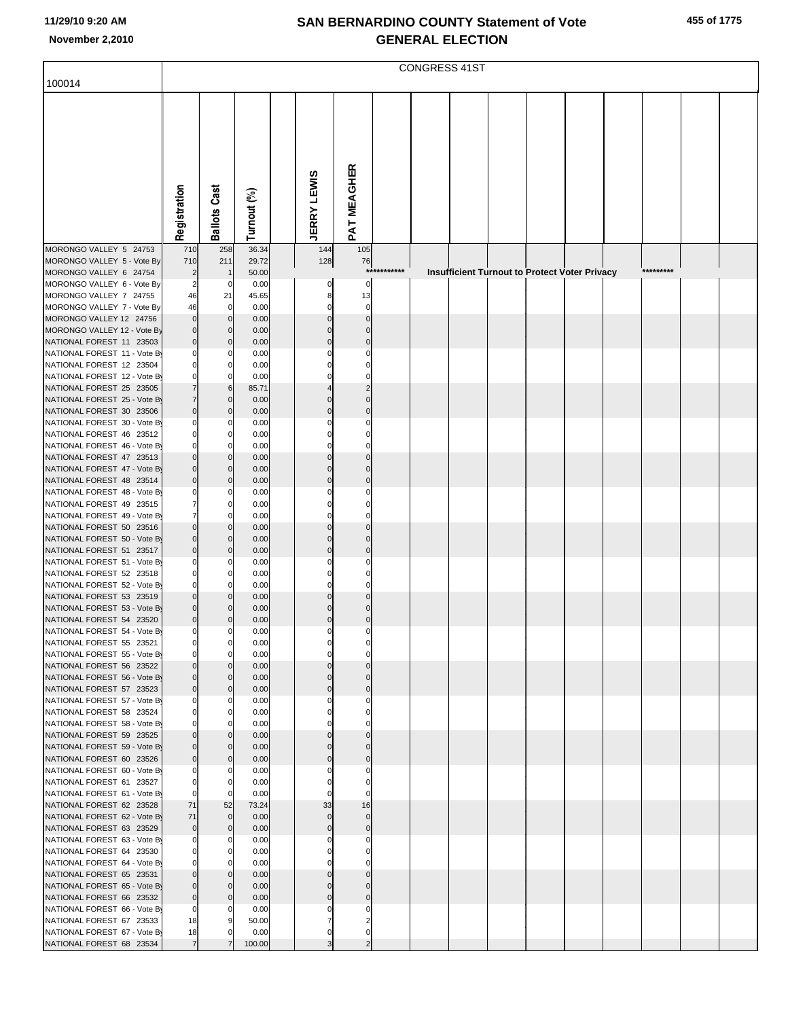|                                                          |                | CONGRESS 41ST       |                |  |                    |             |             |  |  |  |                                               |  |           |  |
|----------------------------------------------------------|----------------|---------------------|----------------|--|--------------------|-------------|-------------|--|--|--|-----------------------------------------------|--|-----------|--|
| 100014                                                   |                |                     |                |  |                    |             |             |  |  |  |                                               |  |           |  |
|                                                          |                |                     |                |  |                    |             |             |  |  |  |                                               |  |           |  |
|                                                          |                |                     |                |  |                    |             |             |  |  |  |                                               |  |           |  |
|                                                          |                |                     |                |  |                    |             |             |  |  |  |                                               |  |           |  |
|                                                          |                |                     |                |  |                    |             |             |  |  |  |                                               |  |           |  |
|                                                          |                |                     |                |  |                    |             |             |  |  |  |                                               |  |           |  |
|                                                          |                |                     |                |  |                    |             |             |  |  |  |                                               |  |           |  |
|                                                          |                |                     |                |  |                    |             |             |  |  |  |                                               |  |           |  |
|                                                          |                |                     |                |  |                    |             |             |  |  |  |                                               |  |           |  |
|                                                          |                |                     |                |  |                    |             |             |  |  |  |                                               |  |           |  |
|                                                          |                |                     |                |  |                    |             |             |  |  |  |                                               |  |           |  |
|                                                          | Registration   | <b>Ballots Cast</b> | Turnout (%)    |  | <b>JERRY LEWIS</b> | PAT MEAGHER |             |  |  |  |                                               |  |           |  |
|                                                          |                |                     |                |  |                    |             |             |  |  |  |                                               |  |           |  |
| MORONGO VALLEY 5 24753                                   | 710            | 258                 | 36.34          |  | 144                | 105         |             |  |  |  |                                               |  |           |  |
| MORONGO VALLEY 5 - Vote By                               | 710            | 211                 | 29.72          |  | 128                | 76          |             |  |  |  |                                               |  |           |  |
| MORONGO VALLEY 6 24754                                   | $\overline{2}$ |                     | 50.00          |  |                    |             | *********** |  |  |  | Insufficient Turnout to Protect Voter Privacy |  | ********* |  |
| MORONGO VALLEY 6 - Vote By                               | $\overline{2}$ | 0                   | 0.00           |  |                    | $\Omega$    |             |  |  |  |                                               |  |           |  |
| MORONGO VALLEY 7 24755                                   | 46<br>46       | 21<br>0             | 45.65<br>0.00  |  |                    | 13          |             |  |  |  |                                               |  |           |  |
| MORONGO VALLEY 7 - Vote By<br>MORONGO VALLEY 12 24756    | $\mathbf{0}$   | $\Omega$            | 0.00           |  |                    |             |             |  |  |  |                                               |  |           |  |
| MORONGO VALLEY 12 - Vote By                              | $\Omega$       | $\Omega$            | 0.00           |  |                    |             |             |  |  |  |                                               |  |           |  |
| NATIONAL FOREST 11 23503                                 | $\Omega$       | $\Omega$            | 0.00           |  |                    |             |             |  |  |  |                                               |  |           |  |
| NATIONAL FOREST 11 - Vote By                             | $\Omega$       |                     | 0.00           |  |                    |             |             |  |  |  |                                               |  |           |  |
| NATIONAL FOREST 12 23504                                 |                | O                   | 0.00           |  |                    |             |             |  |  |  |                                               |  |           |  |
| NATIONAL FOREST 12 - Vote By                             |                | $\Omega$            | 0.00           |  |                    |             |             |  |  |  |                                               |  |           |  |
| NATIONAL FOREST 25 23505                                 |                | 6                   | 85.71          |  |                    |             |             |  |  |  |                                               |  |           |  |
| NATIONAL FOREST 25 - Vote By                             | $\Omega$       | $\Omega$            | 0.00           |  |                    |             |             |  |  |  |                                               |  |           |  |
| NATIONAL FOREST 30 23506<br>NATIONAL FOREST 30 - Vote By |                | $\Omega$            | 0.00<br>0.00   |  |                    |             |             |  |  |  |                                               |  |           |  |
| NATIONAL FOREST 46 23512                                 |                | n                   | 0.00           |  |                    |             |             |  |  |  |                                               |  |           |  |
| NATIONAL FOREST 46 - Vote By                             | $\Omega$       | O                   | 0.00           |  |                    |             |             |  |  |  |                                               |  |           |  |
| NATIONAL FOREST 47 23513                                 |                | $\Omega$            | 0.00           |  |                    |             |             |  |  |  |                                               |  |           |  |
| NATIONAL FOREST 47 - Vote By                             |                | $\Omega$            | 0.00           |  |                    |             |             |  |  |  |                                               |  |           |  |
| NATIONAL FOREST 48 23514                                 | $\Omega$       | $\Omega$            | 0.00           |  |                    |             |             |  |  |  |                                               |  |           |  |
| NATIONAL FOREST 48 - Vote By                             |                |                     | 0.00           |  |                    |             |             |  |  |  |                                               |  |           |  |
| NATIONAL FOREST 49 23515<br>NATIONAL FOREST 49 - Vote By |                | O                   | 0.00<br>0.00   |  |                    |             |             |  |  |  |                                               |  |           |  |
| NATIONAL FOREST 50 23516                                 |                | $\Omega$            | 0.00           |  |                    |             |             |  |  |  |                                               |  |           |  |
| NATIONAL FOREST 50 - Vote By                             | $\Omega$       | $\Omega$            | 0.00           |  |                    |             |             |  |  |  |                                               |  |           |  |
| NATIONAL FOREST 51 23517                                 | $\Omega$       | $\Omega$            | 0.00           |  |                    |             |             |  |  |  |                                               |  |           |  |
| NATIONAL FOREST 51 - Vote By                             |                |                     | 0.00           |  |                    |             |             |  |  |  |                                               |  |           |  |
| NATIONAL FOREST 52 23518                                 | $\Omega$       | O                   | 0.00           |  |                    |             |             |  |  |  |                                               |  |           |  |
| NATIONAL FOREST 52 - Vote By<br>NATIONAL FOREST 53 23519 |                | $\Omega$            | 0.00<br>0.00   |  |                    |             |             |  |  |  |                                               |  |           |  |
| NATIONAL FOREST 53 - Vote By                             |                |                     | 0.00           |  |                    |             |             |  |  |  |                                               |  |           |  |
| NATIONAL FOREST 54 23520                                 | $\Omega$       | $\Omega$            | 0.00           |  |                    |             |             |  |  |  |                                               |  |           |  |
| NATIONAL FOREST 54 - Vote By                             | $\overline{0}$ | $\mathbf 0$         | 0.00           |  | $\Omega$           | $\Omega$    |             |  |  |  |                                               |  |           |  |
| NATIONAL FOREST 55 23521                                 |                | 0                   | 0.00           |  |                    |             |             |  |  |  |                                               |  |           |  |
| NATIONAL FOREST 55 - Vote By                             |                | $\Omega$            | 0.00           |  |                    |             |             |  |  |  |                                               |  |           |  |
| NATIONAL FOREST 56 23522<br>NATIONAL FOREST 56 - Vote By | $\Omega$       | $\Omega$            | 0.00<br>0.00   |  |                    |             |             |  |  |  |                                               |  |           |  |
| NATIONAL FOREST 57 23523                                 |                | $\mathbf 0$         | 0.00           |  |                    |             |             |  |  |  |                                               |  |           |  |
| NATIONAL FOREST 57 - Vote By                             |                |                     | 0.00           |  |                    |             |             |  |  |  |                                               |  |           |  |
| NATIONAL FOREST 58 23524                                 |                | 0                   | 0.00           |  |                    |             |             |  |  |  |                                               |  |           |  |
| NATIONAL FOREST 58 - Vote By                             |                | $\Omega$            | 0.00           |  |                    |             |             |  |  |  |                                               |  |           |  |
| NATIONAL FOREST 59 23525                                 |                | $\Omega$            | 0.00           |  |                    |             |             |  |  |  |                                               |  |           |  |
| NATIONAL FOREST 59 - Vote By                             | $\Omega$       | $\Omega$            | 0.00           |  |                    |             |             |  |  |  |                                               |  |           |  |
| NATIONAL FOREST 60 23526<br>NATIONAL FOREST 60 - Vote By |                | $\mathbf 0$         | 0.00<br>0.00   |  |                    |             |             |  |  |  |                                               |  |           |  |
| NATIONAL FOREST 61 23527                                 |                | 0                   | 0.00           |  |                    |             |             |  |  |  |                                               |  |           |  |
| NATIONAL FOREST 61 - Vote By                             | $\mathbf 0$    | $\Omega$            | 0.00           |  |                    |             |             |  |  |  |                                               |  |           |  |
| NATIONAL FOREST 62 23528                                 | 71             | 52                  | 73.24          |  | 33                 | 16          |             |  |  |  |                                               |  |           |  |
| NATIONAL FOREST 62 - Vote By                             | 71             | $\mathbf 0$         | 0.00           |  |                    |             |             |  |  |  |                                               |  |           |  |
| NATIONAL FOREST 63 23529                                 | $\overline{0}$ | $\mathbf 0$         | 0.00           |  |                    |             |             |  |  |  |                                               |  |           |  |
| NATIONAL FOREST 63 - Vote By<br>NATIONAL FOREST 64 23530 | 0              | 0                   | 0.00<br>0.00   |  |                    |             |             |  |  |  |                                               |  |           |  |
| NATIONAL FOREST 64 - Vote By                             |                | $\Omega$            | 0.00           |  |                    |             |             |  |  |  |                                               |  |           |  |
| NATIONAL FOREST 65 23531                                 |                | $\Omega$            | 0.00           |  |                    |             |             |  |  |  |                                               |  |           |  |
| NATIONAL FOREST 65 - Vote By                             | $\Omega$       | $\Omega$            | 0.00           |  |                    |             |             |  |  |  |                                               |  |           |  |
| NATIONAL FOREST 66 23532                                 | $\mathbf 0$    | $\Omega$            | 0.00           |  |                    |             |             |  |  |  |                                               |  |           |  |
| NATIONAL FOREST 66 - Vote By                             | 0              |                     | 0.00           |  |                    |             |             |  |  |  |                                               |  |           |  |
| NATIONAL FOREST 67 23533                                 | 18<br>18       |                     | 50.00          |  |                    |             |             |  |  |  |                                               |  |           |  |
| NATIONAL FOREST 67 - Vote By<br>NATIONAL FOREST 68 23534 | $\overline{7}$ |                     | 0.00<br>100.00 |  |                    |             |             |  |  |  |                                               |  |           |  |
|                                                          |                |                     |                |  |                    |             |             |  |  |  |                                               |  |           |  |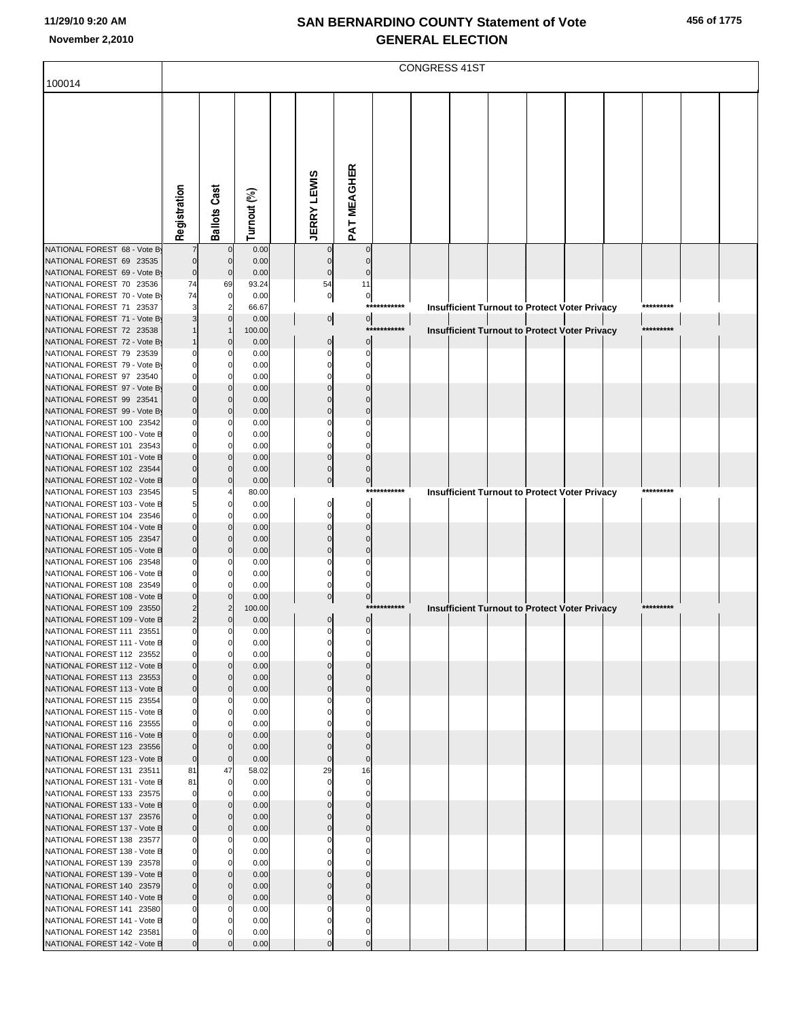|                                                           |                            |                     |                |                    |                |             | CONGRESS 41ST |  |                                               |  |           |  |
|-----------------------------------------------------------|----------------------------|---------------------|----------------|--------------------|----------------|-------------|---------------|--|-----------------------------------------------|--|-----------|--|
| 100014                                                    |                            |                     |                |                    |                |             |               |  |                                               |  |           |  |
|                                                           |                            |                     |                |                    |                |             |               |  |                                               |  |           |  |
|                                                           |                            |                     |                |                    |                |             |               |  |                                               |  |           |  |
|                                                           |                            |                     |                |                    |                |             |               |  |                                               |  |           |  |
|                                                           |                            |                     |                |                    |                |             |               |  |                                               |  |           |  |
|                                                           |                            |                     |                |                    |                |             |               |  |                                               |  |           |  |
|                                                           |                            |                     |                |                    |                |             |               |  |                                               |  |           |  |
|                                                           |                            |                     |                |                    |                |             |               |  |                                               |  |           |  |
|                                                           |                            |                     |                |                    |                |             |               |  |                                               |  |           |  |
|                                                           |                            |                     |                |                    |                |             |               |  |                                               |  |           |  |
|                                                           |                            |                     |                |                    |                |             |               |  |                                               |  |           |  |
|                                                           |                            | <b>Ballots Cast</b> |                |                    |                |             |               |  |                                               |  |           |  |
|                                                           | Registration               |                     | Turnout (%)    | <b>JERRY LEWIS</b> | PAT MEAGHER    |             |               |  |                                               |  |           |  |
| NATIONAL FOREST 68 - Vote B                               |                            | $\mathbf{0}$        | 0.00           | $\mathbf 0$        |                |             |               |  |                                               |  |           |  |
| NATIONAL FOREST 69 23535                                  | $\mathbf 0$                | $\mathbf{0}$        | 0.00           | $\mathbf 0$        |                |             |               |  |                                               |  |           |  |
| NATIONAL FOREST 69 - Vote By                              | $\bf 0$                    | $\Omega$            | 0.00           | $\mathbf 0$        |                |             |               |  |                                               |  |           |  |
| NATIONAL FOREST 70 23536                                  | 74                         | 69                  | 93.24          | 54                 | 11             |             |               |  |                                               |  |           |  |
| NATIONAL FOREST 70 - Vote By                              | 74                         | 0                   | 0.00           | $\overline{0}$     | 0              |             |               |  |                                               |  |           |  |
| NATIONAL FOREST 71 23537                                  | 3                          | 2                   | 66.67          |                    |                | *********** |               |  | Insufficient Turnout to Protect Voter Privacy |  | ********* |  |
| NATIONAL FOREST 71 - Vote By<br>NATIONAL FOREST 72 23538  |                            |                     | 0.00<br>100.00 | $\overline{0}$     | $\overline{0}$ | *********** |               |  | Insufficient Turnout to Protect Voter Privacy |  | ********* |  |
| NATIONAL FOREST 72 - Vote By                              |                            |                     | 0.00           | $\mathbf 0$        | $\Omega$       |             |               |  |                                               |  |           |  |
| NATIONAL FOREST 79 23539                                  | 0                          |                     | 0.00           |                    |                |             |               |  |                                               |  |           |  |
| NATIONAL FOREST 79 - Vote By                              | 0                          |                     | 0.00           |                    |                |             |               |  |                                               |  |           |  |
| NATIONAL FOREST 97 23540                                  | $\Omega$                   | 0                   | 0.00           |                    |                |             |               |  |                                               |  |           |  |
| NATIONAL FOREST 97 - Vote By                              | $\Omega$                   | $\Omega$            | 0.00           |                    |                |             |               |  |                                               |  |           |  |
| NATIONAL FOREST 99 23541                                  | $\mathbf 0$                | $\mathbf{0}$        | 0.00           |                    |                |             |               |  |                                               |  |           |  |
| NATIONAL FOREST 99 - Vote By                              | $\Omega$                   | $\Omega$            | 0.00           |                    |                |             |               |  |                                               |  |           |  |
| NATIONAL FOREST 100 23542<br>NATIONAL FOREST 100 - Vote B | 0<br>0                     | 0                   | 0.00<br>0.00   |                    |                |             |               |  |                                               |  |           |  |
| NATIONAL FOREST 101 23543                                 | $\mathbf 0$                | O                   | 0.00           |                    |                |             |               |  |                                               |  |           |  |
| NATIONAL FOREST 101 - Vote B                              | $\Omega$                   | $\Omega$            | 0.00           |                    |                |             |               |  |                                               |  |           |  |
| NATIONAL FOREST 102 23544                                 | $\mathbf 0$                | $\Omega$            | 0.00           | 0                  |                |             |               |  |                                               |  |           |  |
| NATIONAL FOREST 102 - Vote B                              | $\mathbf 0$                | $\Omega$            | 0.00           | 0                  | $\mathbf 0$    |             |               |  |                                               |  |           |  |
| NATIONAL FOREST 103 23545                                 | 5                          |                     | 80.00          |                    |                | *********** |               |  | Insufficient Turnout to Protect Voter Privacy |  | ********* |  |
| NATIONAL FOREST 103 - Vote B                              | 5                          |                     | 0.00           | $\Omega$           | $\Omega$       |             |               |  |                                               |  |           |  |
| NATIONAL FOREST 104 23546<br>NATIONAL FOREST 104 - Vote B | $\mathbf 0$<br>$\Omega$    | O                   | 0.00<br>0.00   |                    |                |             |               |  |                                               |  |           |  |
| NATIONAL FOREST 105 23547                                 | $\mathbf 0$                | $\mathbf{0}$        | 0.00           |                    |                |             |               |  |                                               |  |           |  |
| NATIONAL FOREST 105 - Vote B                              | $\mathbf 0$                |                     | 0.00           | $\Omega$           |                |             |               |  |                                               |  |           |  |
| NATIONAL FOREST 106 23548                                 | 0                          | 0                   | 0.00           |                    |                |             |               |  |                                               |  |           |  |
| NATIONAL FOREST 106 - Vote B                              | $\mathbf 0$                |                     | 0.00           |                    |                |             |               |  |                                               |  |           |  |
| NATIONAL FOREST 108 23549                                 | $\mathbf 0$                |                     | 0.00           |                    |                |             |               |  |                                               |  |           |  |
| NATIONAL FOREST 108 - Vote B<br>NATIONAL FOREST 109 23550 | $\Omega$<br>$\overline{2}$ | 2                   | 0.00<br>100.00 | 0                  | $\mathbf 0$    | *********** |               |  |                                               |  | ********* |  |
| NATIONAL FOREST 109 - Vote B                              | $\overline{c}$             |                     | 0.00           | 0                  | $\pmb{0}$      |             |               |  | Insufficient Turnout to Protect Voter Privacy |  |           |  |
| NATIONAL FOREST 111 23551                                 | $\mathbf 0$                | $\mathbf{0}$        | 0.00           | $\mathbf 0$        | 0              |             |               |  |                                               |  |           |  |
| NATIONAL FOREST 111 - Vote B                              | $\mathbf 0$                | $\overline{0}$      | 0.00           |                    |                |             |               |  |                                               |  |           |  |
| NATIONAL FOREST 112 23552                                 | 0                          | $\Omega$            | 0.00           |                    |                |             |               |  |                                               |  |           |  |
| NATIONAL FOREST 112 - Vote B                              | $\mathbf 0$                |                     | 0.00           |                    |                |             |               |  |                                               |  |           |  |
| NATIONAL FOREST 113 23553                                 | $\mathbf 0$                | $\mathbf{0}$        | 0.00           |                    |                |             |               |  |                                               |  |           |  |
| NATIONAL FOREST 113 - Vote B<br>NATIONAL FOREST 115 23554 | $\mathbf 0$<br>0           | $\Omega$<br>0       | 0.00<br>0.00   |                    |                |             |               |  |                                               |  |           |  |
| NATIONAL FOREST 115 - Vote B                              | 0                          |                     | 0.00           |                    |                |             |               |  |                                               |  |           |  |
| NATIONAL FOREST 116 23555                                 | 0                          | O                   | 0.00           |                    |                |             |               |  |                                               |  |           |  |
| NATIONAL FOREST 116 - Vote B                              | $\mathbf 0$                |                     | 0.00           |                    |                |             |               |  |                                               |  |           |  |
| NATIONAL FOREST 123 23556                                 | $\mathbf 0$                | 0                   | 0.00           |                    |                |             |               |  |                                               |  |           |  |
| NATIONAL FOREST 123 - Vote B                              | $\pmb{0}$                  | 0                   | 0.00           | $\Omega$           | $\Omega$       |             |               |  |                                               |  |           |  |
| NATIONAL FOREST 131 23511                                 | 81                         | 47                  | 58.02          | 29                 | 16             |             |               |  |                                               |  |           |  |
| NATIONAL FOREST 131 - Vote B<br>NATIONAL FOREST 133 23575 | 81                         | 0<br>O              | 0.00<br>0.00   | $\Omega$           |                |             |               |  |                                               |  |           |  |
| NATIONAL FOREST 133 - Vote B                              | 0<br>$\mathbf 0$           |                     | 0.00           |                    |                |             |               |  |                                               |  |           |  |
| NATIONAL FOREST 137 23576                                 | $\mathbf 0$                | $\Omega$            | 0.00           |                    |                |             |               |  |                                               |  |           |  |
| NATIONAL FOREST 137 - Vote B                              | $\mathbf 0$                | O                   | 0.00           |                    |                |             |               |  |                                               |  |           |  |
| NATIONAL FOREST 138 23577                                 | 0                          | 0                   | 0.00           |                    |                |             |               |  |                                               |  |           |  |
| NATIONAL FOREST 138 - Vote B                              | 0                          |                     | 0.00           |                    |                |             |               |  |                                               |  |           |  |
| NATIONAL FOREST 139 23578                                 | 0                          | 0                   | 0.00           |                    |                |             |               |  |                                               |  |           |  |
| NATIONAL FOREST 139 - Vote B<br>NATIONAL FOREST 140 23579 | $\mathbf 0$                | $\mathbf{0}$        | 0.00<br>0.00   |                    |                |             |               |  |                                               |  |           |  |
| NATIONAL FOREST 140 - Vote B                              | $\mathbf 0$<br>$\mathbf 0$ | 0                   | 0.00           |                    |                |             |               |  |                                               |  |           |  |
| NATIONAL FOREST 141 23580                                 | 0                          | 0                   | 0.00           |                    |                |             |               |  |                                               |  |           |  |
| NATIONAL FOREST 141 - Vote B                              | 0                          |                     | 0.00           |                    |                |             |               |  |                                               |  |           |  |
| NATIONAL FOREST 142 23581                                 | 0                          |                     | 0.00           | 0                  | 0              |             |               |  |                                               |  |           |  |
| NATIONAL FOREST 142 - Vote B                              | $\mathbf 0$                |                     | 0.00           | $\Omega$           | $\mathbf{0}$   |             |               |  |                                               |  |           |  |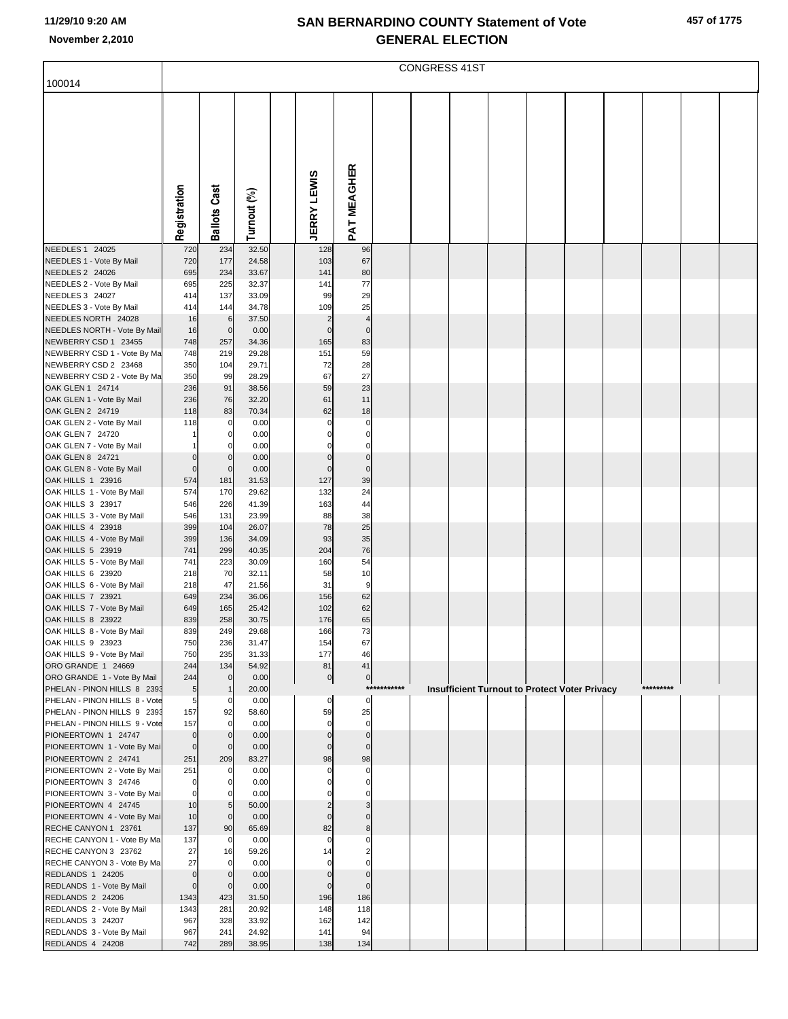|                                                              |                            | CONGRESS 41ST                 |                |  |                               |                               |             |  |  |  |  |                                                      |  |  |
|--------------------------------------------------------------|----------------------------|-------------------------------|----------------|--|-------------------------------|-------------------------------|-------------|--|--|--|--|------------------------------------------------------|--|--|
| 100014                                                       |                            |                               |                |  |                               |                               |             |  |  |  |  |                                                      |  |  |
|                                                              | Registration               | <b>Ballots Cast</b>           | Turnout (%)    |  | <b>JERRY LEWIS</b>            | <b>PAT MEAGHER</b>            |             |  |  |  |  |                                                      |  |  |
| NEEDLES 1 24025                                              | 720                        | 234                           | 32.50          |  | 128                           | 96                            |             |  |  |  |  |                                                      |  |  |
| NEEDLES 1 - Vote By Mail<br>NEEDLES 2 24026                  | 720<br>695                 | 177<br>234                    | 24.58<br>33.67 |  | 103<br>141                    | 67<br>80                      |             |  |  |  |  |                                                      |  |  |
| NEEDLES 2 - Vote By Mail                                     | 695                        | 225                           | 32.37          |  | 141                           | 77                            |             |  |  |  |  |                                                      |  |  |
| NEEDLES 3 24027                                              | 414                        | 137                           | 33.09          |  | 99                            | 29                            |             |  |  |  |  |                                                      |  |  |
| NEEDLES 3 - Vote By Mail                                     | 414                        | 144                           | 34.78          |  | 109                           | 25                            |             |  |  |  |  |                                                      |  |  |
| NEEDLES NORTH 24028<br>NEEDLES NORTH - Vote By Mail          | 16<br>16                   | $\,6$<br>$\mathbf 0$          | 37.50<br>0.00  |  | $\overline{2}$<br>$\mathbf 0$ | $\overline{4}$<br>$\mathbf 0$ |             |  |  |  |  |                                                      |  |  |
| NEWBERRY CSD 1 23455                                         | 748                        | 257                           | 34.36          |  | 165                           | 83                            |             |  |  |  |  |                                                      |  |  |
| NEWBERRY CSD 1 - Vote By Ma                                  | 748                        | 219                           | 29.28          |  | 151                           | 59                            |             |  |  |  |  |                                                      |  |  |
| NEWBERRY CSD 2 23468                                         | 350                        | 104                           | 29.71          |  | 72                            | 28                            |             |  |  |  |  |                                                      |  |  |
| NEWBERRY CSD 2 - Vote By Ma                                  | 350                        | 99                            | 28.29          |  | 67                            | 27                            |             |  |  |  |  |                                                      |  |  |
| OAK GLEN 1 24714<br>OAK GLEN 1 - Vote By Mail                | 236<br>236                 | 91<br>76                      | 38.56<br>32.20 |  | 59<br>61                      | 23<br>11                      |             |  |  |  |  |                                                      |  |  |
| OAK GLEN 2 24719                                             | 118                        | 83                            | 70.34          |  | 62                            | 18                            |             |  |  |  |  |                                                      |  |  |
| OAK GLEN 2 - Vote By Mail                                    | 118                        |                               | 0.00           |  | 0                             | 0                             |             |  |  |  |  |                                                      |  |  |
| OAK GLEN 7 24720                                             |                            |                               | 0.00           |  |                               | 0                             |             |  |  |  |  |                                                      |  |  |
| OAK GLEN 7 - Vote By Mail                                    |                            |                               | 0.00           |  |                               | $\mathbf 0$                   |             |  |  |  |  |                                                      |  |  |
| OAK GLEN 8 24721<br>OAK GLEN 8 - Vote By Mail                | $\mathbf 0$<br>$\mathbf 0$ | $\mathcal{C}$<br>$\mathsf{C}$ | 0.00<br>0.00   |  | $\mathbf 0$<br>$\mathbf 0$    | $\mathbf 0$<br>$\mathbf 0$    |             |  |  |  |  |                                                      |  |  |
| OAK HILLS 1 23916                                            | 574                        | 181                           | 31.53          |  | 127                           | 39                            |             |  |  |  |  |                                                      |  |  |
| OAK HILLS 1 - Vote By Mail                                   | 574                        | 170                           | 29.62          |  | 132                           | 24                            |             |  |  |  |  |                                                      |  |  |
| OAK HILLS 3 23917                                            | 546                        | 226                           | 41.39          |  | 163                           | 44                            |             |  |  |  |  |                                                      |  |  |
| OAK HILLS 3 - Vote By Mail<br>OAK HILLS 4 23918              | 546<br>399                 | 131<br>104                    | 23.99          |  | 88<br>78                      | 38<br>25                      |             |  |  |  |  |                                                      |  |  |
| OAK HILLS 4 - Vote By Mail                                   | 399                        | 136                           | 26.07<br>34.09 |  | 93                            | 35                            |             |  |  |  |  |                                                      |  |  |
| OAK HILLS 5 23919                                            | 741                        | 299                           | 40.35          |  | 204                           | 76                            |             |  |  |  |  |                                                      |  |  |
| OAK HILLS 5 - Vote By Mail                                   | 741                        | 223                           | 30.09          |  | 160                           | 54                            |             |  |  |  |  |                                                      |  |  |
| OAK HILLS 6 23920                                            | 218                        | 70                            | 32.11          |  | 58                            | 10                            |             |  |  |  |  |                                                      |  |  |
| OAK HILLS 6 - Vote By Mail<br>OAK HILLS 7 23921              | 218<br>649                 | 47<br>234                     | 21.56<br>36.06 |  | 31<br>156                     | 9<br>62                       |             |  |  |  |  |                                                      |  |  |
| OAK HILLS 7 - Vote By Mail                                   | 649                        | 165                           | 25.42          |  | 102                           | 62                            |             |  |  |  |  |                                                      |  |  |
| OAK HILLS 8 23922                                            | 839                        | 258                           | 30.75          |  | 176                           | 65                            |             |  |  |  |  |                                                      |  |  |
| OAK HILLS 8 - Vote By Mail                                   | 839                        | 249                           | 29.68          |  | 166                           | 73                            |             |  |  |  |  |                                                      |  |  |
| OAK HILLS 9 23923                                            | 750                        | 236                           | 31.47          |  | 154                           | 67                            |             |  |  |  |  |                                                      |  |  |
| OAK HILLS 9 - Vote By Mail<br>ORO GRANDE 1 24669             | 750<br>244                 | 235<br>134                    | 31.33<br>54.92 |  | 177<br>81                     | 46<br>41                      |             |  |  |  |  |                                                      |  |  |
| ORO GRANDE 1 - Vote By Mail                                  | 244                        |                               | 0.00           |  | $\overline{0}$                | $\overline{0}$                |             |  |  |  |  |                                                      |  |  |
| PHELAN - PINON HILLS 8 2393                                  | 5 <sub>5</sub>             | $\mathbf 1$                   | 20.00          |  |                               |                               | *********** |  |  |  |  | <b>Insufficient Turnout to Protect Voter Privacy</b> |  |  |
| PHELAN - PINON HILLS 8 - Vote                                | 5                          | 0                             | 0.00           |  | 0                             | 0                             |             |  |  |  |  |                                                      |  |  |
| PHELAN - PINON HILLS 9 2393<br>PHELAN - PINON HILLS 9 - Vote | 157<br>157                 | 92                            | 58.60<br>0.00  |  | 59<br>$\Omega$                | 25<br>$\mathbf 0$             |             |  |  |  |  |                                                      |  |  |
| PIONEERTOWN 1 24747                                          | $\overline{0}$             |                               | 0.00           |  | $\mathbf 0$                   | $\mathbf 0$                   |             |  |  |  |  |                                                      |  |  |
| PIONEERTOWN 1 - Vote By Mai                                  | $\overline{0}$             | $\mathsf{C}$                  | 0.00           |  | $\Omega$                      | $\Omega$                      |             |  |  |  |  |                                                      |  |  |
| PIONEERTOWN 2 24741                                          | 251                        | 209                           | 83.27          |  | 98                            | 98                            |             |  |  |  |  |                                                      |  |  |
| PIONEERTOWN 2 - Vote By Mai<br>PIONEERTOWN 3 24746           | 251                        |                               | 0.00           |  |                               | $\Omega$                      |             |  |  |  |  |                                                      |  |  |
| PIONEERTOWN 3 - Vote By Mai                                  | 0<br>$\overline{0}$        |                               | 0.00<br>0.00   |  |                               |                               |             |  |  |  |  |                                                      |  |  |
| PIONEERTOWN 4 24745                                          | 10                         | 5                             | 50.00          |  |                               |                               |             |  |  |  |  |                                                      |  |  |
| PIONEERTOWN 4 - Vote By Mai                                  | 10                         | $\mathbf 0$                   | 0.00           |  | $\Omega$                      | $\mathbf 0$                   |             |  |  |  |  |                                                      |  |  |
| RECHE CANYON 1 23761                                         | 137                        | 90                            | 65.69          |  | 82                            | 8                             |             |  |  |  |  |                                                      |  |  |
| RECHE CANYON 1 - Vote By Ma<br>RECHE CANYON 3 23762          | 137<br>27                  | $\mathbf 0$                   | 0.00<br>59.26  |  | $\Omega$<br>14                | $\Omega$                      |             |  |  |  |  |                                                      |  |  |
| RECHE CANYON 3 - Vote By Ma                                  | 27                         | 16<br>$\Omega$                | 0.00           |  |                               | $\Omega$                      |             |  |  |  |  |                                                      |  |  |
| REDLANDS 1 24205                                             | $\overline{0}$             | $\mathsf{C}$                  | 0.00           |  |                               |                               |             |  |  |  |  |                                                      |  |  |
| REDLANDS 1 - Vote By Mail                                    | $\overline{0}$             | $\mathsf{C}$                  | 0.00           |  | $\Omega$                      | $\Omega$                      |             |  |  |  |  |                                                      |  |  |
| REDLANDS 2 24206                                             | 1343                       | 423                           | 31.50          |  | 196                           | 186                           |             |  |  |  |  |                                                      |  |  |
| REDLANDS 2 - Vote By Mail<br>REDLANDS 3 24207                | 1343<br>967                | 281<br>328                    | 20.92<br>33.92 |  | 148<br>162                    | 118<br>142                    |             |  |  |  |  |                                                      |  |  |
| REDLANDS 3 - Vote By Mail                                    | 967                        | 241                           | 24.92          |  | 141                           | 94                            |             |  |  |  |  |                                                      |  |  |
| REDLANDS 4 24208                                             | 742                        | 289                           | 38.95          |  | 138                           | 134                           |             |  |  |  |  |                                                      |  |  |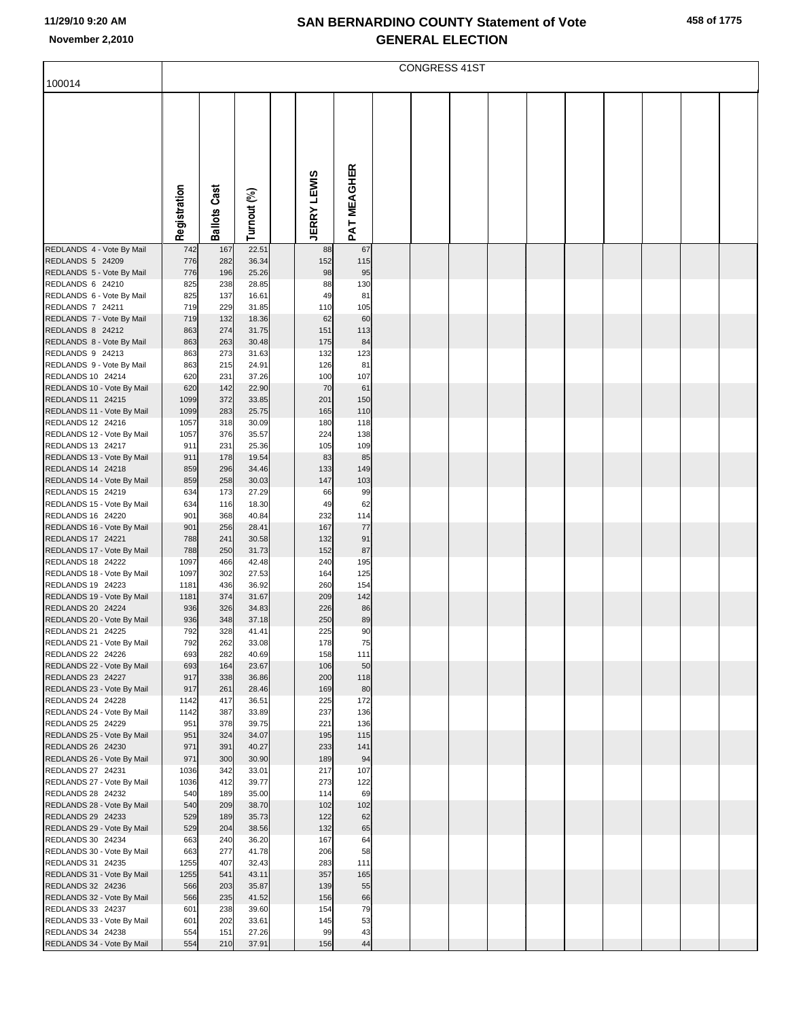|                                                 |              | <b>CONGRESS 41ST</b> |                |  |                    |             |  |  |  |  |  |  |  |  |
|-------------------------------------------------|--------------|----------------------|----------------|--|--------------------|-------------|--|--|--|--|--|--|--|--|
| 100014                                          |              |                      |                |  |                    |             |  |  |  |  |  |  |  |  |
|                                                 |              |                      |                |  |                    |             |  |  |  |  |  |  |  |  |
|                                                 |              |                      |                |  |                    |             |  |  |  |  |  |  |  |  |
|                                                 |              |                      |                |  |                    |             |  |  |  |  |  |  |  |  |
|                                                 |              |                      |                |  |                    |             |  |  |  |  |  |  |  |  |
|                                                 |              |                      |                |  |                    |             |  |  |  |  |  |  |  |  |
|                                                 |              |                      |                |  |                    |             |  |  |  |  |  |  |  |  |
|                                                 |              |                      |                |  |                    |             |  |  |  |  |  |  |  |  |
|                                                 |              |                      |                |  |                    |             |  |  |  |  |  |  |  |  |
|                                                 |              |                      |                |  |                    |             |  |  |  |  |  |  |  |  |
|                                                 | Registration | <b>Ballots Cast</b>  | Turnout (%)    |  | <b>JERRY LEWIS</b> | PAT MEAGHER |  |  |  |  |  |  |  |  |
| REDLANDS 4 - Vote By Mail                       | 742          | 167                  | 22.51          |  | 88                 | 67          |  |  |  |  |  |  |  |  |
| REDLANDS 5 24209                                | 776          | 282                  | 36.34          |  | 152                | 115         |  |  |  |  |  |  |  |  |
| REDLANDS 5 - Vote By Mail                       | 776          | 196                  | 25.26          |  | 98                 | 95          |  |  |  |  |  |  |  |  |
| REDLANDS 6 24210                                | 825          | 238                  | 28.85          |  | 88                 | 130         |  |  |  |  |  |  |  |  |
| REDLANDS 6 - Vote By Mail<br>REDLANDS 7 24211   | 825<br>719   | 137<br>229           | 16.61<br>31.85 |  | 49<br>110          | 81<br>105   |  |  |  |  |  |  |  |  |
| REDLANDS 7 - Vote By Mail                       | 719          | 132                  | 18.36          |  | 62                 | 60          |  |  |  |  |  |  |  |  |
| REDLANDS 8 24212                                | 863          | 274                  | 31.75          |  | 151                | 113         |  |  |  |  |  |  |  |  |
| REDLANDS 8 - Vote By Mail                       | 863          | 263                  | 30.48          |  | 175                | 84          |  |  |  |  |  |  |  |  |
| REDLANDS 9 24213<br>REDLANDS 9 - Vote By Mail   | 863<br>863   | 273<br>215           | 31.63<br>24.91 |  | 132<br>126         | 123<br>81   |  |  |  |  |  |  |  |  |
| REDLANDS 10 24214                               | 620          | 231                  | 37.26          |  | 100                | 107         |  |  |  |  |  |  |  |  |
| REDLANDS 10 - Vote By Mail                      | 620          | 142                  | 22.90          |  | 70                 | 61          |  |  |  |  |  |  |  |  |
| REDLANDS 11 24215                               | 1099         | 372                  | 33.85          |  | 201                | 150         |  |  |  |  |  |  |  |  |
| REDLANDS 11 - Vote By Mail<br>REDLANDS 12 24216 | 1099<br>1057 | 283<br>318           | 25.75<br>30.09 |  | 165<br>180         | 110<br>118  |  |  |  |  |  |  |  |  |
| REDLANDS 12 - Vote By Mail                      | 1057         | 376                  | 35.57          |  | 224                | 138         |  |  |  |  |  |  |  |  |
| REDLANDS 13 24217                               | 911          | 231                  | 25.36          |  | 105                | 109         |  |  |  |  |  |  |  |  |
| REDLANDS 13 - Vote By Mail                      | 911          | 178                  | 19.54          |  | 83                 | 85          |  |  |  |  |  |  |  |  |
| REDLANDS 14 24218                               | 859          | 296<br>258           | 34.46          |  | 133<br>147         | 149         |  |  |  |  |  |  |  |  |
| REDLANDS 14 - Vote By Mail<br>REDLANDS 15 24219 | 859<br>634   | 173                  | 30.03<br>27.29 |  | 66                 | 103<br>99   |  |  |  |  |  |  |  |  |
| REDLANDS 15 - Vote By Mail                      | 634          | 116                  | 18.30          |  | 49                 | 62          |  |  |  |  |  |  |  |  |
| REDLANDS 16 24220                               | 901          | 368                  | 40.84          |  | 232                | 114         |  |  |  |  |  |  |  |  |
| REDLANDS 16 - Vote By Mail                      | 901          | 256                  | 28.41          |  | 167                | 77          |  |  |  |  |  |  |  |  |
| REDLANDS 17 24221<br>REDLANDS 17 - Vote By Mail | 788<br>788   | 241<br>250           | 30.58<br>31.73 |  | 132<br>152         | 91<br>87    |  |  |  |  |  |  |  |  |
| REDLANDS 18 24222                               | 1097         | 466                  | 42.48          |  | 240                | 195         |  |  |  |  |  |  |  |  |
| REDLANDS 18 - Vote By Mail                      | 1097         | 302                  | 27.53          |  | 164                | 125         |  |  |  |  |  |  |  |  |
| REDLANDS 19 24223                               | 1181         | 436<br>374           | 36.92<br>31.67 |  | 260<br>209         | 154<br>142  |  |  |  |  |  |  |  |  |
| REDLANDS 19 - Vote By Mail<br>REDLANDS 20 24224 | 1181<br>936  | 326                  | 34.83          |  | 226                | 86          |  |  |  |  |  |  |  |  |
| REDLANDS 20 - Vote By Mail                      | 936          | 348                  | 37.18          |  | 250                | 89          |  |  |  |  |  |  |  |  |
| REDLANDS 21 24225                               | 792          | 328                  | 41.41          |  | 225                | 90          |  |  |  |  |  |  |  |  |
| REDLANDS 21 - Vote By Mail<br>REDLANDS 22 24226 | 792<br>693   | 262<br>282           | 33.08<br>40.69 |  | 178<br>158         | 75<br>111   |  |  |  |  |  |  |  |  |
| REDLANDS 22 - Vote By Mail                      | 693          | 164                  | 23.67          |  | 106                | 50          |  |  |  |  |  |  |  |  |
| REDLANDS 23 24227                               | 917          | 338                  | 36.86          |  | 200                | 118         |  |  |  |  |  |  |  |  |
| REDLANDS 23 - Vote By Mail                      | 917          | 261                  | 28.46          |  | 169                | 80          |  |  |  |  |  |  |  |  |
| REDLANDS 24 24228<br>REDLANDS 24 - Vote By Mail | 1142<br>1142 | 417<br>387           | 36.51<br>33.89 |  | 225<br>237         | 172<br>136  |  |  |  |  |  |  |  |  |
| REDLANDS 25 24229                               | 951          | 378                  | 39.75          |  | 221                | 136         |  |  |  |  |  |  |  |  |
| REDLANDS 25 - Vote By Mail                      | 951          | 324                  | 34.07          |  | 195                | 115         |  |  |  |  |  |  |  |  |
| REDLANDS 26 24230                               | 971          | 391                  | 40.27          |  | 233                | 141         |  |  |  |  |  |  |  |  |
| REDLANDS 26 - Vote By Mail<br>REDLANDS 27 24231 | 971<br>1036  | 300<br>342           | 30.90<br>33.01 |  | 189<br>217         | 94<br>107   |  |  |  |  |  |  |  |  |
| REDLANDS 27 - Vote By Mail                      | 1036         | 412                  | 39.77          |  | 273                | 122         |  |  |  |  |  |  |  |  |
| REDLANDS 28 24232                               | 540          | 189                  | 35.00          |  | 114                | 69          |  |  |  |  |  |  |  |  |
| REDLANDS 28 - Vote By Mail                      | 540          | 209                  | 38.70          |  | 102                | 102         |  |  |  |  |  |  |  |  |
| REDLANDS 29 24233<br>REDLANDS 29 - Vote By Mail | 529<br>529   | 189<br>204           | 35.73<br>38.56 |  | 122<br>132         | 62<br>65    |  |  |  |  |  |  |  |  |
| REDLANDS 30 24234                               | 663          | 240                  | 36.20          |  | 167                | 64          |  |  |  |  |  |  |  |  |
| REDLANDS 30 - Vote By Mail                      | 663          | 277                  | 41.78          |  | 206                | 58          |  |  |  |  |  |  |  |  |
| REDLANDS 31 24235                               | 1255         | 407                  | 32.43          |  | 283                | 111         |  |  |  |  |  |  |  |  |
| REDLANDS 31 - Vote By Mail<br>REDLANDS 32 24236 | 1255<br>566  | 541<br>203           | 43.11<br>35.87 |  | 357<br>139         | 165<br>55   |  |  |  |  |  |  |  |  |
| REDLANDS 32 - Vote By Mail                      | 566          | 235                  | 41.52          |  | 156                | 66          |  |  |  |  |  |  |  |  |
| REDLANDS 33 24237                               | 601          | 238                  | 39.60          |  | 154                | 79          |  |  |  |  |  |  |  |  |
| REDLANDS 33 - Vote By Mail                      | 601          | 202                  | 33.61          |  | 145                | 53          |  |  |  |  |  |  |  |  |
| REDLANDS 34 24238<br>REDLANDS 34 - Vote By Mail | 554<br>554   | 151<br>210           | 27.26<br>37.91 |  | 99<br>156          | 43<br>44    |  |  |  |  |  |  |  |  |
|                                                 |              |                      |                |  |                    |             |  |  |  |  |  |  |  |  |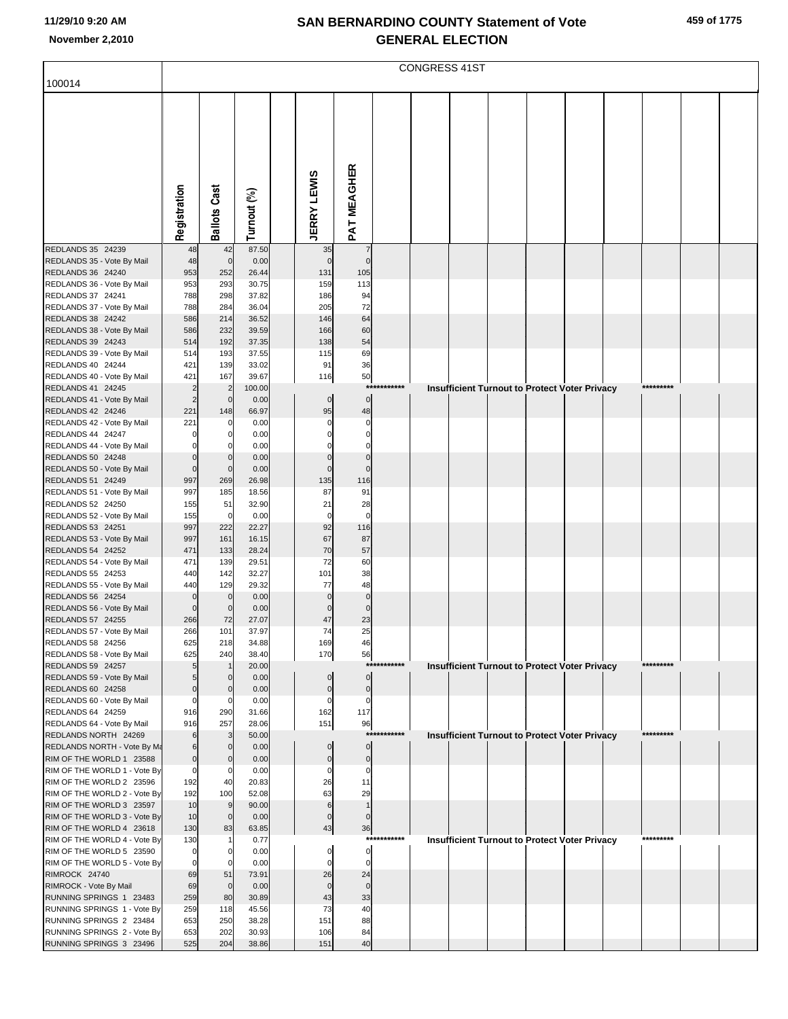|  | 459 of 1775 |
|--|-------------|
|  |             |

|                                                          |                      |                     |                |                    |                      |             | <b>CONGRESS 41ST</b> |  |                                                      |           |  |
|----------------------------------------------------------|----------------------|---------------------|----------------|--------------------|----------------------|-------------|----------------------|--|------------------------------------------------------|-----------|--|
| 100014                                                   |                      |                     |                |                    |                      |             |                      |  |                                                      |           |  |
|                                                          | Registration         | <b>Ballots Cast</b> | Turnout (%)    | <b>JERRY LEWIS</b> | <b>PAT MEAGHER</b>   |             |                      |  |                                                      |           |  |
| REDLANDS 35 24239                                        | 48                   | 42                  | 87.50          | 35                 | 7                    |             |                      |  |                                                      |           |  |
| REDLANDS 35 - Vote By Mail                               | 48                   | $\mathbf 0$         | 0.00           | $\mathbf 0$        | $\mathbf 0$          |             |                      |  |                                                      |           |  |
| REDLANDS 36 24240<br>REDLANDS 36 - Vote By Mail          | 953<br>953           | 252<br>293          | 26.44<br>30.75 | 131<br>159         | 105<br>113           |             |                      |  |                                                      |           |  |
| REDLANDS 37 24241                                        | 788                  | 298                 | 37.82          | 186                | 94                   |             |                      |  |                                                      |           |  |
| REDLANDS 37 - Vote By Mail                               | 788                  | 284                 | 36.04          | 205                | 72                   |             |                      |  |                                                      |           |  |
| REDLANDS 38 24242                                        | 586                  | 214                 | 36.52          | 146                | 64                   |             |                      |  |                                                      |           |  |
| REDLANDS 38 - Vote By Mail                               | 586                  | 232                 | 39.59          | 166                | 60                   |             |                      |  |                                                      |           |  |
| REDLANDS 39 24243                                        | 514                  | 192                 | 37.35          | 138                | 54                   |             |                      |  |                                                      |           |  |
| REDLANDS 39 - Vote By Mail<br>REDLANDS 40 24244          | 514<br>421           | 193<br>139          | 37.55<br>33.02 | 115<br>91          | 69<br>36             |             |                      |  |                                                      |           |  |
| REDLANDS 40 - Vote By Mail                               | 421                  | 167                 | 39.67          | 116                | 50                   |             |                      |  |                                                      |           |  |
| REDLANDS 41 24245                                        | $\overline{2}$       | $\overline{2}$      | 100.00         |                    | ***                  |             |                      |  | <b>Insufficient Turnout to Protect Voter Privacy</b> | ********* |  |
| REDLANDS 41 - Vote By Mail                               | $\overline{2}$       | $\mathbf 0$         | 0.00           | $\overline{0}$     | $\overline{0}$       |             |                      |  |                                                      |           |  |
| REDLANDS 42 24246                                        | 221                  | 148                 | 66.97          | 95                 | 48                   |             |                      |  |                                                      |           |  |
| REDLANDS 42 - Vote By Mail                               | 221                  | $\Omega$            | 0.00           | 0                  | 0                    |             |                      |  |                                                      |           |  |
| REDLANDS 44 24247<br>REDLANDS 44 - Vote By Mail          | $\Omega$<br>$\Omega$ | $\Omega$<br>C       | 0.00<br>0.00   | $\Omega$           | 0<br>$\Omega$        |             |                      |  |                                                      |           |  |
| REDLANDS 50 24248                                        | $\overline{0}$       | $\mathbf 0$         | 0.00           | $\mathbf 0$        | $\Omega$             |             |                      |  |                                                      |           |  |
| REDLANDS 50 - Vote By Mail                               | $\mathbf 0$          | $\mathbf 0$         | 0.00           | $\mathbf 0$        | $\mathbf 0$          |             |                      |  |                                                      |           |  |
| REDLANDS 51 24249                                        | 997                  | 269                 | 26.98          | 135                | 116                  |             |                      |  |                                                      |           |  |
| REDLANDS 51 - Vote By Mail                               | 997                  | 185                 | 18.56          | 87                 | 91                   |             |                      |  |                                                      |           |  |
| REDLANDS 52 24250                                        | 155                  | 51<br>$\mathbf 0$   | 32.90          | 21<br>$\mathbf 0$  | 28<br>$\mathbf 0$    |             |                      |  |                                                      |           |  |
| REDLANDS 52 - Vote By Mail<br>REDLANDS 53 24251          | 155<br>997           | 222                 | 0.00<br>22.27  | 92                 | 116                  |             |                      |  |                                                      |           |  |
| REDLANDS 53 - Vote By Mail                               | 997                  | 161                 | 16.15          | 67                 | 87                   |             |                      |  |                                                      |           |  |
| REDLANDS 54 24252                                        | 471                  | 133                 | 28.24          | 70                 | 57                   |             |                      |  |                                                      |           |  |
| REDLANDS 54 - Vote By Mail                               | 471                  | 139                 | 29.51          | 72                 | 60                   |             |                      |  |                                                      |           |  |
| REDLANDS 55 24253                                        | 440                  | 142                 | 32.27          | 101<br>77          | 38                   |             |                      |  |                                                      |           |  |
| REDLANDS 55 - Vote By Mail<br>REDLANDS 56 24254          | 440<br>$\mathbf 0$   | 129<br>$\mathbf 0$  | 29.32<br>0.00  | $\Omega$           | 48<br>$\overline{0}$ |             |                      |  |                                                      |           |  |
| REDLANDS 56 - Vote By Mail                               | $\mathbf 0$          | $\mathbf 0$         | 0.00           | $\Omega$           | $\Omega$             |             |                      |  |                                                      |           |  |
| REDLANDS 57 24255                                        | 266                  | 72                  | 27.07          | 47                 | 23                   |             |                      |  |                                                      |           |  |
| REDLANDS 57 - Vote By Mail                               | 266                  | 101                 | 37.97          | 74                 | 25                   |             |                      |  |                                                      |           |  |
| REDLANDS 58 24256                                        | 625                  | 218                 | 34.88          | 169                | 46                   |             |                      |  |                                                      |           |  |
| REDLANDS 58 - Vote By Mail<br>REDLANDS 59 24257          | 625<br>5             | 240                 | 38.40<br>20.00 | 170                | 56<br>***:           |             |                      |  | Insufficient Turnout to Protect Voter Privacy        | ********* |  |
| REDLANDS 59 - Vote By Mail                               | 5                    | $\mathbf 0$         | 0.00           | $\Omega$           | $\overline{0}$       |             |                      |  |                                                      |           |  |
| REDLANDS 60 24258                                        | $\mathbf 0$          | $\mathbf 0$         | 0.00           | $\overline{0}$     | $\overline{0}$       |             |                      |  |                                                      |           |  |
| REDLANDS 60 - Vote By Mail                               | $\mathbf 0$          | $\mathbf 0$         | 0.00           | $\Omega$           | 0                    |             |                      |  |                                                      |           |  |
| REDLANDS 64 24259                                        | 916                  | 290                 | 31.66          | 162                | 117                  |             |                      |  |                                                      |           |  |
| REDLANDS 64 - Vote By Mail<br>REDLANDS NORTH 24269       | 916<br>6             | 257<br>3            | 28.06<br>50.00 | 151                | 96                   | *********** |                      |  | <b>Insufficient Turnout to Protect Voter Privacy</b> | ********* |  |
| REDLANDS NORTH - Vote By Ma                              | $6\phantom{1}6$      | $\mathbf 0$         | 0.00           | $\Omega$           | $\overline{0}$       |             |                      |  |                                                      |           |  |
| RIM OF THE WORLD 1 23588                                 | $\overline{0}$       | $\mathbf 0$         | 0.00           | $\mathbf 0$        | $\overline{0}$       |             |                      |  |                                                      |           |  |
| RIM OF THE WORLD 1 - Vote By                             | $\mathbf 0$          | $\mathbf 0$         | 0.00           | $\Omega$           | 0                    |             |                      |  |                                                      |           |  |
| RIM OF THE WORLD 2 23596                                 | 192                  | 40                  | 20.83          | 26                 | 11                   |             |                      |  |                                                      |           |  |
| RIM OF THE WORLD 2 - Vote By<br>RIM OF THE WORLD 3 23597 | 192<br>10            | 100<br>9            | 52.08<br>90.00 | 63<br>6            | 29<br>1              |             |                      |  |                                                      |           |  |
| RIM OF THE WORLD 3 - Vote By                             | 10                   | $\mathbf{0}$        | 0.00           | $\Omega$           | $\mathbf 0$          |             |                      |  |                                                      |           |  |
| RIM OF THE WORLD 4 23618                                 | 130                  | 83                  | 63.85          | 43                 | 36                   |             |                      |  |                                                      |           |  |
| RIM OF THE WORLD 4 - Vote By                             | 130                  |                     | 0.77           |                    |                      | *********** |                      |  | <b>Insufficient Turnout to Protect Voter Privacy</b> | ********* |  |
| RIM OF THE WORLD 5 23590                                 | $\mathbf 0$          | 0                   | 0.00           | $\mathbf{0}$       | $\overline{0}$       |             |                      |  |                                                      |           |  |
| RIM OF THE WORLD 5 - Vote By<br>RIMROCK 24740            | $\mathbf 0$<br>69    | $\mathbf 0$<br>51   | 0.00<br>73.91  | $\mathbf 0$<br>26  | $\mathbf 0$<br>24    |             |                      |  |                                                      |           |  |
| RIMROCK - Vote By Mail                                   | 69                   | $\mathbf{0}$        | 0.00           | $\mathbf 0$        | $\mathbf 0$          |             |                      |  |                                                      |           |  |
| RUNNING SPRINGS 1 23483                                  | 259                  | 80                  | 30.89          | 43                 | 33                   |             |                      |  |                                                      |           |  |
| RUNNING SPRINGS 1 - Vote By                              | 259                  | 118                 | 45.56          | 73                 | 40                   |             |                      |  |                                                      |           |  |
| RUNNING SPRINGS 2 23484                                  | 653                  | 250                 | 38.28          | 151                | 88                   |             |                      |  |                                                      |           |  |
| RUNNING SPRINGS 2 - Vote By                              | 653                  | 202                 | 30.93          | 106                | 84                   |             |                      |  |                                                      |           |  |
| RUNNING SPRINGS 3 23496                                  | 525                  | 204                 | 38.86          | 151                | 40                   |             |                      |  |                                                      |           |  |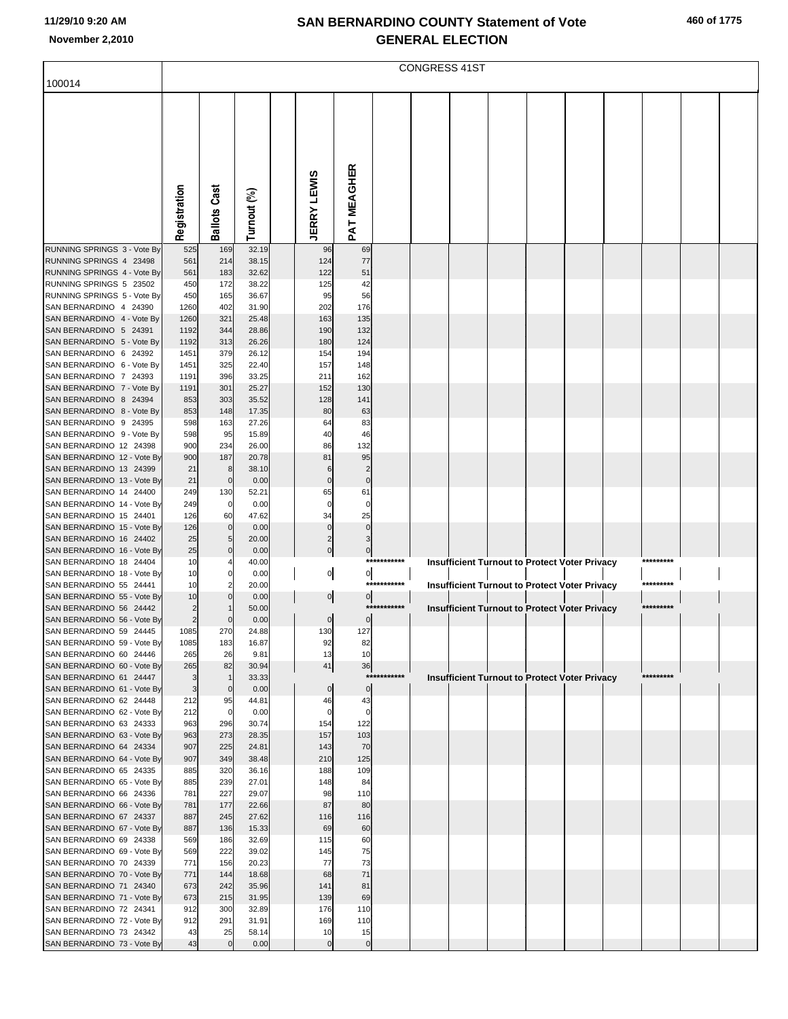| 460 of 1775 |  |  |
|-------------|--|--|
|-------------|--|--|

|                                                        | CONGRESS 41ST          |                     |                |  |                         |                      |             |  |  |  |  |                                                      |           |  |
|--------------------------------------------------------|------------------------|---------------------|----------------|--|-------------------------|----------------------|-------------|--|--|--|--|------------------------------------------------------|-----------|--|
| 100014                                                 |                        |                     |                |  |                         |                      |             |  |  |  |  |                                                      |           |  |
|                                                        |                        |                     |                |  |                         |                      |             |  |  |  |  |                                                      |           |  |
|                                                        |                        |                     |                |  |                         |                      |             |  |  |  |  |                                                      |           |  |
|                                                        |                        |                     |                |  |                         |                      |             |  |  |  |  |                                                      |           |  |
|                                                        |                        |                     |                |  |                         |                      |             |  |  |  |  |                                                      |           |  |
|                                                        |                        |                     |                |  |                         |                      |             |  |  |  |  |                                                      |           |  |
|                                                        |                        |                     |                |  |                         |                      |             |  |  |  |  |                                                      |           |  |
|                                                        |                        |                     |                |  |                         |                      |             |  |  |  |  |                                                      |           |  |
|                                                        |                        |                     |                |  |                         |                      |             |  |  |  |  |                                                      |           |  |
|                                                        |                        |                     |                |  |                         |                      |             |  |  |  |  |                                                      |           |  |
|                                                        | Registration           | <b>Ballots Cast</b> | Turnout (%)    |  | <b>JERRY LEWIS</b>      | PAT MEAGHER          |             |  |  |  |  |                                                      |           |  |
|                                                        |                        |                     |                |  |                         |                      |             |  |  |  |  |                                                      |           |  |
| RUNNING SPRINGS 3 - Vote By                            | 525                    | 169                 | 32.19          |  | 96                      | 69                   |             |  |  |  |  |                                                      |           |  |
| RUNNING SPRINGS 4 23498                                | 561                    | 214                 | 38.15          |  | 124                     | 77                   |             |  |  |  |  |                                                      |           |  |
| RUNNING SPRINGS 4 - Vote By<br>RUNNING SPRINGS 5 23502 | 561<br>450             | 183<br>172          | 32.62<br>38.22 |  | 122<br>125              | 51<br>42             |             |  |  |  |  |                                                      |           |  |
| RUNNING SPRINGS 5 - Vote By                            | 450                    | 165                 | 36.67          |  | 95                      | 56                   |             |  |  |  |  |                                                      |           |  |
| SAN BERNARDINO 4 24390                                 | 1260                   | 402                 | 31.90          |  | 202                     | 176                  |             |  |  |  |  |                                                      |           |  |
| SAN BERNARDINO 4 - Vote By                             | 1260                   | 321                 | 25.48          |  | 163                     | 135                  |             |  |  |  |  |                                                      |           |  |
| SAN BERNARDINO 5 24391                                 | 1192                   | 344                 | 28.86          |  | 190                     | 132                  |             |  |  |  |  |                                                      |           |  |
| SAN BERNARDINO 5 - Vote By<br>SAN BERNARDINO 6 24392   | 1192<br>1451           | 313<br>379          | 26.26<br>26.12 |  | 180<br>154              | 124<br>194           |             |  |  |  |  |                                                      |           |  |
| SAN BERNARDINO 6 - Vote By                             | 1451                   | 325                 | 22.40          |  | 157                     | 148                  |             |  |  |  |  |                                                      |           |  |
| SAN BERNARDINO 7 24393                                 | 1191                   | 396                 | 33.25          |  | 211                     | 162                  |             |  |  |  |  |                                                      |           |  |
| SAN BERNARDINO 7 - Vote By                             | 1191                   | 301                 | 25.27          |  | 152                     | 130                  |             |  |  |  |  |                                                      |           |  |
| SAN BERNARDINO 8 24394                                 | 853                    | 303                 | 35.52          |  | 128                     | 141                  |             |  |  |  |  |                                                      |           |  |
| SAN BERNARDINO 8 - Vote By<br>SAN BERNARDINO 9 24395   | 853<br>598             | 148<br>163          | 17.35<br>27.26 |  | 80<br>64                | 63<br>83             |             |  |  |  |  |                                                      |           |  |
| SAN BERNARDINO 9 - Vote By                             | 598                    | 95                  | 15.89          |  | 40                      | 46                   |             |  |  |  |  |                                                      |           |  |
| SAN BERNARDINO 12 24398                                | 900                    | 234                 | 26.00          |  | 86                      | 132                  |             |  |  |  |  |                                                      |           |  |
| SAN BERNARDINO 12 - Vote By                            | 900                    | 187                 | 20.78          |  | 81                      | 95                   |             |  |  |  |  |                                                      |           |  |
| SAN BERNARDINO 13 24399                                | 21                     | 8                   | 38.10          |  | 6                       | $\overline{c}$       |             |  |  |  |  |                                                      |           |  |
| SAN BERNARDINO 13 - Vote By                            | 21                     | $\mathbf 0$         | 0.00<br>52.21  |  | $\mathbf 0$             | $\pmb{0}$<br>61      |             |  |  |  |  |                                                      |           |  |
| SAN BERNARDINO 14 24400<br>SAN BERNARDINO 14 - Vote By | 249<br>249             | 130<br>$\mathbf 0$  | 0.00           |  | 65<br>0                 | 0                    |             |  |  |  |  |                                                      |           |  |
| SAN BERNARDINO 15 24401                                | 126                    | 60                  | 47.62          |  | 34                      | 25                   |             |  |  |  |  |                                                      |           |  |
| SAN BERNARDINO 15 - Vote By                            | 126                    | $\mathbf 0$         | 0.00           |  | $\mathbf 0$             | $\mathbf 0$          |             |  |  |  |  |                                                      |           |  |
| SAN BERNARDINO 16 24402                                | 25                     |                     | 20.00          |  | $\overline{\mathbf{c}}$ | 3                    |             |  |  |  |  |                                                      |           |  |
| SAN BERNARDINO 16 - Vote By<br>SAN BERNARDINO 18 24404 | 25<br>10               | $\Omega$            | 0.00<br>40.00  |  | $\pmb{0}$               | $\mathbf 0$          | *********** |  |  |  |  |                                                      | ********  |  |
| SAN BERNARDINO 18 - Vote By                            | 10                     | 0                   | 0.00           |  | 이                       | 이                    |             |  |  |  |  | <b>Insufficient Turnout to Protect Voter Privacy</b> |           |  |
| SAN BERNARDINO 55 24441                                | 10                     |                     | 20.00          |  |                         |                      | *********** |  |  |  |  | Insufficient Turnout to Protect Voter Privacy        | ********* |  |
| SAN BERNARDINO 55 - Vote By                            | 10                     |                     | 0.00           |  | $\overline{0}$          | $\overline{0}$       |             |  |  |  |  |                                                      |           |  |
| SAN BERNARDINO 56 24442                                | $\overline{2}$         |                     | 50.00          |  |                         |                      | *********** |  |  |  |  | <b>Insufficient Turnout to Protect Voter Privacy</b> | ********* |  |
| SAN BERNARDINO 56 - Vote By<br>SAN BERNARDINO 59 24445 | $\overline{c}$<br>1085 | 0<br>270            | 0.00<br>24.88  |  | $\overline{0}$<br>130   | $\mathbf 0$<br>127   |             |  |  |  |  |                                                      |           |  |
| SAN BERNARDINO 59 - Vote By                            | 1085                   | 183                 | 16.87          |  | 92                      | 82                   |             |  |  |  |  |                                                      |           |  |
| SAN BERNARDINO 60 24446                                | 265                    | 26                  | 9.81           |  | 13                      | 10                   |             |  |  |  |  |                                                      |           |  |
| SAN BERNARDINO 60 - Vote By                            | 265                    | 82                  | 30.94          |  | $41\,$                  | 36                   |             |  |  |  |  |                                                      |           |  |
| SAN BERNARDINO 61 24447                                | 3                      |                     | 33.33          |  |                         |                      | *********** |  |  |  |  | <b>Insufficient Turnout to Protect Voter Privacy</b> | ********* |  |
| SAN BERNARDINO 61 - Vote By<br>SAN BERNARDINO 62 24448 | $\mathbf{3}$<br>212    | $\mathbf 0$<br>95   | 0.00<br>44.81  |  | $\overline{0}$<br>46    | $\overline{0}$<br>43 |             |  |  |  |  |                                                      |           |  |
| SAN BERNARDINO 62 - Vote By                            | 212                    | $\mathbf 0$         | 0.00           |  | 0                       | 0                    |             |  |  |  |  |                                                      |           |  |
| SAN BERNARDINO 63 24333                                | 963                    | 296                 | 30.74          |  | 154                     | 122                  |             |  |  |  |  |                                                      |           |  |
| SAN BERNARDINO 63 - Vote By                            | 963                    | 273                 | 28.35          |  | 157                     | 103                  |             |  |  |  |  |                                                      |           |  |
| SAN BERNARDINO 64 24334                                | 907                    | 225                 | 24.81          |  | 143                     | 70                   |             |  |  |  |  |                                                      |           |  |
| SAN BERNARDINO 64 - Vote By<br>SAN BERNARDINO 65 24335 | 907<br>885             | 349<br>320          | 38.48<br>36.16 |  | 210<br>188              | 125<br>109           |             |  |  |  |  |                                                      |           |  |
| SAN BERNARDINO 65 - Vote By                            | 885                    | 239                 | 27.01          |  | 148                     | 84                   |             |  |  |  |  |                                                      |           |  |
| SAN BERNARDINO 66 24336                                | 781                    | 227                 | 29.07          |  | 98                      | 110                  |             |  |  |  |  |                                                      |           |  |
| SAN BERNARDINO 66 - Vote By                            | 781                    | 177                 | 22.66          |  | 87                      | 80                   |             |  |  |  |  |                                                      |           |  |
| SAN BERNARDINO 67 24337<br>SAN BERNARDINO 67 - Vote By | 887<br>887             | 245<br>136          | 27.62<br>15.33 |  | 116<br>69               | 116<br>60            |             |  |  |  |  |                                                      |           |  |
| SAN BERNARDINO 69 24338                                | 569                    | 186                 | 32.69          |  | 115                     | 60                   |             |  |  |  |  |                                                      |           |  |
| SAN BERNARDINO 69 - Vote By                            | 569                    | 222                 | 39.02          |  | 145                     | 75                   |             |  |  |  |  |                                                      |           |  |
| SAN BERNARDINO 70 24339                                | 771                    | 156                 | 20.23          |  | 77                      | 73                   |             |  |  |  |  |                                                      |           |  |
| SAN BERNARDINO 70 - Vote By                            | 771                    | 144                 | 18.68          |  | 68                      | 71                   |             |  |  |  |  |                                                      |           |  |
| SAN BERNARDINO 71 24340<br>SAN BERNARDINO 71 - Vote By | 673<br>673             | 242<br>215          | 35.96<br>31.95 |  | 141<br>139              | 81<br>69             |             |  |  |  |  |                                                      |           |  |
| SAN BERNARDINO 72 24341                                | 912                    | 300                 | 32.89          |  | 176                     | 110                  |             |  |  |  |  |                                                      |           |  |
| SAN BERNARDINO 72 - Vote By                            | 912                    | 291                 | 31.91          |  | 169                     | 110                  |             |  |  |  |  |                                                      |           |  |
| SAN BERNARDINO 73 24342                                | 43                     | 25                  | 58.14          |  | 10                      | 15                   |             |  |  |  |  |                                                      |           |  |
| SAN BERNARDINO 73 - Vote By                            | 43                     | $\mathbf 0$         | 0.00           |  | $\pmb{0}$               | $\overline{0}$       |             |  |  |  |  |                                                      |           |  |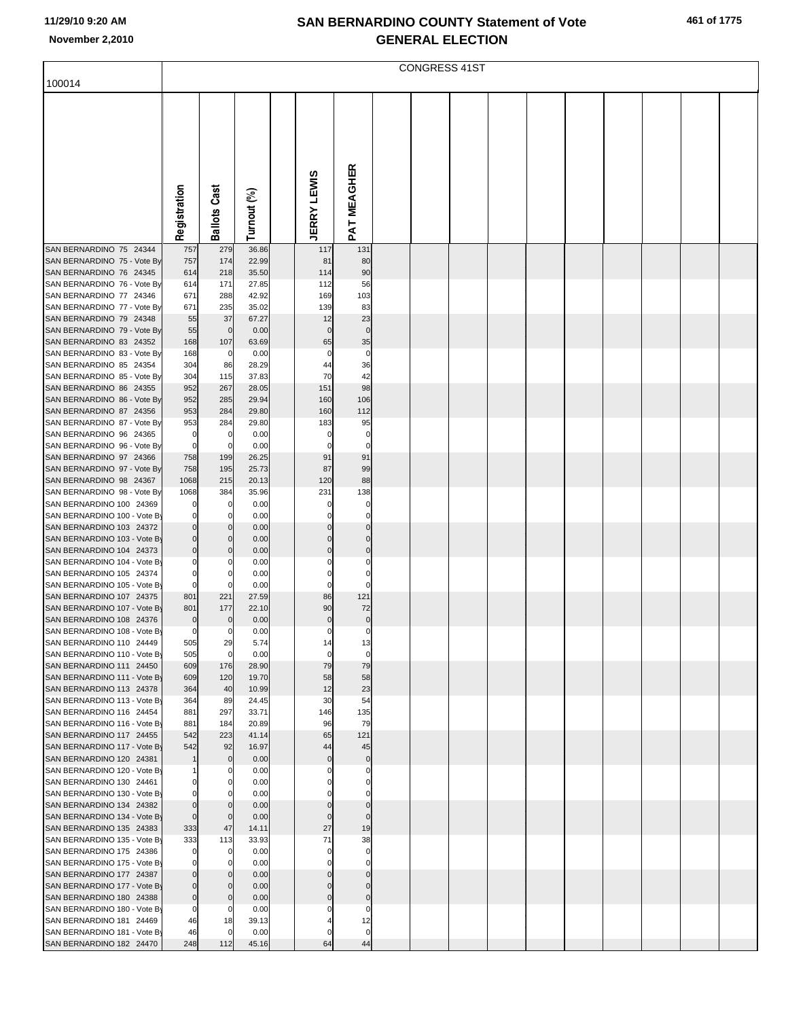|  | 461 of 1775 |
|--|-------------|
|  |             |

|                                                          | <b>CONGRESS 41ST</b>          |                     |                |  |                    |                         |  |  |  |  |  |  |  |  |
|----------------------------------------------------------|-------------------------------|---------------------|----------------|--|--------------------|-------------------------|--|--|--|--|--|--|--|--|
| 100014                                                   |                               |                     |                |  |                    |                         |  |  |  |  |  |  |  |  |
|                                                          |                               |                     |                |  |                    |                         |  |  |  |  |  |  |  |  |
|                                                          |                               |                     |                |  |                    |                         |  |  |  |  |  |  |  |  |
|                                                          |                               |                     |                |  |                    |                         |  |  |  |  |  |  |  |  |
|                                                          |                               |                     |                |  |                    |                         |  |  |  |  |  |  |  |  |
|                                                          |                               |                     |                |  |                    |                         |  |  |  |  |  |  |  |  |
|                                                          |                               |                     |                |  |                    |                         |  |  |  |  |  |  |  |  |
|                                                          |                               |                     |                |  |                    |                         |  |  |  |  |  |  |  |  |
|                                                          |                               |                     |                |  |                    |                         |  |  |  |  |  |  |  |  |
|                                                          |                               |                     |                |  |                    |                         |  |  |  |  |  |  |  |  |
|                                                          | Registration                  | <b>Ballots Cast</b> | Turnout (%)    |  | <b>JERRY LEWIS</b> | PAT MEAGHER             |  |  |  |  |  |  |  |  |
|                                                          |                               |                     |                |  |                    |                         |  |  |  |  |  |  |  |  |
| SAN BERNARDINO 75 24344                                  | 757                           | 279                 | 36.86          |  | 117                | 131                     |  |  |  |  |  |  |  |  |
| SAN BERNARDINO 75 - Vote By<br>SAN BERNARDINO 76 24345   | 757<br>614                    | 174<br>218          | 22.99<br>35.50 |  | 81<br>114          | 80<br>90                |  |  |  |  |  |  |  |  |
| SAN BERNARDINO 76 - Vote By                              | 614                           | 171                 | 27.85          |  | 112                | 56                      |  |  |  |  |  |  |  |  |
| SAN BERNARDINO 77 24346                                  | 671                           | 288                 | 42.92          |  | 169                | 103                     |  |  |  |  |  |  |  |  |
| SAN BERNARDINO 77 - Vote By                              | 671                           | 235                 | 35.02          |  | 139                | 83                      |  |  |  |  |  |  |  |  |
| SAN BERNARDINO 79 24348                                  | 55                            | 37                  | 67.27          |  | 12                 | 23                      |  |  |  |  |  |  |  |  |
| SAN BERNARDINO 79 - Vote By<br>SAN BERNARDINO 83 24352   | 55<br>168                     | $\mathbf 0$<br>107  | 0.00<br>63.69  |  | $\mathbf 0$<br>65  | $\bf{0}$<br>35          |  |  |  |  |  |  |  |  |
| SAN BERNARDINO 83 - Vote By                              | 168                           | 0                   | 0.00           |  | 0                  | 0                       |  |  |  |  |  |  |  |  |
| SAN BERNARDINO 85 24354                                  | 304                           | 86                  | 28.29          |  | 44                 | 36                      |  |  |  |  |  |  |  |  |
| SAN BERNARDINO 85 - Vote By                              | 304                           | 115                 | 37.83          |  | 70                 | 42                      |  |  |  |  |  |  |  |  |
| SAN BERNARDINO 86 24355                                  | 952                           | 267                 | 28.05          |  | 151                | 98                      |  |  |  |  |  |  |  |  |
| SAN BERNARDINO 86 - Vote By<br>SAN BERNARDINO 87 24356   | 952<br>953                    | 285<br>284          | 29.94<br>29.80 |  | 160<br>160         | 106<br>112              |  |  |  |  |  |  |  |  |
| SAN BERNARDINO 87 - Vote By                              | 953                           | 284                 | 29.80          |  | 183                | 95                      |  |  |  |  |  |  |  |  |
| SAN BERNARDINO 96 24365                                  | 0                             | 0                   | 0.00           |  | 0                  | 0                       |  |  |  |  |  |  |  |  |
| SAN BERNARDINO 96 - Vote By                              | $\mathbf 0$                   | $\Omega$            | 0.00           |  | $\mathbf 0$        | $\mathbf 0$             |  |  |  |  |  |  |  |  |
| SAN BERNARDINO 97 24366                                  | 758                           | 199                 | 26.25          |  | 91                 | 91                      |  |  |  |  |  |  |  |  |
| SAN BERNARDINO 97 - Vote By<br>SAN BERNARDINO 98 24367   | 758<br>1068                   | 195<br>215          | 25.73<br>20.13 |  | 87<br>120          | 99<br>88                |  |  |  |  |  |  |  |  |
| SAN BERNARDINO 98 - Vote By                              | 1068                          | 384                 | 35.96          |  | 231                | 138                     |  |  |  |  |  |  |  |  |
| SAN BERNARDINO 100 24369                                 | O                             | 0                   | 0.00           |  |                    | 0                       |  |  |  |  |  |  |  |  |
| SAN BERNARDINO 100 - Vote By                             | 0                             | -0                  | 0.00           |  |                    | $\Omega$                |  |  |  |  |  |  |  |  |
| SAN BERNARDINO 103 24372<br>SAN BERNARDINO 103 - Vote By | $\mathbf 0$<br>$\mathbf 0$    | 0<br>$\Omega$       | 0.00<br>0.00   |  | 0<br>$\Omega$      | 0<br>$\mathbf 0$        |  |  |  |  |  |  |  |  |
| SAN BERNARDINO 104 24373                                 | $\overline{0}$                | 0                   | 0.00           |  | $\mathbf 0$        | $\mathbf 0$             |  |  |  |  |  |  |  |  |
| SAN BERNARDINO 104 - Vote By                             | 0                             |                     | 0.00           |  |                    |                         |  |  |  |  |  |  |  |  |
| SAN BERNARDINO 105 24374                                 | $\overline{0}$                | 0                   | 0.00           |  | 0                  | 0                       |  |  |  |  |  |  |  |  |
| SAN BERNARDINO 105 - Vote By<br>SAN BERNARDINO 107 24375 | $\mathbf 0$<br>801            | $\Omega$<br>221     | 0.00<br>27.59  |  | $\Omega$<br>86     | $\Omega$<br>121         |  |  |  |  |  |  |  |  |
| SAN BERNARDINO 107 - Vote By                             | 801                           | 177                 | 22.10          |  | 90                 | 72                      |  |  |  |  |  |  |  |  |
| SAN BERNARDINO 108 24376                                 | $\overline{0}$                | $\mathbf 0$         | 0.00           |  | $\mathbf 0$        | $\mathbf 0$             |  |  |  |  |  |  |  |  |
| SAN BERNARDINO 108 - Vote By                             | $\overline{0}$                | $\Omega$            | 0.00           |  | $\Omega$           | $\mathbf 0$             |  |  |  |  |  |  |  |  |
| SAN BERNARDINO 110 24449                                 | 505                           | 29                  | 5.74           |  | 14                 | 13                      |  |  |  |  |  |  |  |  |
| SAN BERNARDINO 110 - Vote By<br>SAN BERNARDINO 111 24450 | 505<br>609                    | $\mathbf 0$<br>176  | 0.00<br>28.90  |  | $\mathbf 0$<br>79  | 0<br>79                 |  |  |  |  |  |  |  |  |
| SAN BERNARDINO 111 - Vote By                             | 609                           | 120                 | 19.70          |  | 58                 | 58                      |  |  |  |  |  |  |  |  |
| SAN BERNARDINO 113 24378                                 | 364                           | 40                  | 10.99          |  | 12                 | 23                      |  |  |  |  |  |  |  |  |
| SAN BERNARDINO 113 - Vote By                             | 364                           | 89                  | 24.45          |  | 30                 | 54                      |  |  |  |  |  |  |  |  |
| SAN BERNARDINO 116 24454<br>SAN BERNARDINO 116 - Vote By | 881<br>881                    | 297<br>184          | 33.71<br>20.89 |  | 146<br>96          | 135<br>79               |  |  |  |  |  |  |  |  |
| SAN BERNARDINO 117 24455                                 | 542                           | 223                 | 41.14          |  | 65                 | 121                     |  |  |  |  |  |  |  |  |
| SAN BERNARDINO 117 - Vote By                             | 542                           | 92                  | 16.97          |  | 44                 | 45                      |  |  |  |  |  |  |  |  |
| SAN BERNARDINO 120 24381                                 |                               | $\mathbf 0$         | 0.00           |  | $\mathbf 0$        | $\pmb{0}$               |  |  |  |  |  |  |  |  |
| SAN BERNARDINO 120 - Vote By<br>SAN BERNARDINO 130 24461 |                               | 0<br>0              | 0.00<br>0.00   |  |                    | 0                       |  |  |  |  |  |  |  |  |
| SAN BERNARDINO 130 - Vote By                             | $\mathbf 0$                   | n                   | 0.00           |  |                    |                         |  |  |  |  |  |  |  |  |
| SAN BERNARDINO 134 24382                                 | $\overline{0}$                | 0                   | 0.00           |  | 0                  | 0                       |  |  |  |  |  |  |  |  |
| SAN BERNARDINO 134 - Vote By                             | $\mathbf 0$                   | $\mathbf 0$         | 0.00           |  | $\Omega$           | $\mathbf 0$             |  |  |  |  |  |  |  |  |
| SAN BERNARDINO 135 24383                                 | 333                           | 47                  | 14.11          |  | 27                 | 19                      |  |  |  |  |  |  |  |  |
| SAN BERNARDINO 135 - Vote By<br>SAN BERNARDINO 175 24386 | 333<br>0                      | 113<br>0            | 33.93<br>0.00  |  | 71<br>0            | 38<br>0                 |  |  |  |  |  |  |  |  |
| SAN BERNARDINO 175 - Vote By                             | $\mathbf 0$                   | $\Omega$            | 0.00           |  |                    | $\Omega$                |  |  |  |  |  |  |  |  |
| SAN BERNARDINO 177 24387                                 | $\mathbf 0$                   | 0                   | 0.00           |  |                    | $\mathbf 0$             |  |  |  |  |  |  |  |  |
| SAN BERNARDINO 177 - Vote By                             | $\mathbf 0$                   | $\Omega$            | 0.00           |  |                    |                         |  |  |  |  |  |  |  |  |
| SAN BERNARDINO 180 24388<br>SAN BERNARDINO 180 - Vote By | $\overline{0}$<br>$\mathbf 0$ | 0<br>-0             | 0.00<br>0.00   |  | 0                  | $\mathbf 0$<br>$\Omega$ |  |  |  |  |  |  |  |  |
| SAN BERNARDINO 181 24469                                 | 46                            | 18                  | 39.13          |  |                    | 12                      |  |  |  |  |  |  |  |  |
| SAN BERNARDINO 181 - Vote By                             | 46                            | -0                  | 0.00           |  |                    | 0                       |  |  |  |  |  |  |  |  |
| SAN BERNARDINO 182 24470                                 | 248                           | 112                 | 45.16          |  | 64                 | 44                      |  |  |  |  |  |  |  |  |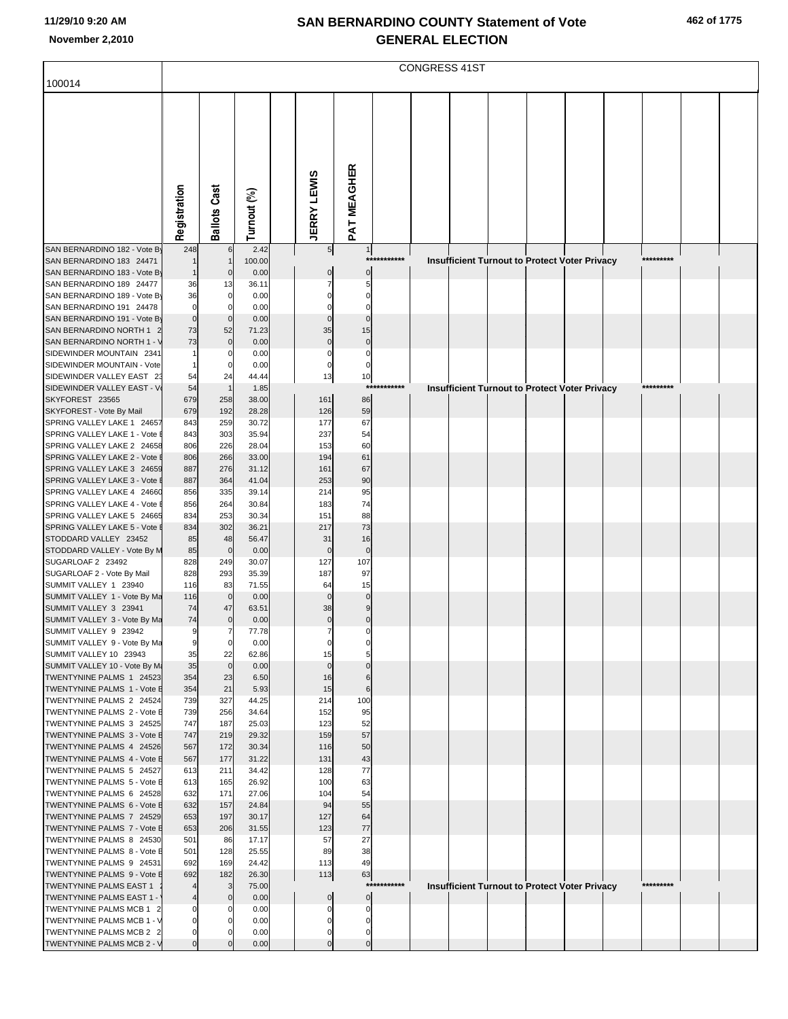|                                                             | <b>CONGRESS 41ST</b>       |                     |                |  |                    |                   |             |  |  |  |  |                                                      |           |  |
|-------------------------------------------------------------|----------------------------|---------------------|----------------|--|--------------------|-------------------|-------------|--|--|--|--|------------------------------------------------------|-----------|--|
| 100014                                                      |                            |                     |                |  |                    |                   |             |  |  |  |  |                                                      |           |  |
|                                                             |                            |                     |                |  |                    |                   |             |  |  |  |  |                                                      |           |  |
|                                                             |                            |                     |                |  |                    |                   |             |  |  |  |  |                                                      |           |  |
|                                                             |                            |                     |                |  |                    |                   |             |  |  |  |  |                                                      |           |  |
|                                                             |                            |                     |                |  |                    |                   |             |  |  |  |  |                                                      |           |  |
|                                                             |                            |                     |                |  |                    |                   |             |  |  |  |  |                                                      |           |  |
|                                                             |                            |                     |                |  |                    |                   |             |  |  |  |  |                                                      |           |  |
|                                                             |                            |                     |                |  |                    |                   |             |  |  |  |  |                                                      |           |  |
|                                                             |                            |                     |                |  |                    |                   |             |  |  |  |  |                                                      |           |  |
|                                                             |                            |                     |                |  |                    |                   |             |  |  |  |  |                                                      |           |  |
|                                                             | Registration               | <b>Ballots Cast</b> | Turnout (%)    |  | <b>JERRY LEWIS</b> | PAT MEAGHER       |             |  |  |  |  |                                                      |           |  |
|                                                             |                            |                     |                |  |                    |                   |             |  |  |  |  |                                                      |           |  |
| SAN BERNARDINO 182 - Vote By                                | 248                        |                     | 2.42           |  | 5                  | 1<br>$***$        | ********    |  |  |  |  |                                                      |           |  |
| SAN BERNARDINO 183 24471<br>SAN BERNARDINO 183 - Vote By    |                            | $\mathbf 0$         | 100.00<br>0.00 |  | $\mathbf 0$        | 0                 |             |  |  |  |  | Insufficient Turnout to Protect Voter Privacy        |           |  |
| SAN BERNARDINO 189 24477                                    | 36                         | 13                  | 36.11          |  |                    | 5                 |             |  |  |  |  |                                                      |           |  |
| SAN BERNARDINO 189 - Vote By                                | 36                         | 0                   | 0.00           |  |                    |                   |             |  |  |  |  |                                                      |           |  |
| SAN BERNARDINO 191 24478                                    | $\mathbf 0$                |                     | 0.00           |  |                    |                   |             |  |  |  |  |                                                      |           |  |
| SAN BERNARDINO 191 - Vote By                                | $\mathbf 0$                | $\Omega$            | 0.00           |  |                    |                   |             |  |  |  |  |                                                      |           |  |
| SAN BERNARDINO NORTH 1<br>SAN BERNARDINO NORTH 1 - \        | 73<br>73                   | 52<br>$\mathbf 0$   | 71.23<br>0.00  |  | 35<br>$\mathbf 0$  | 15<br>$\mathbf 0$ |             |  |  |  |  |                                                      |           |  |
| SIDEWINDER MOUNTAIN 2341                                    |                            |                     | 0.00           |  | C                  | $\mathbf 0$       |             |  |  |  |  |                                                      |           |  |
| SIDEWINDER MOUNTAIN - Vote                                  |                            |                     | 0.00           |  | C                  | 0                 |             |  |  |  |  |                                                      |           |  |
| SIDEWINDER VALLEY EAST 23                                   | 54                         | 24                  | 44.44          |  | 13                 | 10                |             |  |  |  |  |                                                      |           |  |
| SIDEWINDER VALLEY EAST - V                                  | 54                         |                     | 1.85           |  |                    | $***$             | ******      |  |  |  |  | <b>Insufficient Turnout to Protect Voter Privacy</b> |           |  |
| SKYFOREST 23565<br>SKYFOREST - Vote By Mail                 | 679<br>679                 | 258<br>192          | 38.00<br>28.28 |  | 161<br>126         | 86<br>59          |             |  |  |  |  |                                                      |           |  |
| SPRING VALLEY LAKE 1 24657                                  | 843                        | 259                 | 30.72          |  | 177                | 67                |             |  |  |  |  |                                                      |           |  |
| SPRING VALLEY LAKE 1 - Vote I                               | 843                        | 303                 | 35.94          |  | 237                | 54                |             |  |  |  |  |                                                      |           |  |
| SPRING VALLEY LAKE 2 24658                                  | 806                        | 226                 | 28.04          |  | 153                | 60                |             |  |  |  |  |                                                      |           |  |
| SPRING VALLEY LAKE 2 - Vote I<br>SPRING VALLEY LAKE 3 24659 | 806<br>887                 | 266<br>276          | 33.00<br>31.12 |  | 194<br>161         | 61<br>67          |             |  |  |  |  |                                                      |           |  |
| SPRING VALLEY LAKE 3 - Vote I                               | 887                        | 364                 | 41.04          |  | 253                | 90                |             |  |  |  |  |                                                      |           |  |
| SPRING VALLEY LAKE 4 24660                                  | 856                        | 335                 | 39.14          |  | 214                | 95                |             |  |  |  |  |                                                      |           |  |
| SPRING VALLEY LAKE 4 - Vote I                               | 856                        | 264                 | 30.84          |  | 183                | 74                |             |  |  |  |  |                                                      |           |  |
| SPRING VALLEY LAKE 5 24665                                  | 834                        | 253                 | 30.34          |  | 151                | 88                |             |  |  |  |  |                                                      |           |  |
| SPRING VALLEY LAKE 5 - Vote I<br>STODDARD VALLEY 23452      | 834<br>85                  | 302<br>48           | 36.21<br>56.47 |  | 217<br>31          | 73<br>16          |             |  |  |  |  |                                                      |           |  |
| STODDARD VALLEY - Vote By M                                 | 85                         | $\mathbf 0$         | 0.00           |  | $\mathbf 0$        | $\mathbf 0$       |             |  |  |  |  |                                                      |           |  |
| SUGARLOAF 2 23492                                           | 828                        | 249                 | 30.07          |  | 127                | 107               |             |  |  |  |  |                                                      |           |  |
| SUGARLOAF 2 - Vote By Mail                                  | 828                        | 293                 | 35.39          |  | 187                | 97                |             |  |  |  |  |                                                      |           |  |
| SUMMIT VALLEY 1 23940<br>SUMMIT VALLEY 1 - Vote By Ma       | 116<br>116                 | 83<br>$\mathbf 0$   | 71.55<br>0.00  |  | 64<br>$\mathsf{C}$ | 15<br>$\mathbf 0$ |             |  |  |  |  |                                                      |           |  |
| SUMMIT VALLEY 3 23941                                       | 74                         | 47                  | 63.51          |  | 38                 | 9                 |             |  |  |  |  |                                                      |           |  |
| SUMMIT VALLEY 3 - Vote By Ma                                | 74                         | $\mathbf 0$         | 0.00           |  | $\pmb{0}$          | $\mathbf 0$       |             |  |  |  |  |                                                      |           |  |
| SUMMIT VALLEY 9 23942                                       | 9                          |                     | 77.78          |  | $\overline{7}$     | $\Omega$          |             |  |  |  |  |                                                      |           |  |
| SUMMIT VALLEY 9 - Vote By Ma                                | 9                          | $\mathbf 0$         | 0.00           |  |                    |                   |             |  |  |  |  |                                                      |           |  |
| SUMMIT VALLEY 10 23943<br>SUMMIT VALLEY 10 - Vote By M:     | 35<br>35                   | 22<br>$\mathbf 0$   | 62.86<br>0.00  |  | 15<br>$\Omega$     |                   |             |  |  |  |  |                                                      |           |  |
| TWENTYNINE PALMS 1 24523                                    | 354                        | 23                  | 6.50           |  | 16                 | 6                 |             |  |  |  |  |                                                      |           |  |
| TWENTYNINE PALMS 1 - Vote E                                 | 354                        | 21                  | 5.93           |  | 15                 | $6\phantom{1}6$   |             |  |  |  |  |                                                      |           |  |
| TWENTYNINE PALMS 2 24524                                    | 739                        | 327                 | 44.25          |  | 214                | 100               |             |  |  |  |  |                                                      |           |  |
| TWENTYNINE PALMS 2 - Vote E<br>TWENTYNINE PALMS 3 24525     | 739<br>747                 | 256<br>187          | 34.64<br>25.03 |  | 152<br>123         | 95<br>52          |             |  |  |  |  |                                                      |           |  |
| TWENTYNINE PALMS 3 - Vote E                                 | 747                        | 219                 | 29.32          |  | 159                | 57                |             |  |  |  |  |                                                      |           |  |
| TWENTYNINE PALMS 4 24526                                    | 567                        | 172                 | 30.34          |  | 116                | 50                |             |  |  |  |  |                                                      |           |  |
| TWENTYNINE PALMS 4 - Vote E                                 | 567                        | 177                 | 31.22          |  | 131                | 43                |             |  |  |  |  |                                                      |           |  |
| TWENTYNINE PALMS 5 24527                                    | 613                        | 211                 | 34.42          |  | 128<br>100         | 77                |             |  |  |  |  |                                                      |           |  |
| TWENTYNINE PALMS 5 - Vote E<br>TWENTYNINE PALMS 6 24528     | 613<br>632                 | 165<br>171          | 26.92<br>27.06 |  | 104                | 63<br>54          |             |  |  |  |  |                                                      |           |  |
| TWENTYNINE PALMS 6 - Vote E                                 | 632                        | 157                 | 24.84          |  | 94                 | 55                |             |  |  |  |  |                                                      |           |  |
| TWENTYNINE PALMS 7 24529                                    | 653                        | 197                 | 30.17          |  | 127                | 64                |             |  |  |  |  |                                                      |           |  |
| TWENTYNINE PALMS 7 - Vote E                                 | 653                        | 206                 | 31.55          |  | 123                | 77                |             |  |  |  |  |                                                      |           |  |
| TWENTYNINE PALMS 8 24530<br>TWENTYNINE PALMS 8 - Vote E     | 501<br>501                 | 86<br>128           | 17.17<br>25.55 |  | 57<br>89           | 27<br>38          |             |  |  |  |  |                                                      |           |  |
| TWENTYNINE PALMS 9 24531                                    | 692                        | 169                 | 24.42          |  | 113                | 49                |             |  |  |  |  |                                                      |           |  |
| TWENTYNINE PALMS 9 - Vote E                                 | 692                        | 182                 | 26.30          |  | 113                | 63                |             |  |  |  |  |                                                      |           |  |
| TWENTYNINE PALMS EAST 1                                     | $\overline{4}$             |                     | 75.00          |  |                    |                   | *********** |  |  |  |  | <b>Insufficient Turnout to Protect Voter Privacy</b> | ********* |  |
| TWENTYNINE PALMS EAST 1 -                                   | $\overline{\mathcal{L}}$   | 0                   | 0.00           |  | $\mathbf 0$        | $\bf{0}$          |             |  |  |  |  |                                                      |           |  |
| TWENTYNINE PALMS MCB 1 2<br>TWENTYNINE PALMS MCB 1 - V      | $\mathbf 0$<br>$\mathbf 0$ |                     | 0.00<br>0.00   |  | C<br>C             | $\Omega$          |             |  |  |  |  |                                                      |           |  |
| TWENTYNINE PALMS MCB 2 2                                    | $\overline{0}$             |                     | 0.00           |  | 0                  | 0                 |             |  |  |  |  |                                                      |           |  |
| TWENTYNINE PALMS MCB 2 - V                                  | $\overline{0}$             |                     | 0.00           |  | $\Omega$           | $\mathbf 0$       |             |  |  |  |  |                                                      |           |  |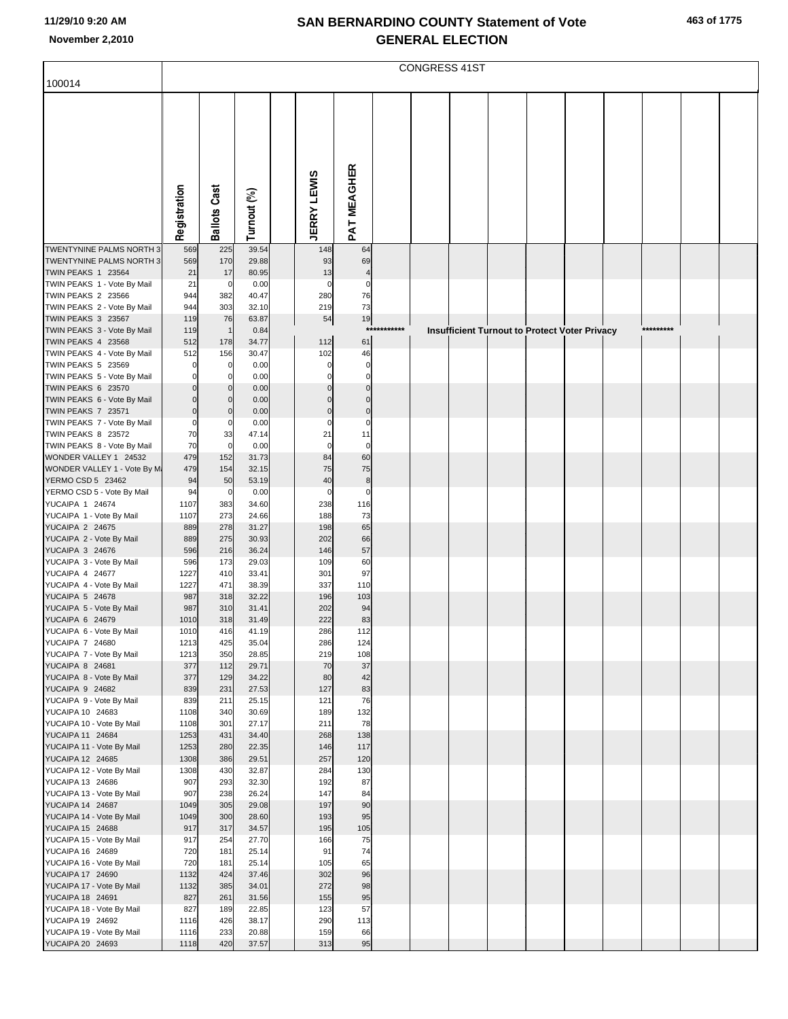|                                                          | <b>CONGRESS 41ST</b>    |                     |                |  |                        |                |             |  |  |  |                                               |  |           |  |
|----------------------------------------------------------|-------------------------|---------------------|----------------|--|------------------------|----------------|-------------|--|--|--|-----------------------------------------------|--|-----------|--|
| 100014                                                   |                         |                     |                |  |                        |                |             |  |  |  |                                               |  |           |  |
|                                                          |                         |                     |                |  |                        |                |             |  |  |  |                                               |  |           |  |
|                                                          |                         |                     |                |  |                        |                |             |  |  |  |                                               |  |           |  |
|                                                          |                         |                     |                |  |                        |                |             |  |  |  |                                               |  |           |  |
|                                                          |                         |                     |                |  |                        |                |             |  |  |  |                                               |  |           |  |
|                                                          |                         |                     |                |  |                        |                |             |  |  |  |                                               |  |           |  |
|                                                          |                         |                     |                |  |                        |                |             |  |  |  |                                               |  |           |  |
|                                                          |                         |                     |                |  |                        |                |             |  |  |  |                                               |  |           |  |
|                                                          |                         |                     |                |  |                        |                |             |  |  |  |                                               |  |           |  |
|                                                          |                         |                     |                |  |                        |                |             |  |  |  |                                               |  |           |  |
|                                                          | Registration            | <b>Ballots Cast</b> | Turnout (%)    |  | <b>JERRY LEWIS</b>     | PAT MEAGHER    |             |  |  |  |                                               |  |           |  |
| TWENTYNINE PALMS NORTH 3                                 | 569                     | 225                 | 39.54          |  | 148                    | 64             |             |  |  |  |                                               |  |           |  |
| TWENTYNINE PALMS NORTH 3                                 | 569                     | 170                 | 29.88          |  | 93                     | 69             |             |  |  |  |                                               |  |           |  |
| <b>TWIN PEAKS 1 23564</b>                                | 21                      | 17                  | 80.95          |  | 13                     |                |             |  |  |  |                                               |  |           |  |
| TWIN PEAKS 1 - Vote By Mail                              | 21                      | $\mathbf 0$         | 0.00           |  | $\mathbf 0$            | 0              |             |  |  |  |                                               |  |           |  |
| <b>TWIN PEAKS 2 23566</b><br>TWIN PEAKS 2 - Vote By Mail | 944<br>944              | 382<br>303          | 40.47<br>32.10 |  | 280<br>219             | 76<br>73       |             |  |  |  |                                               |  |           |  |
| <b>TWIN PEAKS 3 23567</b>                                | 119                     | 76                  | 63.87          |  | 54                     | 19             |             |  |  |  |                                               |  |           |  |
| TWIN PEAKS 3 - Vote By Mail                              | 119                     | $\mathbf{1}$        | 0.84           |  |                        |                | *********** |  |  |  | Insufficient Turnout to Protect Voter Privacy |  | ********* |  |
| <b>TWIN PEAKS 4 23568</b>                                | 512                     | 178                 | 34.77          |  | 112                    | 61             |             |  |  |  |                                               |  |           |  |
| TWIN PEAKS 4 - Vote By Mail<br><b>TWIN PEAKS 5 23569</b> | 512<br>$\Omega$         | 156<br>$\Omega$     | 30.47<br>0.00  |  | 102<br>$\Omega$        | 46<br>0        |             |  |  |  |                                               |  |           |  |
| TWIN PEAKS 5 - Vote By Mail                              | O                       | 0                   | 0.00           |  | O                      | 0              |             |  |  |  |                                               |  |           |  |
| <b>TWIN PEAKS 6 23570</b>                                |                         | $\Omega$            | 0.00           |  |                        | $\Omega$       |             |  |  |  |                                               |  |           |  |
| TWIN PEAKS 6 - Vote By Mail                              | $\Omega$                | $\mathbf{0}$        | 0.00           |  | $\Omega$               | $\Omega$       |             |  |  |  |                                               |  |           |  |
| <b>TWIN PEAKS 7 23571</b><br>TWIN PEAKS 7 - Vote By Mail | $\Omega$<br>$\mathbf 0$ | $\Omega$<br>0       | 0.00<br>0.00   |  | $\sqrt{ }$<br>$\Omega$ | $\Omega$<br>0  |             |  |  |  |                                               |  |           |  |
| <b>TWIN PEAKS 8 23572</b>                                | 70                      | 33                  | 47.14          |  | 21                     | 11             |             |  |  |  |                                               |  |           |  |
| TWIN PEAKS 8 - Vote By Mail                              | 70                      | $\mathbf 0$         | 0.00           |  | $\mathbf 0$            | $\overline{0}$ |             |  |  |  |                                               |  |           |  |
| WONDER VALLEY 1 24532                                    | 479                     | 152                 | 31.73          |  | 84                     | 60             |             |  |  |  |                                               |  |           |  |
| WONDER VALLEY 1 - Vote By M.<br>YERMO CSD 5 23462        | 479<br>94               | 154<br>50           | 32.15<br>53.19 |  | 75<br>40               | 75<br>$\bf8$   |             |  |  |  |                                               |  |           |  |
| YERMO CSD 5 - Vote By Mail                               | 94                      | $\mathbf 0$         | 0.00           |  | $\mathbf 0$            | $\mathbf 0$    |             |  |  |  |                                               |  |           |  |
| YUCAIPA 1 24674                                          | 1107                    | 383                 | 34.60          |  | 238                    | 116            |             |  |  |  |                                               |  |           |  |
| YUCAIPA 1 - Vote By Mail                                 | 1107                    | 273                 | 24.66          |  | 188                    | 73             |             |  |  |  |                                               |  |           |  |
| YUCAIPA 2 24675<br>YUCAIPA 2 - Vote By Mail              | 889<br>889              | 278<br>275          | 31.27<br>30.93 |  | 198<br>202             | 65<br>66       |             |  |  |  |                                               |  |           |  |
| YUCAIPA 3 24676                                          | 596                     | 216                 | 36.24          |  | 146                    | 57             |             |  |  |  |                                               |  |           |  |
| YUCAIPA 3 - Vote By Mail                                 | 596                     | 173                 | 29.03          |  | 109                    | 60             |             |  |  |  |                                               |  |           |  |
| YUCAIPA 4 24677                                          | 1227                    | 410                 | 33.41          |  | 301                    | 97             |             |  |  |  |                                               |  |           |  |
| YUCAIPA 4 - Vote By Mail<br>YUCAIPA 5 24678              | 1227<br>987             | 471<br>318          | 38.39<br>32.22 |  | 337<br>196             | 110<br>103     |             |  |  |  |                                               |  |           |  |
| YUCAIPA 5 - Vote By Mail                                 | 987                     | 310                 | 31.41          |  | 202                    | 94             |             |  |  |  |                                               |  |           |  |
| YUCAIPA 6 24679                                          | 1010                    | 318                 | 31.49          |  | 222                    | 83             |             |  |  |  |                                               |  |           |  |
| YUCAIPA 6 - Vote By Mail                                 | 1010                    | 416                 | 41.19          |  | 286                    | 112            |             |  |  |  |                                               |  |           |  |
| YUCAIPA 7 24680<br>YUCAIPA 7 - Vote By Mail              | 1213<br>1213            | 425<br>350          | 35.04<br>28.85 |  | 286<br>219             | 124<br>108     |             |  |  |  |                                               |  |           |  |
| YUCAIPA 8 24681                                          | 377                     | 112                 | 29.71          |  | 70                     | 37             |             |  |  |  |                                               |  |           |  |
| YUCAIPA 8 - Vote By Mail                                 | 377                     | 129                 | 34.22          |  | 80                     | 42             |             |  |  |  |                                               |  |           |  |
| YUCAIPA 9 24682                                          | 839                     | 231                 | 27.53          |  | 127                    | 83             |             |  |  |  |                                               |  |           |  |
| YUCAIPA 9 - Vote By Mail<br>YUCAIPA 10 24683             | 839<br>1108             | 211<br>340          | 25.15<br>30.69 |  | 121<br>189             | 76<br>132      |             |  |  |  |                                               |  |           |  |
| YUCAIPA 10 - Vote By Mail                                | 1108                    | 301                 | 27.17          |  | 211                    | 78             |             |  |  |  |                                               |  |           |  |
| YUCAIPA 11 24684                                         | 1253                    | 431                 | 34.40          |  | 268                    | 138            |             |  |  |  |                                               |  |           |  |
| YUCAIPA 11 - Vote By Mail                                | 1253                    | 280                 | 22.35          |  | 146                    | 117            |             |  |  |  |                                               |  |           |  |
| YUCAIPA 12 24685<br>YUCAIPA 12 - Vote By Mail            | 1308<br>1308            | 386<br>430          | 29.51<br>32.87 |  | 257<br>284             | 120<br>130     |             |  |  |  |                                               |  |           |  |
| YUCAIPA 13 24686                                         | 907                     | 293                 | 32.30          |  | 192                    | 87             |             |  |  |  |                                               |  |           |  |
| YUCAIPA 13 - Vote By Mail                                | 907                     | 238                 | 26.24          |  | 147                    | 84             |             |  |  |  |                                               |  |           |  |
| YUCAIPA 14 24687                                         | 1049                    | 305                 | 29.08          |  | 197                    | 90             |             |  |  |  |                                               |  |           |  |
| YUCAIPA 14 - Vote By Mail<br>YUCAIPA 15 24688            | 1049<br>917             | 300<br>317          | 28.60<br>34.57 |  | 193<br>195             | 95<br>105      |             |  |  |  |                                               |  |           |  |
| YUCAIPA 15 - Vote By Mail                                | 917                     | 254                 | 27.70          |  | 166                    | 75             |             |  |  |  |                                               |  |           |  |
| YUCAIPA 16 24689                                         | 720                     | 181                 | 25.14          |  | 91                     | 74             |             |  |  |  |                                               |  |           |  |
| YUCAIPA 16 - Vote By Mail                                | 720                     | 181                 | 25.14          |  | 105                    | 65             |             |  |  |  |                                               |  |           |  |
| YUCAIPA 17 24690<br>YUCAIPA 17 - Vote By Mail            | 1132<br>1132            | 424<br>385          | 37.46<br>34.01 |  | 302<br>272             | 96<br>98       |             |  |  |  |                                               |  |           |  |
| YUCAIPA 18 24691                                         | 827                     | 261                 | 31.56          |  | 155                    | 95             |             |  |  |  |                                               |  |           |  |
| YUCAIPA 18 - Vote By Mail                                | 827                     | 189                 | 22.85          |  | 123                    | 57             |             |  |  |  |                                               |  |           |  |
| YUCAIPA 19 24692                                         | 1116                    | 426                 | 38.17          |  | 290                    | 113            |             |  |  |  |                                               |  |           |  |
| YUCAIPA 19 - Vote By Mail<br>YUCAIPA 20 24693            | 1116<br>1118            | 233<br>420          | 20.88<br>37.57 |  | 159<br>313             | 66<br>95       |             |  |  |  |                                               |  |           |  |
|                                                          |                         |                     |                |  |                        |                |             |  |  |  |                                               |  |           |  |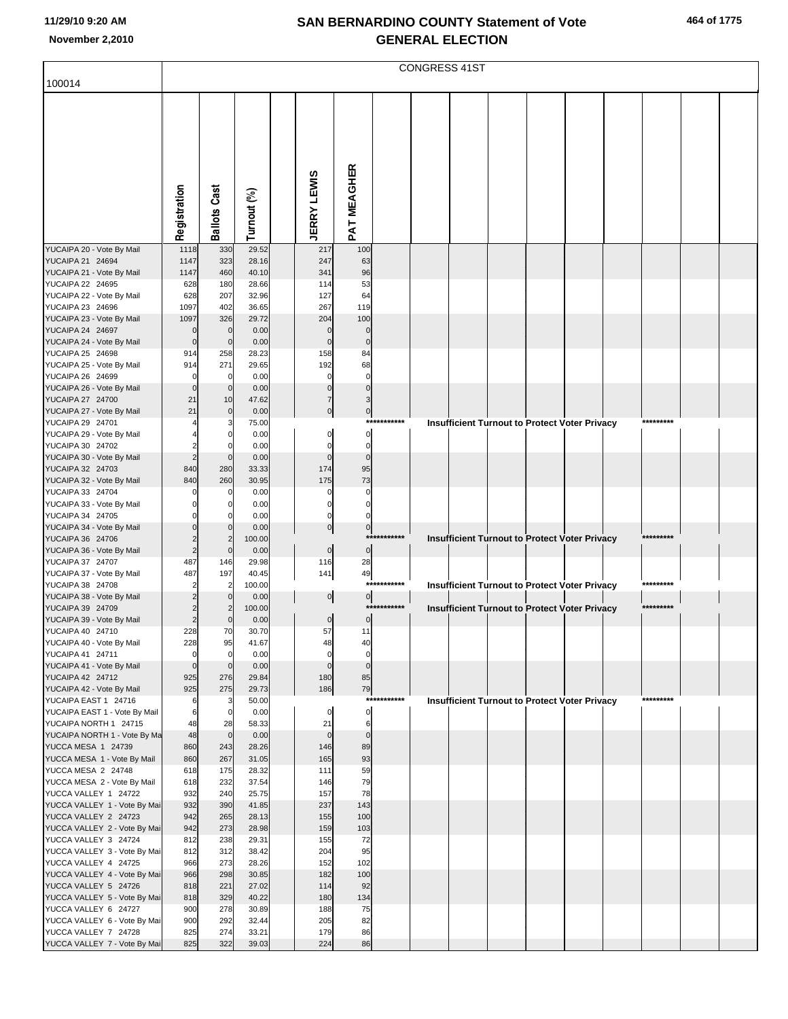|                                                      |                |                       |                |                       |                   |             | <b>CONGRESS 41ST</b> |  |                                                      |  |           |  |
|------------------------------------------------------|----------------|-----------------------|----------------|-----------------------|-------------------|-------------|----------------------|--|------------------------------------------------------|--|-----------|--|
| 100014                                               |                |                       |                |                       |                   |             |                      |  |                                                      |  |           |  |
|                                                      |                |                       |                |                       |                   |             |                      |  |                                                      |  |           |  |
|                                                      |                |                       |                |                       |                   |             |                      |  |                                                      |  |           |  |
|                                                      | Registration   | <b>Ballots Cast</b>   | Turnout (%)    | <b>JERRY LEWIS</b>    | PAT MEAGHER       |             |                      |  |                                                      |  |           |  |
|                                                      |                |                       |                |                       |                   |             |                      |  |                                                      |  |           |  |
| YUCAIPA 20 - Vote By Mail                            | 1118           | 330                   | 29.52          | 217                   | 100               |             |                      |  |                                                      |  |           |  |
| YUCAIPA 21 24694                                     | 1147           | 323                   | 28.16          | 247                   | 63                |             |                      |  |                                                      |  |           |  |
| YUCAIPA 21 - Vote By Mail                            | 1147           | 460                   | 40.10          | 341                   | 96                |             |                      |  |                                                      |  |           |  |
| YUCAIPA 22 24695<br>YUCAIPA 22 - Vote By Mail        | 628<br>628     | 180<br>207            | 28.66<br>32.96 | 114<br>127            | 53<br>64          |             |                      |  |                                                      |  |           |  |
| YUCAIPA 23 24696                                     | 1097           | 402                   | 36.65          | 267                   | 119               |             |                      |  |                                                      |  |           |  |
| YUCAIPA 23 - Vote By Mail                            | 1097           | 326                   | 29.72          | 204                   | 100               |             |                      |  |                                                      |  |           |  |
| YUCAIPA 24 24697                                     | $\mathbf 0$    | $\mathbf 0$           | 0.00           | $\Omega$              | C                 |             |                      |  |                                                      |  |           |  |
| YUCAIPA 24 - Vote By Mail                            | $\mathbf 0$    | $\mathbf 0$           | 0.00           | $\Omega$              | $\mathbf 0$       |             |                      |  |                                                      |  |           |  |
| YUCAIPA 25 24698<br>YUCAIPA 25 - Vote By Mail        | 914<br>914     | 258<br>271            | 28.23<br>29.65 | 158<br>192            | 84<br>68          |             |                      |  |                                                      |  |           |  |
| YUCAIPA 26 24699                                     | 0              | 0                     | 0.00           | 0                     | 0                 |             |                      |  |                                                      |  |           |  |
| YUCAIPA 26 - Vote By Mail                            | $\Omega$       | 0                     | 0.00           | $\Omega$              | $\mathcal{C}$     |             |                      |  |                                                      |  |           |  |
| YUCAIPA 27 24700                                     | 21             | 10                    | 47.62          |                       |                   |             |                      |  |                                                      |  |           |  |
| YUCAIPA 27 - Vote By Mail<br>YUCAIPA 29 24701        | 21             | $\mathbf{0}$          | 0.00<br>75.00  | $\mathbf 0$           | $\mathbf 0$       | *********** |                      |  | <b>Insufficient Turnout to Protect Voter Privacy</b> |  | ********* |  |
| YUCAIPA 29 - Vote By Mail                            |                |                       | 0.00           | 0                     | $\mathbf 0$       |             |                      |  |                                                      |  |           |  |
| YUCAIPA 30 24702                                     |                |                       | 0.00           | 0                     | 0                 |             |                      |  |                                                      |  |           |  |
| YUCAIPA 30 - Vote By Mail                            |                |                       | 0.00           | $\Omega$              | $\Omega$          |             |                      |  |                                                      |  |           |  |
| YUCAIPA 32 24703                                     | 840            | 280                   | 33.33          | 174                   | 95                |             |                      |  |                                                      |  |           |  |
| YUCAIPA 32 - Vote By Mail<br>YUCAIPA 33 24704        | 840            | 260                   | 30.95<br>0.00  | 175                   | 73<br>C           |             |                      |  |                                                      |  |           |  |
| YUCAIPA 33 - Vote By Mail                            |                |                       | 0.00           |                       |                   |             |                      |  |                                                      |  |           |  |
| YUCAIPA 34 24705                                     |                |                       | 0.00           | 0                     |                   |             |                      |  |                                                      |  |           |  |
| YUCAIPA 34 - Vote By Mail                            |                |                       | 0.00           | $\overline{0}$        | $\mathbf 0$       |             |                      |  |                                                      |  |           |  |
| YUCAIPA 36 24706                                     | $\overline{2}$ |                       | 100.00         |                       |                   | *********** |                      |  | Insufficient Turnout to Protect Voter Privacy        |  | ********* |  |
| YUCAIPA 36 - Vote By Mail<br>YUCAIPA 37 24707        | 487            | $\Omega$<br>146       | 0.00<br>29.98  | $\pmb{0}$<br>116      | $\pmb{0}$<br>28   |             |                      |  |                                                      |  |           |  |
| YUCAIPA 37 - Vote By Mail                            | 487            | 197                   | 40.45          | 141                   | 49                |             |                      |  |                                                      |  |           |  |
| YUCAIPA 38 24708                                     |                |                       | 100.00         |                       |                   | *********** |                      |  | <b>Insufficient Turnout to Protect Voter Privacy</b> |  | ********* |  |
| YUCAIPA 38 - Vote By Mail                            |                | $\Omega$              | 0.00           | $\overline{0}$        | 0                 | *********** |                      |  |                                                      |  |           |  |
| YUCAIPA 39 24709<br>YUCAIPA 39 - Vote By Mail        | $\overline{2}$ |                       | 100.00<br>0.00 | $\pmb{0}$             | $\pmb{0}$         |             |                      |  | Insufficient Turnout to Protect Voter Privacy        |  | ********* |  |
| YUCAIPA 40 24710                                     | 228            | 70                    | 30.70          | 57                    | 11                |             |                      |  |                                                      |  |           |  |
| YUCAIPA 40 - Vote By Mail                            | 228            | 95                    | 41.67          | 48                    | 40                |             |                      |  |                                                      |  |           |  |
| YUCAIPA 41 24711                                     | $\mathbf 0$    | $\overline{0}$        | 0.00           | $\mathbf 0$           | $\pmb{0}$         |             |                      |  |                                                      |  |           |  |
| YUCAIPA 41 - Vote By Mail<br>YUCAIPA 42 24712        | $\mathbf{0}$   | $\Omega$              | 0.00           | $\overline{0}$        | $\overline{0}$    |             |                      |  |                                                      |  |           |  |
| YUCAIPA 42 - Vote By Mail                            | 925<br>925     | 276<br>275            | 29.84<br>29.73 | 180<br>186            | 85<br>79          |             |                      |  |                                                      |  |           |  |
| YUCAIPA EAST 1 24716                                 | 6              | 3                     | 50.00          |                       |                   | *********** |                      |  | <b>Insufficient Turnout to Protect Voter Privacy</b> |  | ********* |  |
| YUCAIPA EAST 1 - Vote By Mail                        | 6              | $\overline{0}$        | 0.00           | $\mathbf 0$           | $\mathbf 0$       |             |                      |  |                                                      |  |           |  |
| YUCAIPA NORTH 1 24715                                | 48             | 28                    | 58.33          | 21                    | $\,6$             |             |                      |  |                                                      |  |           |  |
| YUCAIPA NORTH 1 - Vote By Ma<br>YUCCA MESA 1 24739   | 48<br>860      | $\overline{0}$<br>243 | 0.00<br>28.26  | $\overline{0}$<br>146 | $\mathbf 0$<br>89 |             |                      |  |                                                      |  |           |  |
| YUCCA MESA 1 - Vote By Mail                          | 860            | 267                   | 31.05          | 165                   | 93                |             |                      |  |                                                      |  |           |  |
| YUCCA MESA 2 24748                                   | 618            | 175                   | 28.32          | 111                   | 59                |             |                      |  |                                                      |  |           |  |
| YUCCA MESA 2 - Vote By Mail                          | 618            | 232                   | 37.54          | 146                   | 79                |             |                      |  |                                                      |  |           |  |
| YUCCA VALLEY 1 24722<br>YUCCA VALLEY 1 - Vote By Mai | 932<br>932     | 240<br>390            | 25.75<br>41.85 | 157<br>237            | 78<br>143         |             |                      |  |                                                      |  |           |  |
| YUCCA VALLEY 2 24723                                 | 942            | 265                   | 28.13          | 155                   | 100               |             |                      |  |                                                      |  |           |  |
| YUCCA VALLEY 2 - Vote By Mai                         | 942            | 273                   | 28.98          | 159                   | 103               |             |                      |  |                                                      |  |           |  |
| YUCCA VALLEY 3 24724                                 | 812            | 238                   | 29.31          | 155                   | 72                |             |                      |  |                                                      |  |           |  |
| YUCCA VALLEY 3 - Vote By Mai                         | 812            | 312                   | 38.42          | 204                   | 95                |             |                      |  |                                                      |  |           |  |
| YUCCA VALLEY 4 24725<br>YUCCA VALLEY 4 - Vote By Mai | 966<br>966     | 273<br>298            | 28.26<br>30.85 | 152<br>182            | 102<br>100        |             |                      |  |                                                      |  |           |  |
| YUCCA VALLEY 5 24726                                 | 818            | 221                   | 27.02          | 114                   | 92                |             |                      |  |                                                      |  |           |  |
| YUCCA VALLEY 5 - Vote By Mai                         | 818            | 329                   | 40.22          | 180                   | 134               |             |                      |  |                                                      |  |           |  |
| YUCCA VALLEY 6 24727                                 | 900            | 278                   | 30.89          | 188                   | 75                |             |                      |  |                                                      |  |           |  |
| YUCCA VALLEY 6 - Vote By Mai                         | 900            | 292                   | 32.44          | 205                   | 82                |             |                      |  |                                                      |  |           |  |
| YUCCA VALLEY 7 24728                                 | 825<br>825     | 274<br>322            | 33.21<br>39.03 | 179<br>224            | 86<br>86          |             |                      |  |                                                      |  |           |  |
| YUCCA VALLEY 7 - Vote By Mai                         |                |                       |                |                       |                   |             |                      |  |                                                      |  |           |  |